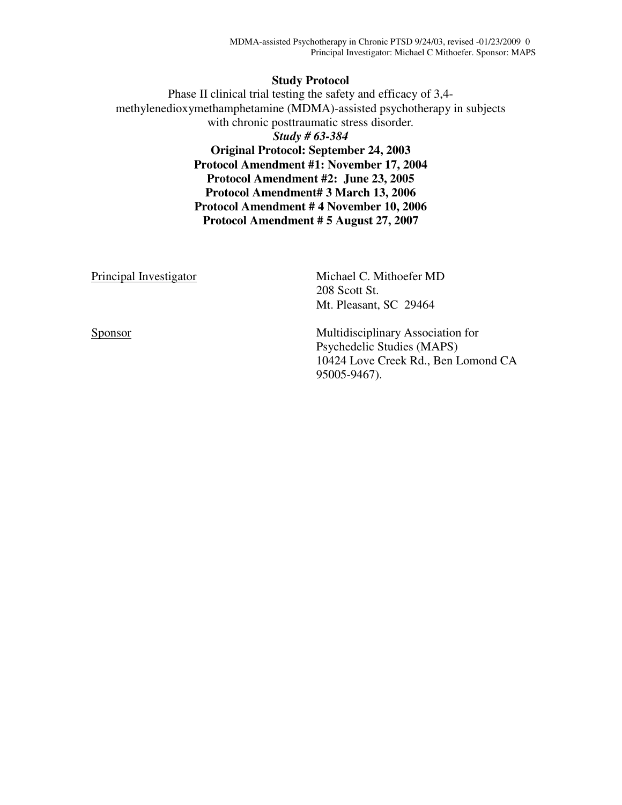#### **Study Protocol**

Phase II clinical trial testing the safety and efficacy of 3,4 methylenedioxymethamphetamine (MDMA)-assisted psychotherapy in subjects with chronic posttraumatic stress disorder*. Study # 63-384*  **Original Protocol: September 24, 2003 Protocol Amendment #1: November 17, 2004 Protocol Amendment #2: June 23, 2005 Protocol Amendment# 3 March 13, 2006 Protocol Amendment # 4 November 10, 2006 Protocol Amendment # 5 August 27, 2007** 

Principal Investigator Michael C. Mithoefer MD 208 Scott St. Mt. Pleasant, SC 29464 Sponsor Multidisciplinary Association for Psychedelic Studies (MAPS) 10424 Love Creek Rd., Ben Lomond CA

95005-9467).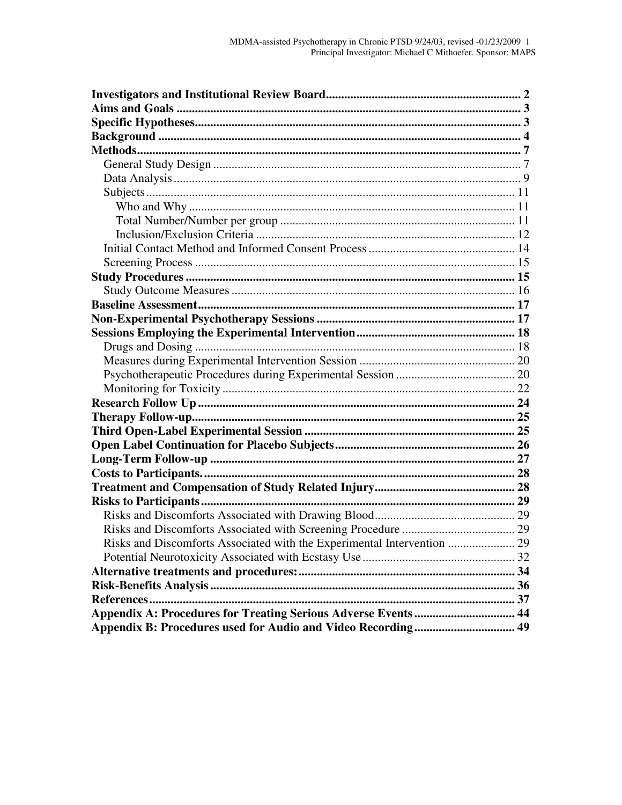| Risks and Discomforts Associated with the Experimental Intervention  29 |  |
|-------------------------------------------------------------------------|--|
|                                                                         |  |
|                                                                         |  |
|                                                                         |  |
|                                                                         |  |
|                                                                         |  |
| Appendix B: Procedures used for Audio and Video Recording 49            |  |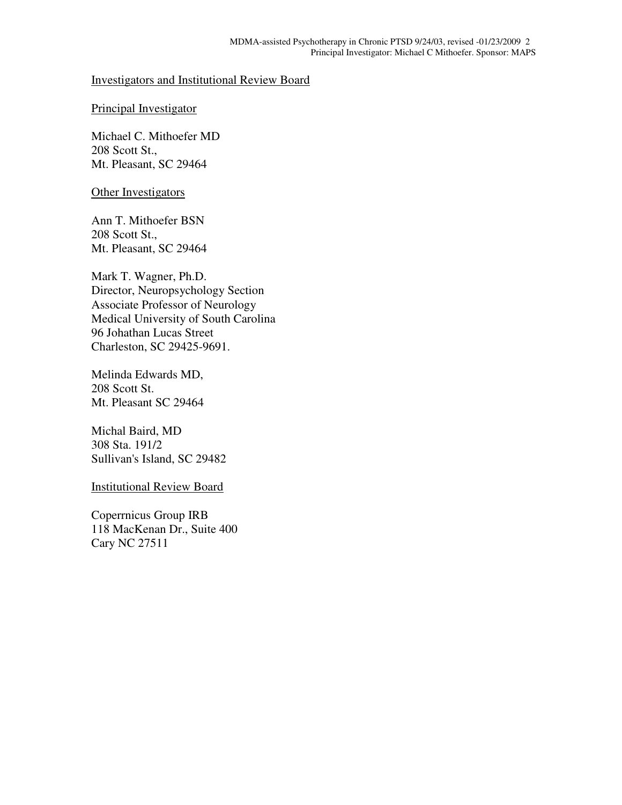#### Investigators and Institutional Review Board

#### Principal Investigator

Michael C. Mithoefer MD 208 Scott St., Mt. Pleasant, SC 29464

#### Other Investigators

Ann T. Mithoefer BSN 208 Scott St., Mt. Pleasant, SC 29464

Mark T. Wagner, Ph.D. Director, Neuropsychology Section Associate Professor of Neurology Medical University of South Carolina 96 Johathan Lucas Street Charleston, SC 29425-9691.

Melinda Edwards MD, 208 Scott St. Mt. Pleasant SC 29464

Michal Baird, MD 308 Sta. 191/2 Sullivan's Island, SC 29482

Institutional Review Board

Coperrnicus Group IRB 118 MacKenan Dr., Suite 400 Cary NC 27511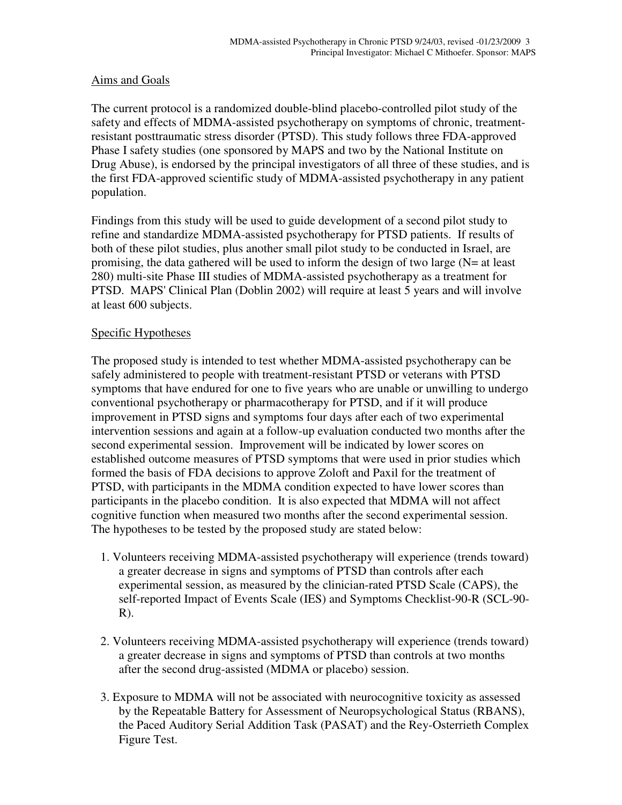### Aims and Goals

The current protocol is a randomized double-blind placebo-controlled pilot study of the safety and effects of MDMA-assisted psychotherapy on symptoms of chronic, treatmentresistant posttraumatic stress disorder (PTSD). This study follows three FDA-approved Phase I safety studies (one sponsored by MAPS and two by the National Institute on Drug Abuse), is endorsed by the principal investigators of all three of these studies, and is the first FDA-approved scientific study of MDMA-assisted psychotherapy in any patient population.

Findings from this study will be used to guide development of a second pilot study to refine and standardize MDMA-assisted psychotherapy for PTSD patients. If results of both of these pilot studies, plus another small pilot study to be conducted in Israel, are promising, the data gathered will be used to inform the design of two large (N= at least 280) multi-site Phase III studies of MDMA-assisted psychotherapy as a treatment for PTSD. MAPS' Clinical Plan (Doblin 2002) will require at least 5 years and will involve at least 600 subjects.

### Specific Hypotheses

The proposed study is intended to test whether MDMA-assisted psychotherapy can be safely administered to people with treatment-resistant PTSD or veterans with PTSD symptoms that have endured for one to five years who are unable or unwilling to undergo conventional psychotherapy or pharmacotherapy for PTSD, and if it will produce improvement in PTSD signs and symptoms four days after each of two experimental intervention sessions and again at a follow-up evaluation conducted two months after the second experimental session. Improvement will be indicated by lower scores on established outcome measures of PTSD symptoms that were used in prior studies which formed the basis of FDA decisions to approve Zoloft and Paxil for the treatment of PTSD, with participants in the MDMA condition expected to have lower scores than participants in the placebo condition. It is also expected that MDMA will not affect cognitive function when measured two months after the second experimental session. The hypotheses to be tested by the proposed study are stated below:

- 1. Volunteers receiving MDMA-assisted psychotherapy will experience (trends toward) a greater decrease in signs and symptoms of PTSD than controls after each experimental session, as measured by the clinician-rated PTSD Scale (CAPS), the self-reported Impact of Events Scale (IES) and Symptoms Checklist-90-R (SCL-90-  $R$ ).
- 2. Volunteers receiving MDMA-assisted psychotherapy will experience (trends toward) a greater decrease in signs and symptoms of PTSD than controls at two months after the second drug-assisted (MDMA or placebo) session.
- 3. Exposure to MDMA will not be associated with neurocognitive toxicity as assessed by the Repeatable Battery for Assessment of Neuropsychological Status (RBANS), the Paced Auditory Serial Addition Task (PASAT) and the Rey-Osterrieth Complex Figure Test.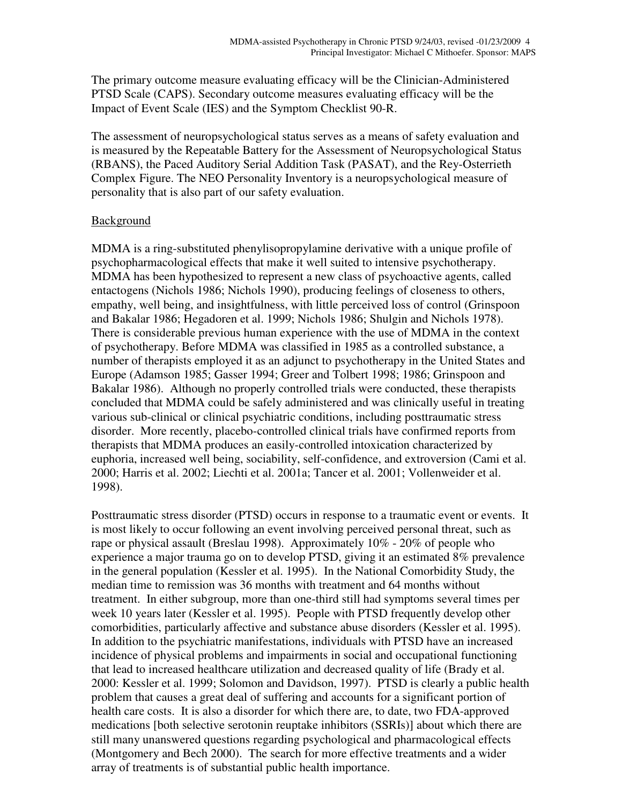The primary outcome measure evaluating efficacy will be the Clinician-Administered PTSD Scale (CAPS). Secondary outcome measures evaluating efficacy will be the Impact of Event Scale (IES) and the Symptom Checklist 90-R.

The assessment of neuropsychological status serves as a means of safety evaluation and is measured by the Repeatable Battery for the Assessment of Neuropsychological Status (RBANS), the Paced Auditory Serial Addition Task (PASAT), and the Rey-Osterrieth Complex Figure. The NEO Personality Inventory is a neuropsychological measure of personality that is also part of our safety evaluation.

### Background

MDMA is a ring-substituted phenylisopropylamine derivative with a unique profile of psychopharmacological effects that make it well suited to intensive psychotherapy. MDMA has been hypothesized to represent a new class of psychoactive agents, called entactogens (Nichols 1986; Nichols 1990), producing feelings of closeness to others, empathy, well being, and insightfulness, with little perceived loss of control (Grinspoon and Bakalar 1986; Hegadoren et al. 1999; Nichols 1986; Shulgin and Nichols 1978). There is considerable previous human experience with the use of MDMA in the context of psychotherapy. Before MDMA was classified in 1985 as a controlled substance, a number of therapists employed it as an adjunct to psychotherapy in the United States and Europe (Adamson 1985; Gasser 1994; Greer and Tolbert 1998; 1986; Grinspoon and Bakalar 1986). Although no properly controlled trials were conducted, these therapists concluded that MDMA could be safely administered and was clinically useful in treating various sub-clinical or clinical psychiatric conditions, including posttraumatic stress disorder. More recently, placebo-controlled clinical trials have confirmed reports from therapists that MDMA produces an easily-controlled intoxication characterized by euphoria, increased well being, sociability, self-confidence, and extroversion (Cami et al. 2000; Harris et al. 2002; Liechti et al. 2001a; Tancer et al. 2001; Vollenweider et al. 1998).

Posttraumatic stress disorder (PTSD) occurs in response to a traumatic event or events. It is most likely to occur following an event involving perceived personal threat, such as rape or physical assault (Breslau 1998). Approximately 10% - 20% of people who experience a major trauma go on to develop PTSD, giving it an estimated 8% prevalence in the general population (Kessler et al. 1995). In the National Comorbidity Study, the median time to remission was 36 months with treatment and 64 months without treatment. In either subgroup, more than one-third still had symptoms several times per week 10 years later (Kessler et al. 1995). People with PTSD frequently develop other comorbidities, particularly affective and substance abuse disorders (Kessler et al. 1995). In addition to the psychiatric manifestations, individuals with PTSD have an increased incidence of physical problems and impairments in social and occupational functioning that lead to increased healthcare utilization and decreased quality of life (Brady et al. 2000: Kessler et al. 1999; Solomon and Davidson, 1997). PTSD is clearly a public health problem that causes a great deal of suffering and accounts for a significant portion of health care costs. It is also a disorder for which there are, to date, two FDA-approved medications [both selective serotonin reuptake inhibitors (SSRIs)] about which there are still many unanswered questions regarding psychological and pharmacological effects (Montgomery and Bech 2000). The search for more effective treatments and a wider array of treatments is of substantial public health importance.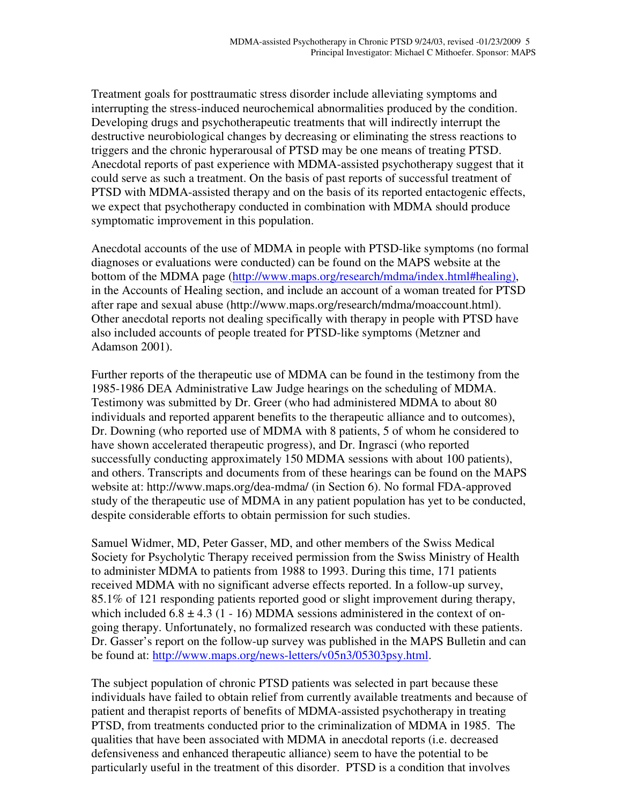Treatment goals for posttraumatic stress disorder include alleviating symptoms and interrupting the stress-induced neurochemical abnormalities produced by the condition. Developing drugs and psychotherapeutic treatments that will indirectly interrupt the destructive neurobiological changes by decreasing or eliminating the stress reactions to triggers and the chronic hyperarousal of PTSD may be one means of treating PTSD. Anecdotal reports of past experience with MDMA-assisted psychotherapy suggest that it could serve as such a treatment. On the basis of past reports of successful treatment of PTSD with MDMA-assisted therapy and on the basis of its reported entactogenic effects, we expect that psychotherapy conducted in combination with MDMA should produce symptomatic improvement in this population.

Anecdotal accounts of the use of MDMA in people with PTSD-like symptoms (no formal diagnoses or evaluations were conducted) can be found on the MAPS website at the bottom of the MDMA page (http://www.maps.org/research/mdma/index.html#healing), in the Accounts of Healing section, and include an account of a woman treated for PTSD after rape and sexual abuse (http://www.maps.org/research/mdma/moaccount.html). Other anecdotal reports not dealing specifically with therapy in people with PTSD have also included accounts of people treated for PTSD-like symptoms (Metzner and Adamson 2001).

Further reports of the therapeutic use of MDMA can be found in the testimony from the 1985-1986 DEA Administrative Law Judge hearings on the scheduling of MDMA. Testimony was submitted by Dr. Greer (who had administered MDMA to about 80 individuals and reported apparent benefits to the therapeutic alliance and to outcomes), Dr. Downing (who reported use of MDMA with 8 patients, 5 of whom he considered to have shown accelerated therapeutic progress), and Dr. Ingrasci (who reported successfully conducting approximately 150 MDMA sessions with about 100 patients), and others. Transcripts and documents from of these hearings can be found on the MAPS website at: http://www.maps.org/dea-mdma/ (in Section 6). No formal FDA-approved study of the therapeutic use of MDMA in any patient population has yet to be conducted, despite considerable efforts to obtain permission for such studies.

Samuel Widmer, MD, Peter Gasser, MD, and other members of the Swiss Medical Society for Psycholytic Therapy received permission from the Swiss Ministry of Health to administer MDMA to patients from 1988 to 1993. During this time, 171 patients received MDMA with no significant adverse effects reported. In a follow-up survey, 85.1% of 121 responding patients reported good or slight improvement during therapy, which included  $6.8 \pm 4.3$  (1 - 16) MDMA sessions administered in the context of ongoing therapy. Unfortunately, no formalized research was conducted with these patients. Dr. Gasser's report on the follow-up survey was published in the MAPS Bulletin and can be found at: http://www.maps.org/news-letters/v05n3/05303psy.html.

The subject population of chronic PTSD patients was selected in part because these individuals have failed to obtain relief from currently available treatments and because of patient and therapist reports of benefits of MDMA-assisted psychotherapy in treating PTSD, from treatments conducted prior to the criminalization of MDMA in 1985. The qualities that have been associated with MDMA in anecdotal reports (i.e. decreased defensiveness and enhanced therapeutic alliance) seem to have the potential to be particularly useful in the treatment of this disorder. PTSD is a condition that involves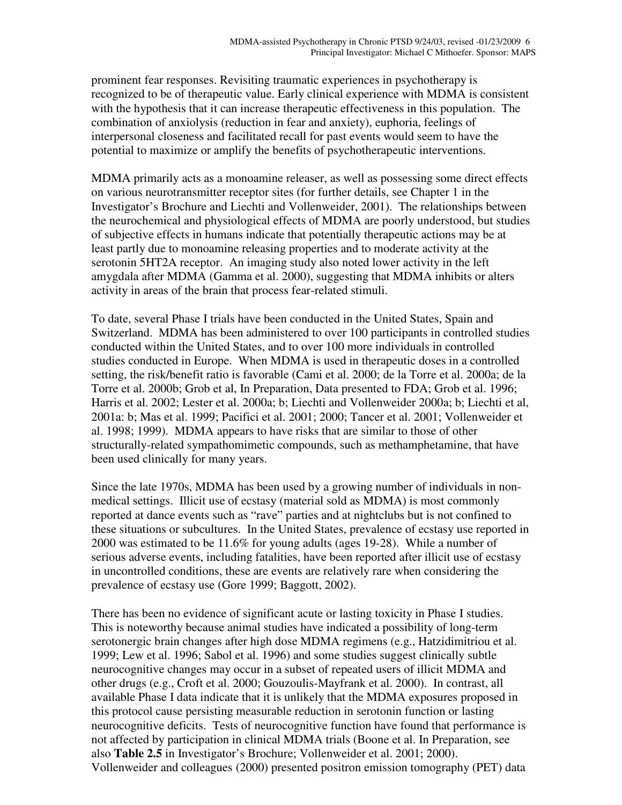prominent fear responses. Revisiting traumatic experiences in psychotherapy is recognized to be of therapeutic value. Early clinical experience with MDMA is consistent with the hypothesis that it can increase therapeutic effectiveness in this population. The combination of anxiolysis (reduction in fear and anxiety), euphoria, feelings of interpersonal closeness and facilitated recall for past events would seem to have the potential to maximize or amplify the benefits of psychotherapeutic interventions.

MDMA primarily acts as a monoamine releaser, as well as possessing some direct effects on various neurotransmitter receptor sites (for further details, see Chapter 1 in the Investigator's Brochure and Liechti and Vollenweider, 2001). The relationships between the neurochemical and physiological effects of MDMA are poorly understood, but studies of subjective effects in humans indicate that potentially therapeutic actions may be at least partly due to monoamine releasing properties and to moderate activity at the serotonin 5HT2A receptor. An imaging study also noted lower activity in the left amygdala after MDMA (Gamma et al. 2000), suggesting that MDMA inhibits or alters activity in areas of the brain that process fear-related stimuli.

To date, several Phase I trials have been conducted in the United States, Spain and Switzerland. MDMA has been administered to over 100 participants in controlled studies conducted within the United States, and to over 100 more individuals in controlled studies conducted in Europe. When MDMA is used in therapeutic doses in a controlled setting, the risk/benefit ratio is favorable (Cami et al. 2000; de la Torre et al. 2000a; de la Torre et al. 2000b; Grob et al, In Preparation, Data presented to FDA; Grob et al. 1996; Harris et al. 2002; Lester et al. 2000a; b; Liechti and Vollenweider 2000a; b; Liechti et al, 2001a: b; Mas et al. 1999; Pacifici et al. 2001; 2000; Tancer et al. 2001; Vollenweider et al. 1998; 1999). MDMA appears to have risks that are similar to those of other structurally-related sympathomimetic compounds, such as methamphetamine, that have been used clinically for many years.

Since the late 1970s, MDMA has been used by a growing number of individuals in nonmedical settings. Illicit use of ecstasy (material sold as MDMA) is most commonly reported at dance events such as "rave" parties and at nightclubs but is not confined to these situations or subcultures. In the United States, prevalence of ecstasy use reported in 2000 was estimated to be 11.6% for young adults (ages 19-28). While a number of serious adverse events, including fatalities, have been reported after illicit use of ecstasy in uncontrolled conditions, these are events are relatively rare when considering the prevalence of ecstasy use (Gore 1999; Baggott, 2002).

There has been no evidence of significant acute or lasting toxicity in Phase I studies. This is noteworthy because animal studies have indicated a possibility of long-term serotonergic brain changes after high dose MDMA regimens (e.g., Hatzidimitriou et al. 1999; Lew et al. 1996; Sabol et al. 1996) and some studies suggest clinically subtle neurocognitive changes may occur in a subset of repeated users of illicit MDMA and other drugs (e.g., Croft et al. 2000; Gouzoulis-Mayfrank et al. 2000). In contrast, all available Phase I data indicate that it is unlikely that the MDMA exposures proposed in this protocol cause persisting measurable reduction in serotonin function or lasting neurocognitive deficits. Tests of neurocognitive function have found that performance is not affected by participation in clinical MDMA trials (Boone et al. In Preparation, see also **Table 2.5** in Investigator's Brochure; Vollenweider et al. 2001; 2000). Vollenweider and colleagues (2000) presented positron emission tomography (PET) data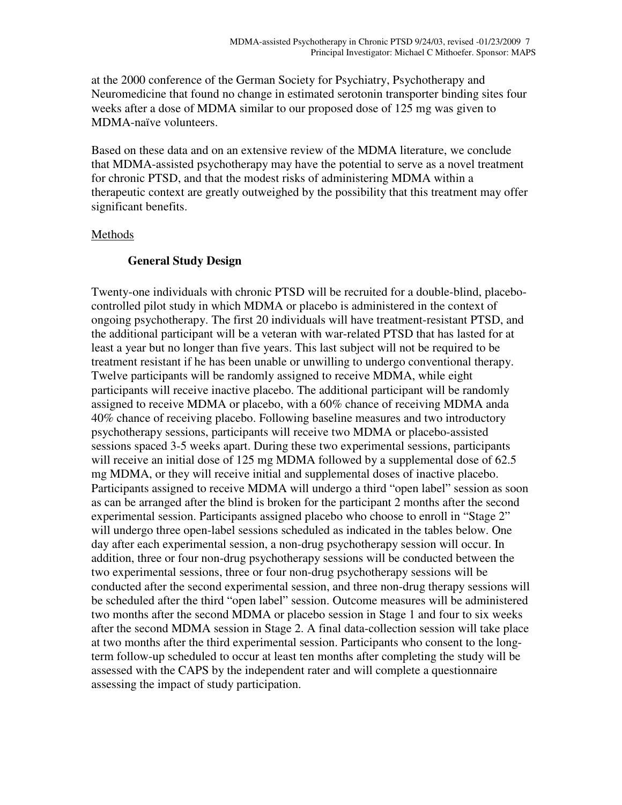at the 2000 conference of the German Society for Psychiatry, Psychotherapy and Neuromedicine that found no change in estimated serotonin transporter binding sites four weeks after a dose of MDMA similar to our proposed dose of 125 mg was given to MDMA-naïve volunteers.

Based on these data and on an extensive review of the MDMA literature, we conclude that MDMA-assisted psychotherapy may have the potential to serve as a novel treatment for chronic PTSD, and that the modest risks of administering MDMA within a therapeutic context are greatly outweighed by the possibility that this treatment may offer significant benefits.

### **Methods**

### **General Study Design**

Twenty-one individuals with chronic PTSD will be recruited for a double-blind, placebocontrolled pilot study in which MDMA or placebo is administered in the context of ongoing psychotherapy. The first 20 individuals will have treatment-resistant PTSD, and the additional participant will be a veteran with war-related PTSD that has lasted for at least a year but no longer than five years. This last subject will not be required to be treatment resistant if he has been unable or unwilling to undergo conventional therapy. Twelve participants will be randomly assigned to receive MDMA, while eight participants will receive inactive placebo. The additional participant will be randomly assigned to receive MDMA or placebo, with a 60% chance of receiving MDMA anda 40% chance of receiving placebo. Following baseline measures and two introductory psychotherapy sessions, participants will receive two MDMA or placebo-assisted sessions spaced 3-5 weeks apart. During these two experimental sessions, participants will receive an initial dose of 125 mg MDMA followed by a supplemental dose of 62.5 mg MDMA, or they will receive initial and supplemental doses of inactive placebo. Participants assigned to receive MDMA will undergo a third "open label" session as soon as can be arranged after the blind is broken for the participant 2 months after the second experimental session. Participants assigned placebo who choose to enroll in "Stage 2" will undergo three open-label sessions scheduled as indicated in the tables below. One day after each experimental session, a non-drug psychotherapy session will occur. In addition, three or four non-drug psychotherapy sessions will be conducted between the two experimental sessions, three or four non-drug psychotherapy sessions will be conducted after the second experimental session, and three non-drug therapy sessions will be scheduled after the third "open label" session. Outcome measures will be administered two months after the second MDMA or placebo session in Stage 1 and four to six weeks after the second MDMA session in Stage 2. A final data-collection session will take place at two months after the third experimental session. Participants who consent to the longterm follow-up scheduled to occur at least ten months after completing the study will be assessed with the CAPS by the independent rater and will complete a questionnaire assessing the impact of study participation.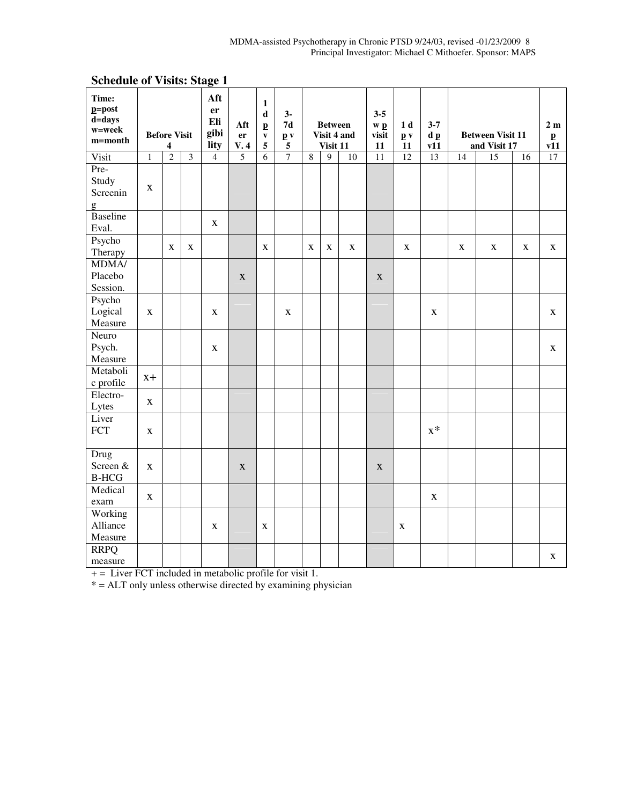| Time:<br>$p = post$<br>d=days<br>w=week<br>m=month |              | <b>Before Visit</b><br>4 |   | Aft<br>er<br>Eli<br>gibi<br>lity | Aft<br>er<br>V.4 | $\mathbf{1}$<br>$\mathbf d$<br>$\mathbf{p}$<br>$\mathbf{v}$<br>5 | $3-$<br>$7\mathrm{d}$<br>$\mathbf{p}$ v<br>$\overline{\mathbf{5}}$ |         | <b>Between</b><br>Visit 4 and<br>Visit 11 |    | $3 - 5$<br>w p<br>visit<br>11 | 1 <sub>d</sub><br>$\mathbf{p}$ v<br>11 | $3 - 7$<br>dp<br>v11 |    | <b>Between Visit 11</b><br>and Visit 17 |    | 2m<br>$\mathbf{p}$<br>$\overline{v11}$ |
|----------------------------------------------------|--------------|--------------------------|---|----------------------------------|------------------|------------------------------------------------------------------|--------------------------------------------------------------------|---------|-------------------------------------------|----|-------------------------------|----------------------------------------|----------------------|----|-----------------------------------------|----|----------------------------------------|
| Visit                                              | 1            | $\overline{c}$           | 3 | $\overline{4}$                   | $\overline{5}$   | $\overline{6}$                                                   | $\overline{7}$                                                     | $\,8\,$ | 9                                         | 10 | 11                            | 12                                     | 13                   | 14 | 15                                      | 16 | 17                                     |
| Pre-<br>Study<br>Screenin<br>g                     | $\mathbf X$  |                          |   |                                  |                  |                                                                  |                                                                    |         |                                           |    |                               |                                        |                      |    |                                         |    |                                        |
| <b>Baseline</b><br>Eval.                           |              |                          |   | $\mathbf X$                      |                  |                                                                  |                                                                    |         |                                           |    |                               |                                        |                      |    |                                         |    |                                        |
| Psycho<br>Therapy                                  |              | X                        | X |                                  |                  | X                                                                |                                                                    | X       | $\mathbf X$                               | X  |                               | $\mathbf X$                            |                      | X  | $\mathbf X$                             | X  | $\mathbf{X}$                           |
| <b>MDMA/</b><br>Placebo<br>Session.                |              |                          |   |                                  | $\mathbf X$      |                                                                  |                                                                    |         |                                           |    | $\mathbf X$                   |                                        |                      |    |                                         |    |                                        |
| Psycho<br>Logical<br>Measure                       | X            |                          |   | $\mathbf X$                      |                  |                                                                  | $\mathbf X$                                                        |         |                                           |    |                               |                                        | $\mathbf X$          |    |                                         |    | X                                      |
| Neuro<br>Psych.<br>Measure                         |              |                          |   | $\mathbf X$                      |                  |                                                                  |                                                                    |         |                                           |    |                               |                                        |                      |    |                                         |    | $\mathbf{X}$                           |
| Metaboli<br>c profile                              | $X +$        |                          |   |                                  |                  |                                                                  |                                                                    |         |                                           |    |                               |                                        |                      |    |                                         |    |                                        |
| Electro-<br>Lytes                                  | $\mathbf X$  |                          |   |                                  |                  |                                                                  |                                                                    |         |                                           |    |                               |                                        |                      |    |                                         |    |                                        |
| Liver<br>FCT                                       | $\mathbf X$  |                          |   |                                  |                  |                                                                  |                                                                    |         |                                           |    |                               |                                        | $X^*$                |    |                                         |    |                                        |
| Drug<br>Screen &<br>$\operatorname{B-HCG}$         | $\mathbf{X}$ |                          |   |                                  | $\mathbf{X}$     |                                                                  |                                                                    |         |                                           |    | X                             |                                        |                      |    |                                         |    |                                        |
| Medical<br>exam                                    | $\mathbf X$  |                          |   |                                  |                  |                                                                  |                                                                    |         |                                           |    |                               |                                        | $\mathbf X$          |    |                                         |    |                                        |
| Working<br>Alliance<br>Measure                     |              |                          |   | $\mathbf X$                      |                  | $\mathbf X$                                                      |                                                                    |         |                                           |    |                               | $\mathbf X$                            |                      |    |                                         |    |                                        |
| <b>RRPQ</b><br>measure                             |              |                          |   |                                  |                  |                                                                  |                                                                    |         |                                           |    |                               |                                        |                      |    |                                         |    | X                                      |

# **Schedule of Visits: Stage 1**

 $+$  = Liver FCT included in metabolic profile for visit 1.

 $* = ALT$  only unless otherwise directed by examining physician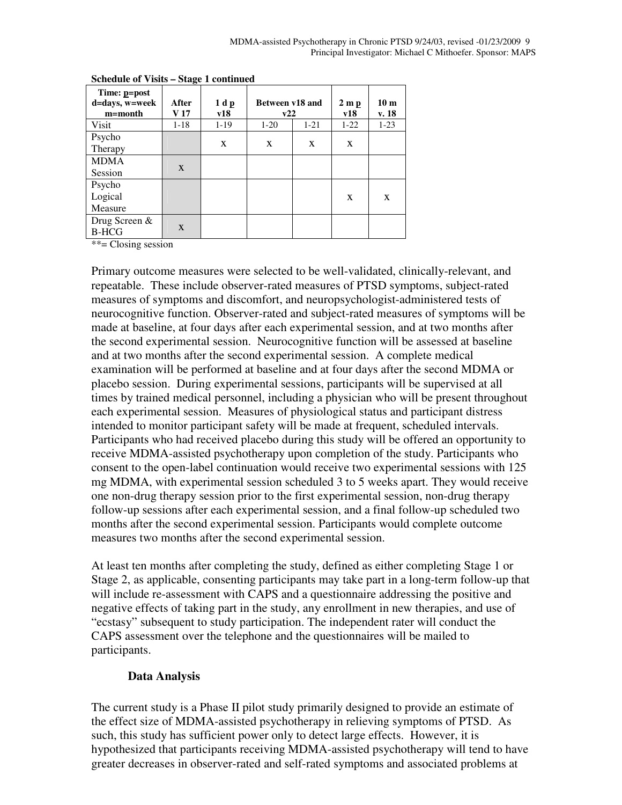| Time: p=post<br>d=days, w=week<br>$m = month$ | After<br>V <sub>17</sub> | 1 d p<br>v18 | Between v18 and<br>v22 |          | $2 \mathbf{m} \mathbf{p}$<br>v18 | 10 <sub>m</sub><br>v. 18 |
|-----------------------------------------------|--------------------------|--------------|------------------------|----------|----------------------------------|--------------------------|
| Visit                                         | $1 - 18$                 | $1-19$       | $1-20$                 | $1 - 21$ | $1-22$                           | $1-23$                   |
| Psycho<br>Therapy                             |                          | X            | X                      | X        | X                                |                          |
| <b>MDMA</b><br>Session                        | $\mathbf{X}$             |              |                        |          |                                  |                          |
| Psycho<br>Logical<br>Measure                  |                          |              |                        |          | X                                | X                        |
| Drug Screen &<br><b>B-HCG</b>                 | $\mathbf{X}$             |              |                        |          |                                  |                          |

**Schedule of Visits – Stage 1 continued**

\*\*= Closing session

Primary outcome measures were selected to be well-validated, clinically-relevant, and repeatable. These include observer-rated measures of PTSD symptoms, subject-rated measures of symptoms and discomfort, and neuropsychologist-administered tests of neurocognitive function. Observer-rated and subject-rated measures of symptoms will be made at baseline, at four days after each experimental session, and at two months after the second experimental session. Neurocognitive function will be assessed at baseline and at two months after the second experimental session. A complete medical examination will be performed at baseline and at four days after the second MDMA or placebo session. During experimental sessions, participants will be supervised at all times by trained medical personnel, including a physician who will be present throughout each experimental session. Measures of physiological status and participant distress intended to monitor participant safety will be made at frequent, scheduled intervals. Participants who had received placebo during this study will be offered an opportunity to receive MDMA-assisted psychotherapy upon completion of the study. Participants who consent to the open-label continuation would receive two experimental sessions with 125 mg MDMA, with experimental session scheduled 3 to 5 weeks apart. They would receive one non-drug therapy session prior to the first experimental session, non-drug therapy follow-up sessions after each experimental session, and a final follow-up scheduled two months after the second experimental session. Participants would complete outcome measures two months after the second experimental session.

At least ten months after completing the study, defined as either completing Stage 1 or Stage 2, as applicable, consenting participants may take part in a long-term follow-up that will include re-assessment with CAPS and a questionnaire addressing the positive and negative effects of taking part in the study, any enrollment in new therapies, and use of "ecstasy" subsequent to study participation. The independent rater will conduct the CAPS assessment over the telephone and the questionnaires will be mailed to participants.

### **Data Analysis**

The current study is a Phase II pilot study primarily designed to provide an estimate of the effect size of MDMA-assisted psychotherapy in relieving symptoms of PTSD. As such, this study has sufficient power only to detect large effects. However, it is hypothesized that participants receiving MDMA-assisted psychotherapy will tend to have greater decreases in observer-rated and self-rated symptoms and associated problems at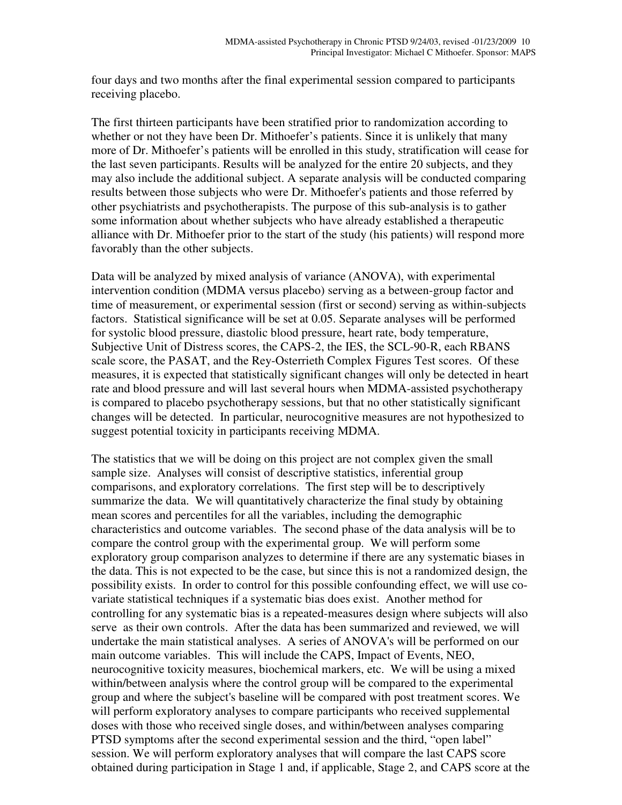four days and two months after the final experimental session compared to participants receiving placebo.

The first thirteen participants have been stratified prior to randomization according to whether or not they have been Dr. Mithoefer's patients. Since it is unlikely that many more of Dr. Mithoefer's patients will be enrolled in this study, stratification will cease for the last seven participants. Results will be analyzed for the entire 20 subjects, and they may also include the additional subject. A separate analysis will be conducted comparing results between those subjects who were Dr. Mithoefer's patients and those referred by other psychiatrists and psychotherapists. The purpose of this sub-analysis is to gather some information about whether subjects who have already established a therapeutic alliance with Dr. Mithoefer prior to the start of the study (his patients) will respond more favorably than the other subjects.

Data will be analyzed by mixed analysis of variance (ANOVA), with experimental intervention condition (MDMA versus placebo) serving as a between-group factor and time of measurement, or experimental session (first or second) serving as within-subjects factors. Statistical significance will be set at 0.05. Separate analyses will be performed for systolic blood pressure, diastolic blood pressure, heart rate, body temperature, Subjective Unit of Distress scores, the CAPS-2, the IES, the SCL-90-R, each RBANS scale score, the PASAT, and the Rey-Osterrieth Complex Figures Test scores. Of these measures, it is expected that statistically significant changes will only be detected in heart rate and blood pressure and will last several hours when MDMA-assisted psychotherapy is compared to placebo psychotherapy sessions, but that no other statistically significant changes will be detected. In particular, neurocognitive measures are not hypothesized to suggest potential toxicity in participants receiving MDMA.

The statistics that we will be doing on this project are not complex given the small sample size. Analyses will consist of descriptive statistics, inferential group comparisons, and exploratory correlations. The first step will be to descriptively summarize the data. We will quantitatively characterize the final study by obtaining mean scores and percentiles for all the variables, including the demographic characteristics and outcome variables. The second phase of the data analysis will be to compare the control group with the experimental group. We will perform some exploratory group comparison analyzes to determine if there are any systematic biases in the data. This is not expected to be the case, but since this is not a randomized design, the possibility exists. In order to control for this possible confounding effect, we will use covariate statistical techniques if a systematic bias does exist. Another method for controlling for any systematic bias is a repeated-measures design where subjects will also serve as their own controls. After the data has been summarized and reviewed, we will undertake the main statistical analyses. A series of ANOVA's will be performed on our main outcome variables. This will include the CAPS, Impact of Events, NEO, neurocognitive toxicity measures, biochemical markers, etc. We will be using a mixed within/between analysis where the control group will be compared to the experimental group and where the subject's baseline will be compared with post treatment scores. We will perform exploratory analyses to compare participants who received supplemental doses with those who received single doses, and within/between analyses comparing PTSD symptoms after the second experimental session and the third, "open label" session. We will perform exploratory analyses that will compare the last CAPS score obtained during participation in Stage 1 and, if applicable, Stage 2, and CAPS score at the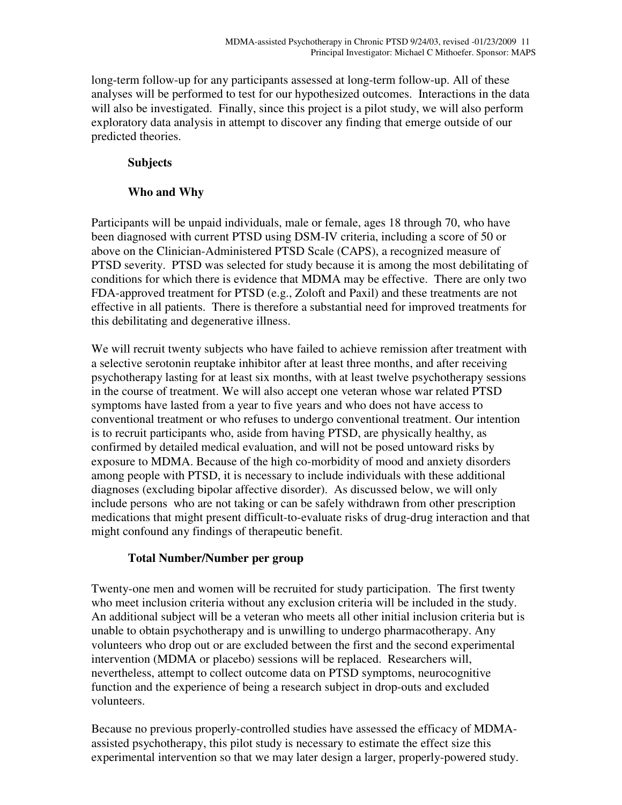long-term follow-up for any participants assessed at long-term follow-up. All of these analyses will be performed to test for our hypothesized outcomes. Interactions in the data will also be investigated. Finally, since this project is a pilot study, we will also perform exploratory data analysis in attempt to discover any finding that emerge outside of our predicted theories.

## **Subjects**

## **Who and Why**

Participants will be unpaid individuals, male or female, ages 18 through 70, who have been diagnosed with current PTSD using DSM-IV criteria, including a score of 50 or above on the Clinician-Administered PTSD Scale (CAPS), a recognized measure of PTSD severity. PTSD was selected for study because it is among the most debilitating of conditions for which there is evidence that MDMA may be effective. There are only two FDA-approved treatment for PTSD (e.g., Zoloft and Paxil) and these treatments are not effective in all patients. There is therefore a substantial need for improved treatments for this debilitating and degenerative illness.

We will recruit twenty subjects who have failed to achieve remission after treatment with a selective serotonin reuptake inhibitor after at least three months, and after receiving psychotherapy lasting for at least six months, with at least twelve psychotherapy sessions in the course of treatment. We will also accept one veteran whose war related PTSD symptoms have lasted from a year to five years and who does not have access to conventional treatment or who refuses to undergo conventional treatment. Our intention is to recruit participants who, aside from having PTSD, are physically healthy, as confirmed by detailed medical evaluation, and will not be posed untoward risks by exposure to MDMA. Because of the high co-morbidity of mood and anxiety disorders among people with PTSD, it is necessary to include individuals with these additional diagnoses (excluding bipolar affective disorder). As discussed below, we will only include persons who are not taking or can be safely withdrawn from other prescription medications that might present difficult-to-evaluate risks of drug-drug interaction and that might confound any findings of therapeutic benefit.

## **Total Number/Number per group**

Twenty-one men and women will be recruited for study participation. The first twenty who meet inclusion criteria without any exclusion criteria will be included in the study. An additional subject will be a veteran who meets all other initial inclusion criteria but is unable to obtain psychotherapy and is unwilling to undergo pharmacotherapy. Any volunteers who drop out or are excluded between the first and the second experimental intervention (MDMA or placebo) sessions will be replaced. Researchers will, nevertheless, attempt to collect outcome data on PTSD symptoms, neurocognitive function and the experience of being a research subject in drop-outs and excluded volunteers.

Because no previous properly-controlled studies have assessed the efficacy of MDMAassisted psychotherapy, this pilot study is necessary to estimate the effect size this experimental intervention so that we may later design a larger, properly-powered study.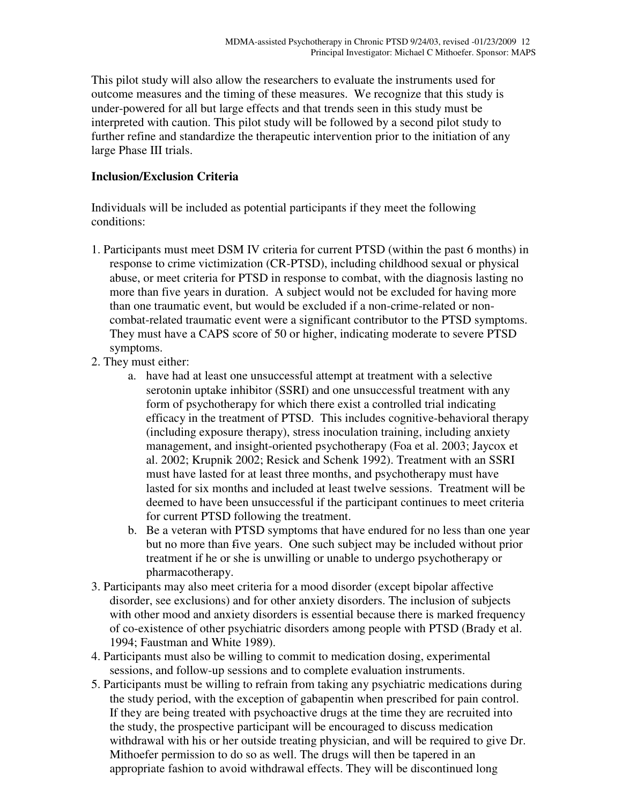This pilot study will also allow the researchers to evaluate the instruments used for outcome measures and the timing of these measures. We recognize that this study is under-powered for all but large effects and that trends seen in this study must be interpreted with caution. This pilot study will be followed by a second pilot study to further refine and standardize the therapeutic intervention prior to the initiation of any large Phase III trials.

## **Inclusion/Exclusion Criteria**

Individuals will be included as potential participants if they meet the following conditions:

- 1. Participants must meet DSM IV criteria for current PTSD (within the past 6 months) in response to crime victimization (CR-PTSD), including childhood sexual or physical abuse, or meet criteria for PTSD in response to combat, with the diagnosis lasting no more than five years in duration. A subject would not be excluded for having more than one traumatic event, but would be excluded if a non-crime-related or noncombat-related traumatic event were a significant contributor to the PTSD symptoms. They must have a CAPS score of 50 or higher, indicating moderate to severe PTSD symptoms.
- 2. They must either:
	- a. have had at least one unsuccessful attempt at treatment with a selective serotonin uptake inhibitor (SSRI) and one unsuccessful treatment with any form of psychotherapy for which there exist a controlled trial indicating efficacy in the treatment of PTSD. This includes cognitive-behavioral therapy (including exposure therapy), stress inoculation training, including anxiety management, and insight-oriented psychotherapy (Foa et al. 2003; Jaycox et al. 2002; Krupnik 2002; Resick and Schenk 1992). Treatment with an SSRI must have lasted for at least three months, and psychotherapy must have lasted for six months and included at least twelve sessions. Treatment will be deemed to have been unsuccessful if the participant continues to meet criteria for current PTSD following the treatment.
	- b. Be a veteran with PTSD symptoms that have endured for no less than one year but no more than five years. One such subject may be included without prior treatment if he or she is unwilling or unable to undergo psychotherapy or pharmacotherapy.
- 3. Participants may also meet criteria for a mood disorder (except bipolar affective disorder, see exclusions) and for other anxiety disorders. The inclusion of subjects with other mood and anxiety disorders is essential because there is marked frequency of co-existence of other psychiatric disorders among people with PTSD (Brady et al. 1994; Faustman and White 1989).
- 4. Participants must also be willing to commit to medication dosing, experimental sessions, and follow-up sessions and to complete evaluation instruments.
- 5. Participants must be willing to refrain from taking any psychiatric medications during the study period, with the exception of gabapentin when prescribed for pain control. If they are being treated with psychoactive drugs at the time they are recruited into the study, the prospective participant will be encouraged to discuss medication withdrawal with his or her outside treating physician, and will be required to give Dr. Mithoefer permission to do so as well. The drugs will then be tapered in an appropriate fashion to avoid withdrawal effects. They will be discontinued long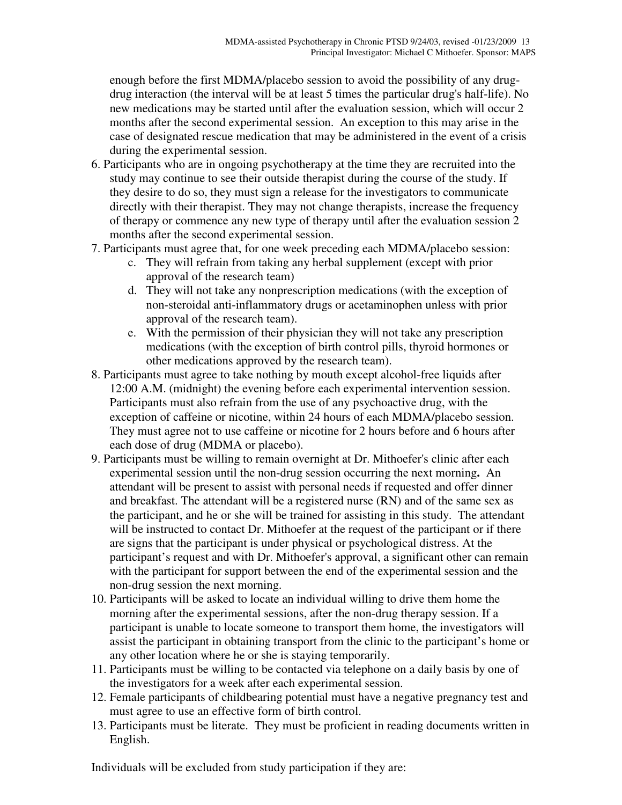enough before the first MDMA/placebo session to avoid the possibility of any drugdrug interaction (the interval will be at least 5 times the particular drug's half-life). No new medications may be started until after the evaluation session, which will occur 2 months after the second experimental session. An exception to this may arise in the case of designated rescue medication that may be administered in the event of a crisis during the experimental session.

- 6. Participants who are in ongoing psychotherapy at the time they are recruited into the study may continue to see their outside therapist during the course of the study. If they desire to do so, they must sign a release for the investigators to communicate directly with their therapist. They may not change therapists, increase the frequency of therapy or commence any new type of therapy until after the evaluation session 2 months after the second experimental session.
- 7. Participants must agree that, for one week preceding each MDMA/placebo session:
	- c. They will refrain from taking any herbal supplement (except with prior approval of the research team)
	- d. They will not take any nonprescription medications (with the exception of non-steroidal anti-inflammatory drugs or acetaminophen unless with prior approval of the research team).
	- e. With the permission of their physician they will not take any prescription medications (with the exception of birth control pills, thyroid hormones or other medications approved by the research team).
- 8. Participants must agree to take nothing by mouth except alcohol-free liquids after 12:00 A.M. (midnight) the evening before each experimental intervention session. Participants must also refrain from the use of any psychoactive drug, with the exception of caffeine or nicotine, within 24 hours of each MDMA/placebo session. They must agree not to use caffeine or nicotine for 2 hours before and 6 hours after each dose of drug (MDMA or placebo).
- 9. Participants must be willing to remain overnight at Dr. Mithoefer's clinic after each experimental session until the non-drug session occurring the next morning**.** An attendant will be present to assist with personal needs if requested and offer dinner and breakfast. The attendant will be a registered nurse (RN) and of the same sex as the participant, and he or she will be trained for assisting in this study. The attendant will be instructed to contact Dr. Mithoefer at the request of the participant or if there are signs that the participant is under physical or psychological distress. At the participant's request and with Dr. Mithoefer's approval, a significant other can remain with the participant for support between the end of the experimental session and the non-drug session the next morning.
- 10. Participants will be asked to locate an individual willing to drive them home the morning after the experimental sessions, after the non-drug therapy session. If a participant is unable to locate someone to transport them home, the investigators will assist the participant in obtaining transport from the clinic to the participant's home or any other location where he or she is staying temporarily.
- 11. Participants must be willing to be contacted via telephone on a daily basis by one of the investigators for a week after each experimental session.
- 12. Female participants of childbearing potential must have a negative pregnancy test and must agree to use an effective form of birth control.
- 13. Participants must be literate. They must be proficient in reading documents written in English.

Individuals will be excluded from study participation if they are: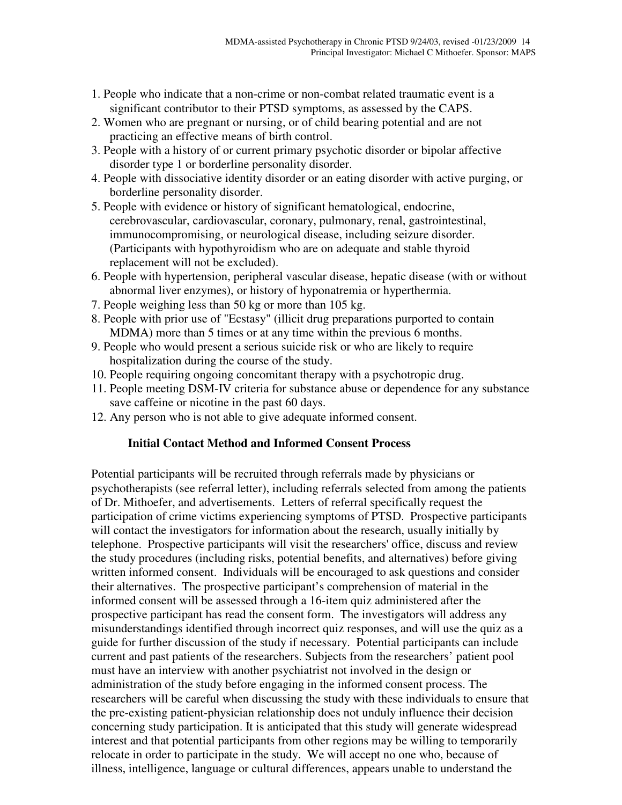- 1. People who indicate that a non-crime or non-combat related traumatic event is a significant contributor to their PTSD symptoms, as assessed by the CAPS.
- 2. Women who are pregnant or nursing, or of child bearing potential and are not practicing an effective means of birth control.
- 3. People with a history of or current primary psychotic disorder or bipolar affective disorder type 1 or borderline personality disorder.
- 4. People with dissociative identity disorder or an eating disorder with active purging, or borderline personality disorder.
- 5. People with evidence or history of significant hematological, endocrine, cerebrovascular, cardiovascular, coronary, pulmonary, renal, gastrointestinal, immunocompromising, or neurological disease, including seizure disorder. (Participants with hypothyroidism who are on adequate and stable thyroid replacement will not be excluded).
- 6. People with hypertension, peripheral vascular disease, hepatic disease (with or without abnormal liver enzymes), or history of hyponatremia or hyperthermia.
- 7. People weighing less than 50 kg or more than 105 kg.
- 8. People with prior use of "Ecstasy" (illicit drug preparations purported to contain MDMA) more than 5 times or at any time within the previous 6 months.
- 9. People who would present a serious suicide risk or who are likely to require hospitalization during the course of the study.
- 10. People requiring ongoing concomitant therapy with a psychotropic drug.
- 11. People meeting DSM-IV criteria for substance abuse or dependence for any substance save caffeine or nicotine in the past 60 days.
- 12. Any person who is not able to give adequate informed consent.

### **Initial Contact Method and Informed Consent Process**

Potential participants will be recruited through referrals made by physicians or psychotherapists (see referral letter), including referrals selected from among the patients of Dr. Mithoefer, and advertisements. Letters of referral specifically request the participation of crime victims experiencing symptoms of PTSD. Prospective participants will contact the investigators for information about the research, usually initially by telephone. Prospective participants will visit the researchers' office, discuss and review the study procedures (including risks, potential benefits, and alternatives) before giving written informed consent. Individuals will be encouraged to ask questions and consider their alternatives. The prospective participant's comprehension of material in the informed consent will be assessed through a 16-item quiz administered after the prospective participant has read the consent form. The investigators will address any misunderstandings identified through incorrect quiz responses, and will use the quiz as a guide for further discussion of the study if necessary. Potential participants can include current and past patients of the researchers. Subjects from the researchers' patient pool must have an interview with another psychiatrist not involved in the design or administration of the study before engaging in the informed consent process. The researchers will be careful when discussing the study with these individuals to ensure that the pre-existing patient-physician relationship does not unduly influence their decision concerning study participation. It is anticipated that this study will generate widespread interest and that potential participants from other regions may be willing to temporarily relocate in order to participate in the study. We will accept no one who, because of illness, intelligence, language or cultural differences, appears unable to understand the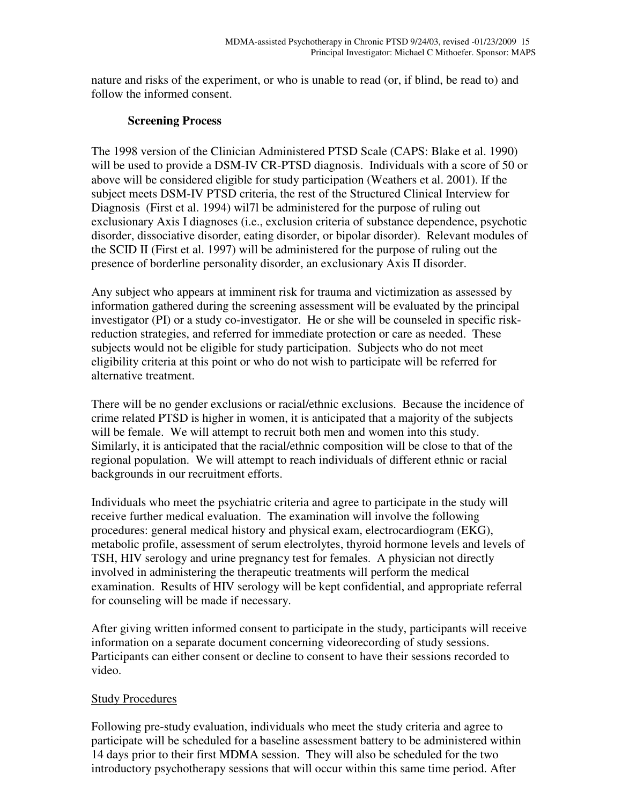nature and risks of the experiment, or who is unable to read (or, if blind, be read to) and follow the informed consent.

## **Screening Process**

The 1998 version of the Clinician Administered PTSD Scale (CAPS: Blake et al. 1990) will be used to provide a DSM-IV CR-PTSD diagnosis. Individuals with a score of 50 or above will be considered eligible for study participation (Weathers et al. 2001). If the subject meets DSM-IV PTSD criteria, the rest of the Structured Clinical Interview for Diagnosis (First et al. 1994) wil7l be administered for the purpose of ruling out exclusionary Axis I diagnoses (i.e., exclusion criteria of substance dependence, psychotic disorder, dissociative disorder, eating disorder, or bipolar disorder). Relevant modules of the SCID II (First et al. 1997) will be administered for the purpose of ruling out the presence of borderline personality disorder, an exclusionary Axis II disorder.

Any subject who appears at imminent risk for trauma and victimization as assessed by information gathered during the screening assessment will be evaluated by the principal investigator (PI) or a study co-investigator. He or she will be counseled in specific riskreduction strategies, and referred for immediate protection or care as needed. These subjects would not be eligible for study participation. Subjects who do not meet eligibility criteria at this point or who do not wish to participate will be referred for alternative treatment.

There will be no gender exclusions or racial/ethnic exclusions. Because the incidence of crime related PTSD is higher in women, it is anticipated that a majority of the subjects will be female. We will attempt to recruit both men and women into this study. Similarly, it is anticipated that the racial/ethnic composition will be close to that of the regional population. We will attempt to reach individuals of different ethnic or racial backgrounds in our recruitment efforts.

Individuals who meet the psychiatric criteria and agree to participate in the study will receive further medical evaluation. The examination will involve the following procedures: general medical history and physical exam, electrocardiogram (EKG), metabolic profile, assessment of serum electrolytes, thyroid hormone levels and levels of TSH, HIV serology and urine pregnancy test for females. A physician not directly involved in administering the therapeutic treatments will perform the medical examination. Results of HIV serology will be kept confidential, and appropriate referral for counseling will be made if necessary.

After giving written informed consent to participate in the study, participants will receive information on a separate document concerning videorecording of study sessions. Participants can either consent or decline to consent to have their sessions recorded to video.

## Study Procedures

Following pre-study evaluation, individuals who meet the study criteria and agree to participate will be scheduled for a baseline assessment battery to be administered within 14 days prior to their first MDMA session. They will also be scheduled for the two introductory psychotherapy sessions that will occur within this same time period. After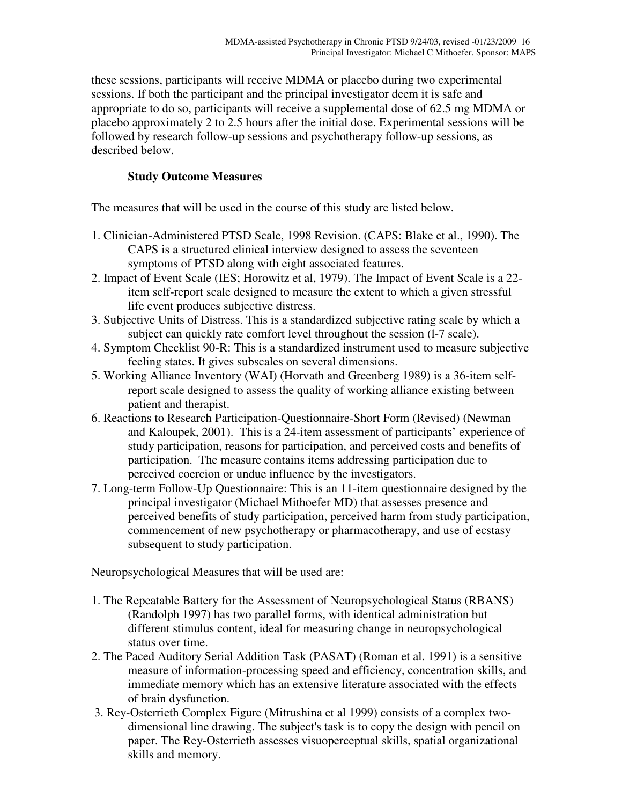these sessions, participants will receive MDMA or placebo during two experimental sessions. If both the participant and the principal investigator deem it is safe and appropriate to do so, participants will receive a supplemental dose of 62.5 mg MDMA or placebo approximately 2 to 2.5 hours after the initial dose. Experimental sessions will be followed by research follow-up sessions and psychotherapy follow-up sessions, as described below.

## **Study Outcome Measures**

The measures that will be used in the course of this study are listed below.

- 1. Clinician-Administered PTSD Scale, 1998 Revision. (CAPS: Blake et al., 1990). The CAPS is a structured clinical interview designed to assess the seventeen symptoms of PTSD along with eight associated features.
- 2. Impact of Event Scale (IES; Horowitz et al, 1979). The Impact of Event Scale is a 22 item self-report scale designed to measure the extent to which a given stressful life event produces subjective distress.
- 3. Subjective Units of Distress. This is a standardized subjective rating scale by which a subject can quickly rate comfort level throughout the session (l-7 scale).
- 4. Symptom Checklist 90-R: This is a standardized instrument used to measure subjective feeling states. It gives subscales on several dimensions.
- 5. Working Alliance Inventory (WAI) (Horvath and Greenberg 1989) is a 36-item selfreport scale designed to assess the quality of working alliance existing between patient and therapist.
- 6. Reactions to Research Participation-Questionnaire-Short Form (Revised) (Newman and Kaloupek, 2001). This is a 24-item assessment of participants' experience of study participation, reasons for participation, and perceived costs and benefits of participation. The measure contains items addressing participation due to perceived coercion or undue influence by the investigators.
- 7. Long-term Follow-Up Questionnaire: This is an 11-item questionnaire designed by the principal investigator (Michael Mithoefer MD) that assesses presence and perceived benefits of study participation, perceived harm from study participation, commencement of new psychotherapy or pharmacotherapy, and use of ecstasy subsequent to study participation.

Neuropsychological Measures that will be used are:

- 1. The Repeatable Battery for the Assessment of Neuropsychological Status (RBANS) (Randolph 1997) has two parallel forms, with identical administration but different stimulus content, ideal for measuring change in neuropsychological status over time.
- 2. The Paced Auditory Serial Addition Task (PASAT) (Roman et al. 1991) is a sensitive measure of information-processing speed and efficiency, concentration skills, and immediate memory which has an extensive literature associated with the effects of brain dysfunction.
- 3. Rey-Osterrieth Complex Figure (Mitrushina et al 1999) consists of a complex twodimensional line drawing. The subject's task is to copy the design with pencil on paper. The Rey-Osterrieth assesses visuoperceptual skills, spatial organizational skills and memory.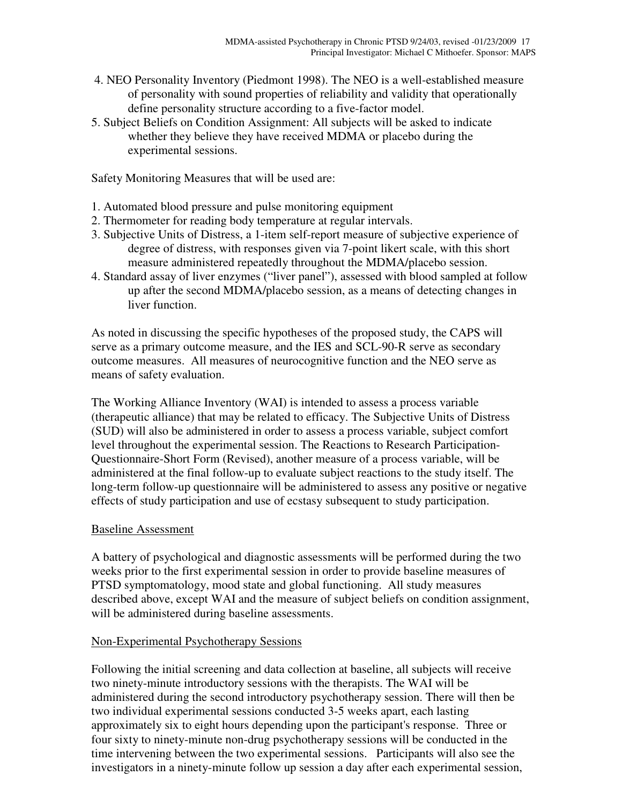- 4. NEO Personality Inventory (Piedmont 1998). The NEO is a well-established measure of personality with sound properties of reliability and validity that operationally define personality structure according to a five-factor model.
- 5. Subject Beliefs on Condition Assignment: All subjects will be asked to indicate whether they believe they have received MDMA or placebo during the experimental sessions.

Safety Monitoring Measures that will be used are:

- 1. Automated blood pressure and pulse monitoring equipment
- 2. Thermometer for reading body temperature at regular intervals.
- 3. Subjective Units of Distress, a 1-item self-report measure of subjective experience of degree of distress, with responses given via 7-point likert scale, with this short measure administered repeatedly throughout the MDMA/placebo session.
- 4. Standard assay of liver enzymes ("liver panel"), assessed with blood sampled at follow up after the second MDMA/placebo session, as a means of detecting changes in liver function.

As noted in discussing the specific hypotheses of the proposed study, the CAPS will serve as a primary outcome measure, and the IES and SCL-90-R serve as secondary outcome measures. All measures of neurocognitive function and the NEO serve as means of safety evaluation.

The Working Alliance Inventory (WAI) is intended to assess a process variable (therapeutic alliance) that may be related to efficacy. The Subjective Units of Distress (SUD) will also be administered in order to assess a process variable, subject comfort level throughout the experimental session. The Reactions to Research Participation-Questionnaire-Short Form (Revised), another measure of a process variable, will be administered at the final follow-up to evaluate subject reactions to the study itself. The long-term follow-up questionnaire will be administered to assess any positive or negative effects of study participation and use of ecstasy subsequent to study participation.

### Baseline Assessment

A battery of psychological and diagnostic assessments will be performed during the two weeks prior to the first experimental session in order to provide baseline measures of PTSD symptomatology, mood state and global functioning. All study measures described above, except WAI and the measure of subject beliefs on condition assignment, will be administered during baseline assessments.

### Non-Experimental Psychotherapy Sessions

Following the initial screening and data collection at baseline, all subjects will receive two ninety-minute introductory sessions with the therapists. The WAI will be administered during the second introductory psychotherapy session. There will then be two individual experimental sessions conducted 3-5 weeks apart, each lasting approximately six to eight hours depending upon the participant's response. Three or four sixty to ninety-minute non-drug psychotherapy sessions will be conducted in the time intervening between the two experimental sessions. Participants will also see the investigators in a ninety-minute follow up session a day after each experimental session,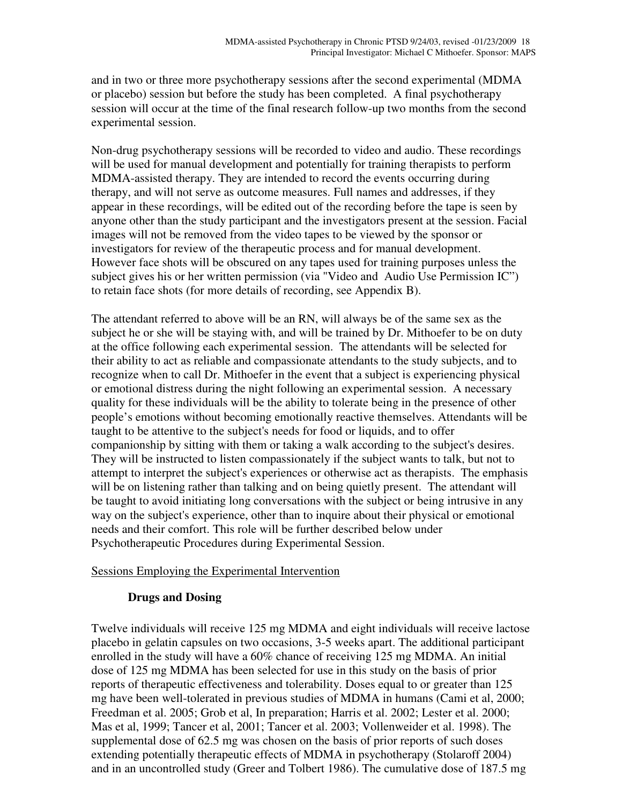and in two or three more psychotherapy sessions after the second experimental (MDMA or placebo) session but before the study has been completed. A final psychotherapy session will occur at the time of the final research follow-up two months from the second experimental session.

Non-drug psychotherapy sessions will be recorded to video and audio. These recordings will be used for manual development and potentially for training therapists to perform MDMA-assisted therapy. They are intended to record the events occurring during therapy, and will not serve as outcome measures. Full names and addresses, if they appear in these recordings, will be edited out of the recording before the tape is seen by anyone other than the study participant and the investigators present at the session. Facial images will not be removed from the video tapes to be viewed by the sponsor or investigators for review of the therapeutic process and for manual development. However face shots will be obscured on any tapes used for training purposes unless the subject gives his or her written permission (via "Video and Audio Use Permission IC") to retain face shots (for more details of recording, see Appendix B).

The attendant referred to above will be an RN, will always be of the same sex as the subject he or she will be staying with, and will be trained by Dr. Mithoefer to be on duty at the office following each experimental session. The attendants will be selected for their ability to act as reliable and compassionate attendants to the study subjects, and to recognize when to call Dr. Mithoefer in the event that a subject is experiencing physical or emotional distress during the night following an experimental session. A necessary quality for these individuals will be the ability to tolerate being in the presence of other people's emotions without becoming emotionally reactive themselves. Attendants will be taught to be attentive to the subject's needs for food or liquids, and to offer companionship by sitting with them or taking a walk according to the subject's desires. They will be instructed to listen compassionately if the subject wants to talk, but not to attempt to interpret the subject's experiences or otherwise act as therapists. The emphasis will be on listening rather than talking and on being quietly present. The attendant will be taught to avoid initiating long conversations with the subject or being intrusive in any way on the subject's experience, other than to inquire about their physical or emotional needs and their comfort. This role will be further described below under Psychotherapeutic Procedures during Experimental Session.

### Sessions Employing the Experimental Intervention

### **Drugs and Dosing**

Twelve individuals will receive 125 mg MDMA and eight individuals will receive lactose placebo in gelatin capsules on two occasions, 3-5 weeks apart. The additional participant enrolled in the study will have a 60% chance of receiving 125 mg MDMA. An initial dose of 125 mg MDMA has been selected for use in this study on the basis of prior reports of therapeutic effectiveness and tolerability. Doses equal to or greater than 125 mg have been well-tolerated in previous studies of MDMA in humans (Cami et al, 2000; Freedman et al. 2005; Grob et al, In preparation; Harris et al. 2002; Lester et al. 2000; Mas et al, 1999; Tancer et al, 2001; Tancer et al. 2003; Vollenweider et al. 1998). The supplemental dose of 62.5 mg was chosen on the basis of prior reports of such doses extending potentially therapeutic effects of MDMA in psychotherapy (Stolaroff 2004) and in an uncontrolled study (Greer and Tolbert 1986). The cumulative dose of 187.5 mg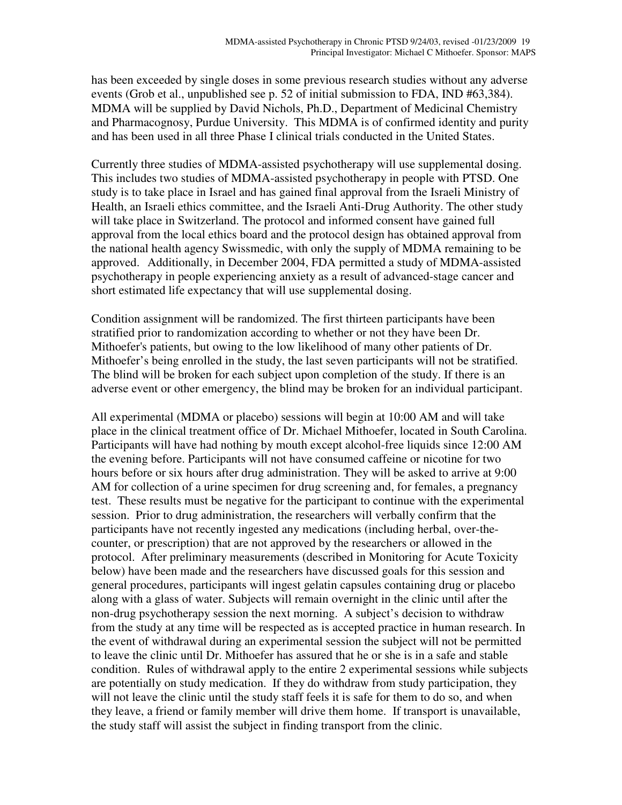has been exceeded by single doses in some previous research studies without any adverse events (Grob et al., unpublished see p. 52 of initial submission to FDA, IND #63,384). MDMA will be supplied by David Nichols, Ph.D., Department of Medicinal Chemistry and Pharmacognosy, Purdue University. This MDMA is of confirmed identity and purity and has been used in all three Phase I clinical trials conducted in the United States.

Currently three studies of MDMA-assisted psychotherapy will use supplemental dosing. This includes two studies of MDMA-assisted psychotherapy in people with PTSD. One study is to take place in Israel and has gained final approval from the Israeli Ministry of Health, an Israeli ethics committee, and the Israeli Anti-Drug Authority. The other study will take place in Switzerland. The protocol and informed consent have gained full approval from the local ethics board and the protocol design has obtained approval from the national health agency Swissmedic, with only the supply of MDMA remaining to be approved. Additionally, in December 2004, FDA permitted a study of MDMA-assisted psychotherapy in people experiencing anxiety as a result of advanced-stage cancer and short estimated life expectancy that will use supplemental dosing.

Condition assignment will be randomized. The first thirteen participants have been stratified prior to randomization according to whether or not they have been Dr. Mithoefer's patients, but owing to the low likelihood of many other patients of Dr. Mithoefer's being enrolled in the study, the last seven participants will not be stratified. The blind will be broken for each subject upon completion of the study. If there is an adverse event or other emergency, the blind may be broken for an individual participant.

All experimental (MDMA or placebo) sessions will begin at 10:00 AM and will take place in the clinical treatment office of Dr. Michael Mithoefer, located in South Carolina. Participants will have had nothing by mouth except alcohol-free liquids since 12:00 AM the evening before. Participants will not have consumed caffeine or nicotine for two hours before or six hours after drug administration. They will be asked to arrive at 9:00 AM for collection of a urine specimen for drug screening and, for females, a pregnancy test. These results must be negative for the participant to continue with the experimental session. Prior to drug administration, the researchers will verbally confirm that the participants have not recently ingested any medications (including herbal, over-thecounter, or prescription) that are not approved by the researchers or allowed in the protocol. After preliminary measurements (described in Monitoring for Acute Toxicity below) have been made and the researchers have discussed goals for this session and general procedures, participants will ingest gelatin capsules containing drug or placebo along with a glass of water. Subjects will remain overnight in the clinic until after the non-drug psychotherapy session the next morning. A subject's decision to withdraw from the study at any time will be respected as is accepted practice in human research. In the event of withdrawal during an experimental session the subject will not be permitted to leave the clinic until Dr. Mithoefer has assured that he or she is in a safe and stable condition. Rules of withdrawal apply to the entire 2 experimental sessions while subjects are potentially on study medication. If they do withdraw from study participation, they will not leave the clinic until the study staff feels it is safe for them to do so, and when they leave, a friend or family member will drive them home. If transport is unavailable, the study staff will assist the subject in finding transport from the clinic.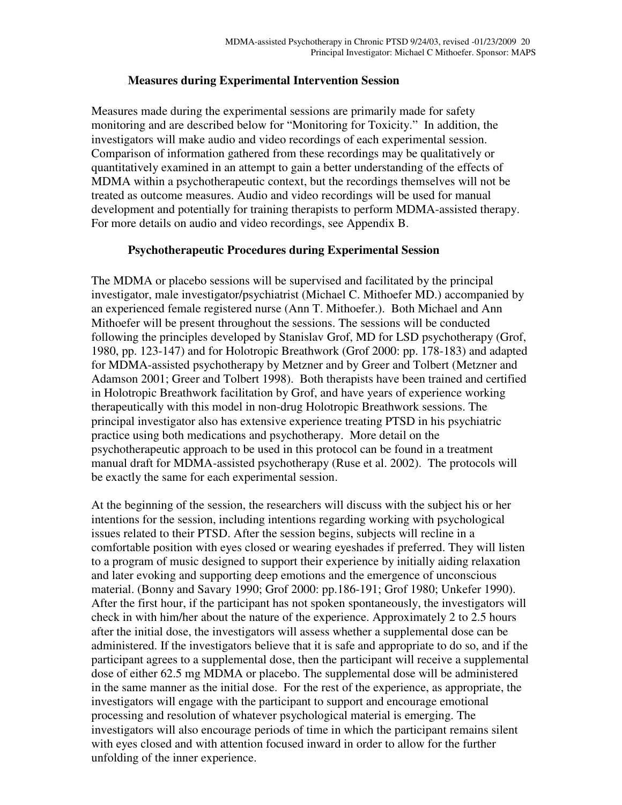### **Measures during Experimental Intervention Session**

Measures made during the experimental sessions are primarily made for safety monitoring and are described below for "Monitoring for Toxicity." In addition, the investigators will make audio and video recordings of each experimental session. Comparison of information gathered from these recordings may be qualitatively or quantitatively examined in an attempt to gain a better understanding of the effects of MDMA within a psychotherapeutic context, but the recordings themselves will not be treated as outcome measures. Audio and video recordings will be used for manual development and potentially for training therapists to perform MDMA-assisted therapy. For more details on audio and video recordings, see Appendix B.

## **Psychotherapeutic Procedures during Experimental Session**

The MDMA or placebo sessions will be supervised and facilitated by the principal investigator, male investigator/psychiatrist (Michael C. Mithoefer MD.) accompanied by an experienced female registered nurse (Ann T. Mithoefer.). Both Michael and Ann Mithoefer will be present throughout the sessions. The sessions will be conducted following the principles developed by Stanislav Grof, MD for LSD psychotherapy (Grof, 1980, pp. 123-147) and for Holotropic Breathwork (Grof 2000: pp. 178-183) and adapted for MDMA-assisted psychotherapy by Metzner and by Greer and Tolbert (Metzner and Adamson 2001; Greer and Tolbert 1998). Both therapists have been trained and certified in Holotropic Breathwork facilitation by Grof, and have years of experience working therapeutically with this model in non-drug Holotropic Breathwork sessions. The principal investigator also has extensive experience treating PTSD in his psychiatric practice using both medications and psychotherapy. More detail on the psychotherapeutic approach to be used in this protocol can be found in a treatment manual draft for MDMA-assisted psychotherapy (Ruse et al. 2002). The protocols will be exactly the same for each experimental session.

At the beginning of the session, the researchers will discuss with the subject his or her intentions for the session, including intentions regarding working with psychological issues related to their PTSD. After the session begins, subjects will recline in a comfortable position with eyes closed or wearing eyeshades if preferred. They will listen to a program of music designed to support their experience by initially aiding relaxation and later evoking and supporting deep emotions and the emergence of unconscious material. (Bonny and Savary 1990; Grof 2000: pp.186-191; Grof 1980; Unkefer 1990). After the first hour, if the participant has not spoken spontaneously, the investigators will check in with him/her about the nature of the experience. Approximately 2 to 2.5 hours after the initial dose, the investigators will assess whether a supplemental dose can be administered. If the investigators believe that it is safe and appropriate to do so, and if the participant agrees to a supplemental dose, then the participant will receive a supplemental dose of either 62.5 mg MDMA or placebo. The supplemental dose will be administered in the same manner as the initial dose. For the rest of the experience, as appropriate, the investigators will engage with the participant to support and encourage emotional processing and resolution of whatever psychological material is emerging. The investigators will also encourage periods of time in which the participant remains silent with eyes closed and with attention focused inward in order to allow for the further unfolding of the inner experience.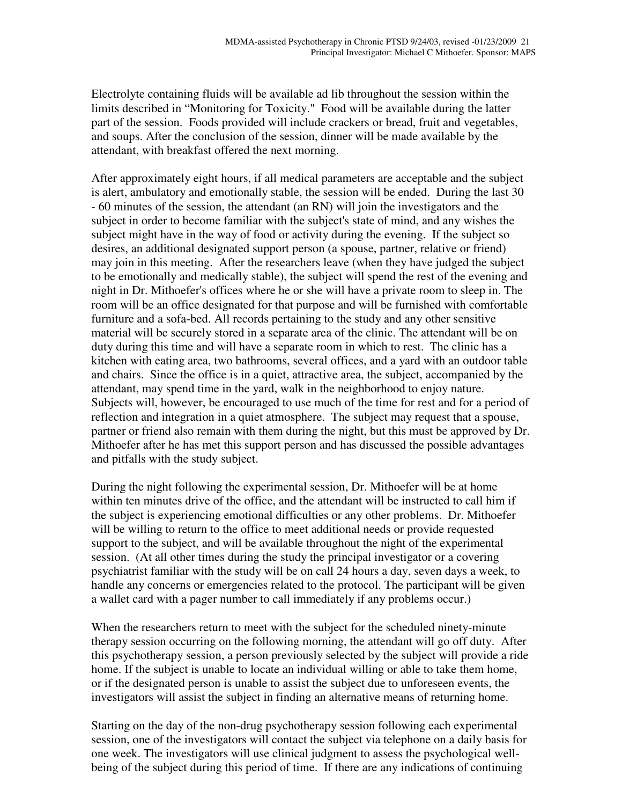Electrolyte containing fluids will be available ad lib throughout the session within the limits described in "Monitoring for Toxicity." Food will be available during the latter part of the session. Foods provided will include crackers or bread, fruit and vegetables, and soups. After the conclusion of the session, dinner will be made available by the attendant, with breakfast offered the next morning.

After approximately eight hours, if all medical parameters are acceptable and the subject is alert, ambulatory and emotionally stable, the session will be ended. During the last 30 - 60 minutes of the session, the attendant (an RN) will join the investigators and the subject in order to become familiar with the subject's state of mind, and any wishes the subject might have in the way of food or activity during the evening. If the subject so desires, an additional designated support person (a spouse, partner, relative or friend) may join in this meeting. After the researchers leave (when they have judged the subject to be emotionally and medically stable), the subject will spend the rest of the evening and night in Dr. Mithoefer's offices where he or she will have a private room to sleep in. The room will be an office designated for that purpose and will be furnished with comfortable furniture and a sofa-bed. All records pertaining to the study and any other sensitive material will be securely stored in a separate area of the clinic. The attendant will be on duty during this time and will have a separate room in which to rest. The clinic has a kitchen with eating area, two bathrooms, several offices, and a yard with an outdoor table and chairs. Since the office is in a quiet, attractive area, the subject, accompanied by the attendant, may spend time in the yard, walk in the neighborhood to enjoy nature. Subjects will, however, be encouraged to use much of the time for rest and for a period of reflection and integration in a quiet atmosphere. The subject may request that a spouse, partner or friend also remain with them during the night, but this must be approved by Dr. Mithoefer after he has met this support person and has discussed the possible advantages and pitfalls with the study subject.

During the night following the experimental session, Dr. Mithoefer will be at home within ten minutes drive of the office, and the attendant will be instructed to call him if the subject is experiencing emotional difficulties or any other problems. Dr. Mithoefer will be willing to return to the office to meet additional needs or provide requested support to the subject, and will be available throughout the night of the experimental session. (At all other times during the study the principal investigator or a covering psychiatrist familiar with the study will be on call 24 hours a day, seven days a week, to handle any concerns or emergencies related to the protocol. The participant will be given a wallet card with a pager number to call immediately if any problems occur.)

When the researchers return to meet with the subject for the scheduled ninety-minute therapy session occurring on the following morning, the attendant will go off duty. After this psychotherapy session, a person previously selected by the subject will provide a ride home. If the subject is unable to locate an individual willing or able to take them home, or if the designated person is unable to assist the subject due to unforeseen events, the investigators will assist the subject in finding an alternative means of returning home.

Starting on the day of the non-drug psychotherapy session following each experimental session, one of the investigators will contact the subject via telephone on a daily basis for one week. The investigators will use clinical judgment to assess the psychological wellbeing of the subject during this period of time. If there are any indications of continuing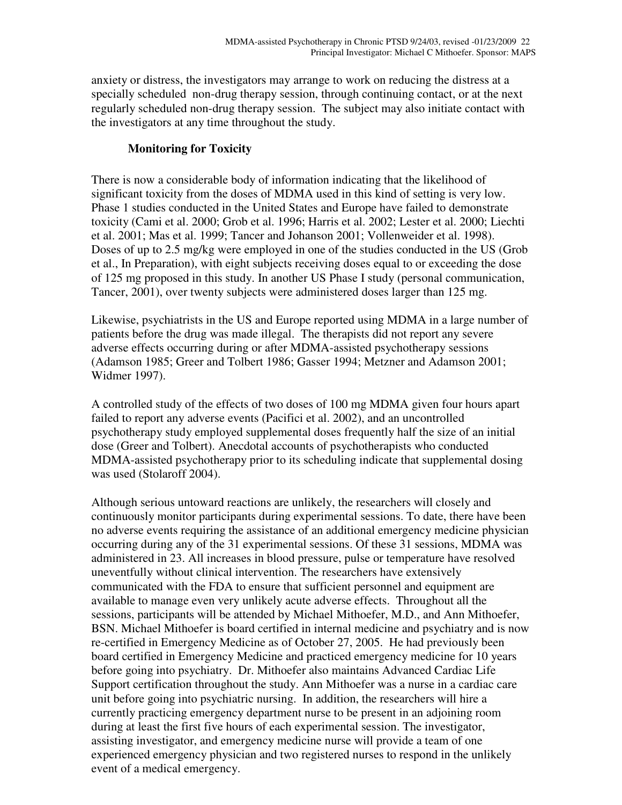anxiety or distress, the investigators may arrange to work on reducing the distress at a specially scheduled non-drug therapy session, through continuing contact, or at the next regularly scheduled non-drug therapy session. The subject may also initiate contact with the investigators at any time throughout the study.

## **Monitoring for Toxicity**

There is now a considerable body of information indicating that the likelihood of significant toxicity from the doses of MDMA used in this kind of setting is very low. Phase 1 studies conducted in the United States and Europe have failed to demonstrate toxicity (Cami et al. 2000; Grob et al. 1996; Harris et al. 2002; Lester et al. 2000; Liechti et al. 2001; Mas et al. 1999; Tancer and Johanson 2001; Vollenweider et al. 1998). Doses of up to 2.5 mg/kg were employed in one of the studies conducted in the US (Grob et al., In Preparation), with eight subjects receiving doses equal to or exceeding the dose of 125 mg proposed in this study. In another US Phase I study (personal communication, Tancer, 2001), over twenty subjects were administered doses larger than 125 mg.

Likewise, psychiatrists in the US and Europe reported using MDMA in a large number of patients before the drug was made illegal. The therapists did not report any severe adverse effects occurring during or after MDMA-assisted psychotherapy sessions (Adamson 1985; Greer and Tolbert 1986; Gasser 1994; Metzner and Adamson 2001; Widmer 1997).

A controlled study of the effects of two doses of 100 mg MDMA given four hours apart failed to report any adverse events (Pacifici et al. 2002), and an uncontrolled psychotherapy study employed supplemental doses frequently half the size of an initial dose (Greer and Tolbert). Anecdotal accounts of psychotherapists who conducted MDMA-assisted psychotherapy prior to its scheduling indicate that supplemental dosing was used (Stolaroff 2004).

Although serious untoward reactions are unlikely, the researchers will closely and continuously monitor participants during experimental sessions. To date, there have been no adverse events requiring the assistance of an additional emergency medicine physician occurring during any of the 31 experimental sessions. Of these 31 sessions, MDMA was administered in 23. All increases in blood pressure, pulse or temperature have resolved uneventfully without clinical intervention. The researchers have extensively communicated with the FDA to ensure that sufficient personnel and equipment are available to manage even very unlikely acute adverse effects. Throughout all the sessions, participants will be attended by Michael Mithoefer, M.D., and Ann Mithoefer, BSN. Michael Mithoefer is board certified in internal medicine and psychiatry and is now re-certified in Emergency Medicine as of October 27, 2005. He had previously been board certified in Emergency Medicine and practiced emergency medicine for 10 years before going into psychiatry. Dr. Mithoefer also maintains Advanced Cardiac Life Support certification throughout the study. Ann Mithoefer was a nurse in a cardiac care unit before going into psychiatric nursing. In addition, the researchers will hire a currently practicing emergency department nurse to be present in an adjoining room during at least the first five hours of each experimental session. The investigator, assisting investigator, and emergency medicine nurse will provide a team of one experienced emergency physician and two registered nurses to respond in the unlikely event of a medical emergency.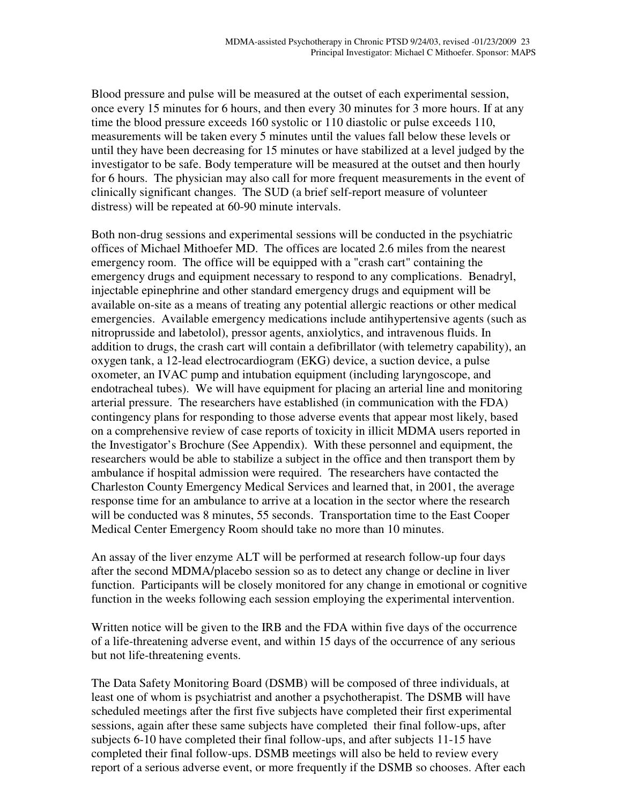Blood pressure and pulse will be measured at the outset of each experimental session, once every 15 minutes for 6 hours, and then every 30 minutes for 3 more hours. If at any time the blood pressure exceeds 160 systolic or 110 diastolic or pulse exceeds 110, measurements will be taken every 5 minutes until the values fall below these levels or until they have been decreasing for 15 minutes or have stabilized at a level judged by the investigator to be safe. Body temperature will be measured at the outset and then hourly for 6 hours. The physician may also call for more frequent measurements in the event of clinically significant changes. The SUD (a brief self-report measure of volunteer distress) will be repeated at 60-90 minute intervals.

Both non-drug sessions and experimental sessions will be conducted in the psychiatric offices of Michael Mithoefer MD. The offices are located 2.6 miles from the nearest emergency room. The office will be equipped with a "crash cart" containing the emergency drugs and equipment necessary to respond to any complications. Benadryl, injectable epinephrine and other standard emergency drugs and equipment will be available on-site as a means of treating any potential allergic reactions or other medical emergencies. Available emergency medications include antihypertensive agents (such as nitroprusside and labetolol), pressor agents, anxiolytics, and intravenous fluids. In addition to drugs, the crash cart will contain a defibrillator (with telemetry capability), an oxygen tank, a 12-lead electrocardiogram (EKG) device, a suction device, a pulse oxometer, an IVAC pump and intubation equipment (including laryngoscope, and endotracheal tubes). We will have equipment for placing an arterial line and monitoring arterial pressure. The researchers have established (in communication with the FDA) contingency plans for responding to those adverse events that appear most likely, based on a comprehensive review of case reports of toxicity in illicit MDMA users reported in the Investigator's Brochure (See Appendix). With these personnel and equipment, the researchers would be able to stabilize a subject in the office and then transport them by ambulance if hospital admission were required. The researchers have contacted the Charleston County Emergency Medical Services and learned that, in 2001, the average response time for an ambulance to arrive at a location in the sector where the research will be conducted was 8 minutes, 55 seconds. Transportation time to the East Cooper Medical Center Emergency Room should take no more than 10 minutes.

An assay of the liver enzyme ALT will be performed at research follow-up four days after the second MDMA/placebo session so as to detect any change or decline in liver function. Participants will be closely monitored for any change in emotional or cognitive function in the weeks following each session employing the experimental intervention.

Written notice will be given to the IRB and the FDA within five days of the occurrence of a life-threatening adverse event, and within 15 days of the occurrence of any serious but not life-threatening events.

The Data Safety Monitoring Board (DSMB) will be composed of three individuals, at least one of whom is psychiatrist and another a psychotherapist. The DSMB will have scheduled meetings after the first five subjects have completed their first experimental sessions, again after these same subjects have completed their final follow-ups, after subjects 6-10 have completed their final follow-ups, and after subjects 11-15 have completed their final follow-ups. DSMB meetings will also be held to review every report of a serious adverse event, or more frequently if the DSMB so chooses. After each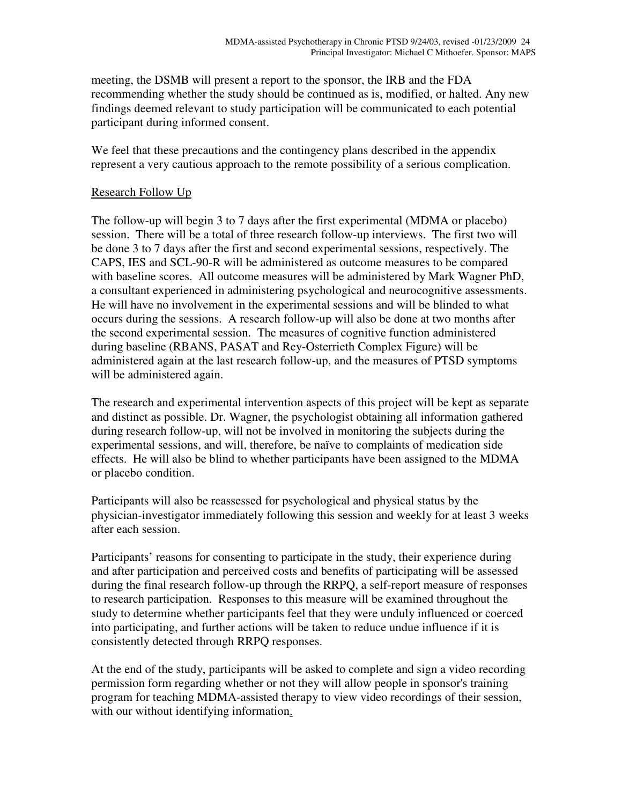meeting, the DSMB will present a report to the sponsor, the IRB and the FDA recommending whether the study should be continued as is, modified, or halted. Any new findings deemed relevant to study participation will be communicated to each potential participant during informed consent.

We feel that these precautions and the contingency plans described in the appendix represent a very cautious approach to the remote possibility of a serious complication.

## Research Follow Up

The follow-up will begin 3 to 7 days after the first experimental (MDMA or placebo) session. There will be a total of three research follow-up interviews. The first two will be done 3 to 7 days after the first and second experimental sessions, respectively. The CAPS, IES and SCL-90-R will be administered as outcome measures to be compared with baseline scores. All outcome measures will be administered by Mark Wagner PhD, a consultant experienced in administering psychological and neurocognitive assessments. He will have no involvement in the experimental sessions and will be blinded to what occurs during the sessions. A research follow-up will also be done at two months after the second experimental session. The measures of cognitive function administered during baseline (RBANS, PASAT and Rey-Osterrieth Complex Figure) will be administered again at the last research follow-up, and the measures of PTSD symptoms will be administered again.

The research and experimental intervention aspects of this project will be kept as separate and distinct as possible. Dr. Wagner, the psychologist obtaining all information gathered during research follow-up, will not be involved in monitoring the subjects during the experimental sessions, and will, therefore, be naïve to complaints of medication side effects. He will also be blind to whether participants have been assigned to the MDMA or placebo condition.

Participants will also be reassessed for psychological and physical status by the physician-investigator immediately following this session and weekly for at least 3 weeks after each session.

Participants' reasons for consenting to participate in the study, their experience during and after participation and perceived costs and benefits of participating will be assessed during the final research follow-up through the RRPQ, a self-report measure of responses to research participation. Responses to this measure will be examined throughout the study to determine whether participants feel that they were unduly influenced or coerced into participating, and further actions will be taken to reduce undue influence if it is consistently detected through RRPQ responses.

At the end of the study, participants will be asked to complete and sign a video recording permission form regarding whether or not they will allow people in sponsor's training program for teaching MDMA-assisted therapy to view video recordings of their session, with our without identifying information.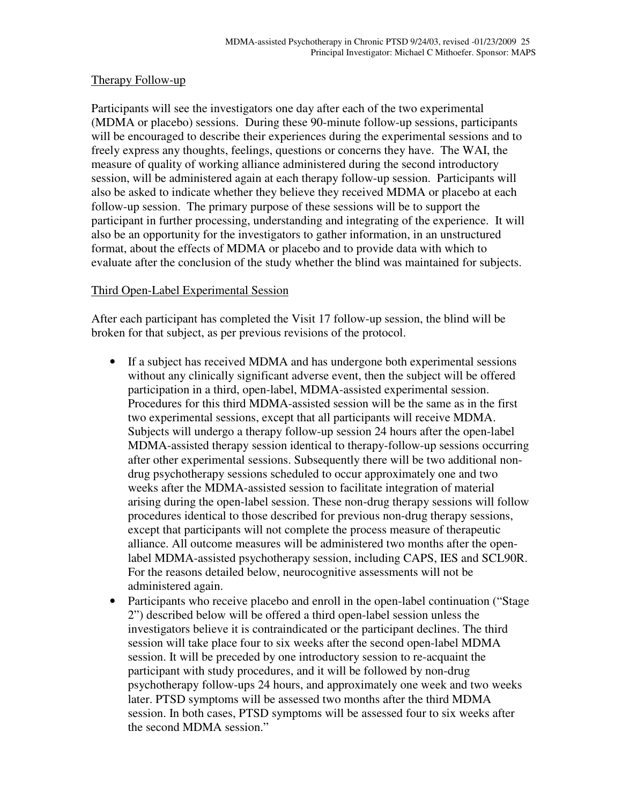### Therapy Follow-up

Participants will see the investigators one day after each of the two experimental (MDMA or placebo) sessions. During these 90-minute follow-up sessions, participants will be encouraged to describe their experiences during the experimental sessions and to freely express any thoughts, feelings, questions or concerns they have. The WAI, the measure of quality of working alliance administered during the second introductory session, will be administered again at each therapy follow-up session. Participants will also be asked to indicate whether they believe they received MDMA or placebo at each follow-up session. The primary purpose of these sessions will be to support the participant in further processing, understanding and integrating of the experience. It will also be an opportunity for the investigators to gather information, in an unstructured format, about the effects of MDMA or placebo and to provide data with which to evaluate after the conclusion of the study whether the blind was maintained for subjects.

#### Third Open-Label Experimental Session

After each participant has completed the Visit 17 follow-up session, the blind will be broken for that subject, as per previous revisions of the protocol.

- If a subject has received MDMA and has undergone both experimental sessions without any clinically significant adverse event, then the subject will be offered participation in a third, open-label, MDMA-assisted experimental session. Procedures for this third MDMA-assisted session will be the same as in the first two experimental sessions, except that all participants will receive MDMA. Subjects will undergo a therapy follow-up session 24 hours after the open-label MDMA-assisted therapy session identical to therapy-follow-up sessions occurring after other experimental sessions. Subsequently there will be two additional nondrug psychotherapy sessions scheduled to occur approximately one and two weeks after the MDMA-assisted session to facilitate integration of material arising during the open-label session. These non-drug therapy sessions will follow procedures identical to those described for previous non-drug therapy sessions, except that participants will not complete the process measure of therapeutic alliance. All outcome measures will be administered two months after the openlabel MDMA-assisted psychotherapy session, including CAPS, IES and SCL90R. For the reasons detailed below, neurocognitive assessments will not be administered again.
- Participants who receive placebo and enroll in the open-label continuation ("Stage 2") described below will be offered a third open-label session unless the investigators believe it is contraindicated or the participant declines. The third session will take place four to six weeks after the second open-label MDMA session. It will be preceded by one introductory session to re-acquaint the participant with study procedures, and it will be followed by non-drug psychotherapy follow-ups 24 hours, and approximately one week and two weeks later. PTSD symptoms will be assessed two months after the third MDMA session. In both cases, PTSD symptoms will be assessed four to six weeks after the second MDMA session."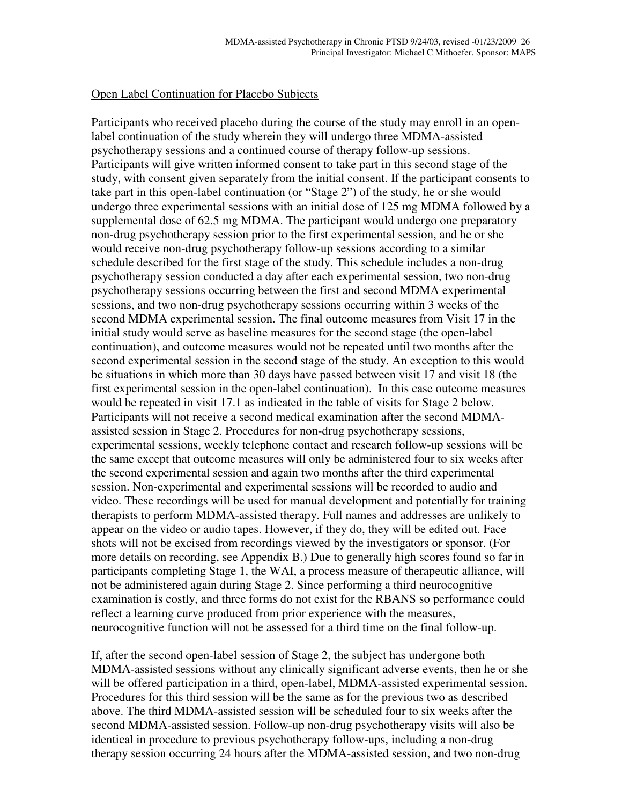#### Open Label Continuation for Placebo Subjects

Participants who received placebo during the course of the study may enroll in an openlabel continuation of the study wherein they will undergo three MDMA-assisted psychotherapy sessions and a continued course of therapy follow-up sessions. Participants will give written informed consent to take part in this second stage of the study, with consent given separately from the initial consent. If the participant consents to take part in this open-label continuation (or "Stage 2") of the study, he or she would undergo three experimental sessions with an initial dose of 125 mg MDMA followed by a supplemental dose of 62.5 mg MDMA. The participant would undergo one preparatory non-drug psychotherapy session prior to the first experimental session, and he or she would receive non-drug psychotherapy follow-up sessions according to a similar schedule described for the first stage of the study. This schedule includes a non-drug psychotherapy session conducted a day after each experimental session, two non-drug psychotherapy sessions occurring between the first and second MDMA experimental sessions, and two non-drug psychotherapy sessions occurring within 3 weeks of the second MDMA experimental session. The final outcome measures from Visit 17 in the initial study would serve as baseline measures for the second stage (the open-label continuation), and outcome measures would not be repeated until two months after the second experimental session in the second stage of the study. An exception to this would be situations in which more than 30 days have passed between visit 17 and visit 18 (the first experimental session in the open-label continuation). In this case outcome measures would be repeated in visit 17.1 as indicated in the table of visits for Stage 2 below. Participants will not receive a second medical examination after the second MDMAassisted session in Stage 2. Procedures for non-drug psychotherapy sessions, experimental sessions, weekly telephone contact and research follow-up sessions will be the same except that outcome measures will only be administered four to six weeks after the second experimental session and again two months after the third experimental session. Non-experimental and experimental sessions will be recorded to audio and video. These recordings will be used for manual development and potentially for training therapists to perform MDMA-assisted therapy. Full names and addresses are unlikely to appear on the video or audio tapes. However, if they do, they will be edited out. Face shots will not be excised from recordings viewed by the investigators or sponsor. (For more details on recording, see Appendix B.) Due to generally high scores found so far in participants completing Stage 1, the WAI, a process measure of therapeutic alliance, will not be administered again during Stage 2. Since performing a third neurocognitive examination is costly, and three forms do not exist for the RBANS so performance could reflect a learning curve produced from prior experience with the measures, neurocognitive function will not be assessed for a third time on the final follow-up.

If, after the second open-label session of Stage 2, the subject has undergone both MDMA-assisted sessions without any clinically significant adverse events, then he or she will be offered participation in a third, open-label, MDMA-assisted experimental session. Procedures for this third session will be the same as for the previous two as described above. The third MDMA-assisted session will be scheduled four to six weeks after the second MDMA-assisted session. Follow-up non-drug psychotherapy visits will also be identical in procedure to previous psychotherapy follow-ups, including a non-drug therapy session occurring 24 hours after the MDMA-assisted session, and two non-drug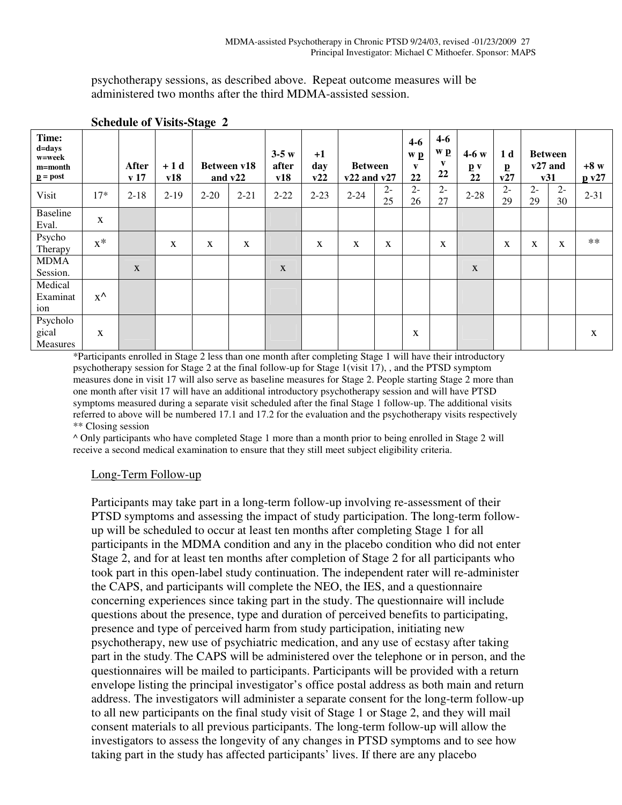psychotherapy sessions, as described above. Repeat outcome measures will be administered two months after the third MDMA-assisted session.

| Time:<br>d=days<br>w=week<br>m=month<br>$\underline{\mathbf{p}} = \mathbf{post}$ |               | <b>After</b><br>v <sub>17</sub> | $+1d$<br>v18 |              | Between v18<br>and v22 | $3-5w$<br>after<br>v18 | $+1$<br>day<br>v22 | <b>Between</b><br>$v22$ and $v27$ |             | $4 - 6$<br>w p<br>$\mathbf{v}$<br>22 | $4-6$<br>w p<br>v<br>22 | $4-6 w$<br>$\mathbf{p}$ v<br>22 | 1 d<br>$\mathbf{p}$<br>v27 |              | <b>Between</b><br>$v27$ and<br>v31 | $+8 w$<br>p v27 |
|----------------------------------------------------------------------------------|---------------|---------------------------------|--------------|--------------|------------------------|------------------------|--------------------|-----------------------------------|-------------|--------------------------------------|-------------------------|---------------------------------|----------------------------|--------------|------------------------------------|-----------------|
| Visit                                                                            | $17*$         | $2 - 18$                        | $2-19$       | $2 - 20$     | $2 - 21$               | $2 - 22$               | $2 - 23$           | $2 - 24$                          | $2 -$<br>25 | $2 -$<br>26                          | $2 -$<br>27             | $2 - 28$                        | $2 -$<br>29                | $2 -$<br>29  | $2 -$<br>30                        | $2 - 31$        |
| <b>Baseline</b><br>Eval.                                                         | X             |                                 |              |              |                        |                        |                    |                                   |             |                                      |                         |                                 |                            |              |                                    |                 |
| Psycho<br>Therapy                                                                | $x^*$         |                                 | X            | $\mathbf{X}$ | $\mathbf{X}$           |                        | $\mathbf{X}$       | X                                 | X           |                                      | $\mathbf{X}$            |                                 | X                          | $\mathbf{X}$ | X                                  | $**$            |
| <b>MDMA</b><br>Session.                                                          |               | X                               |              |              |                        | $\mathbf X$            |                    |                                   |             |                                      |                         | $\mathbf{X}$                    |                            |              |                                    |                 |
| Medical<br>Examinat<br>ion                                                       | $X^{\Lambda}$ |                                 |              |              |                        |                        |                    |                                   |             |                                      |                         |                                 |                            |              |                                    |                 |
| Psycholo<br>gical<br>Measures                                                    | X             |                                 |              |              |                        |                        |                    |                                   |             | X                                    |                         |                                 |                            |              |                                    | X               |

## **Schedule of Visits-Stage 2**

\*Participants enrolled in Stage 2 less than one month after completing Stage 1 will have their introductory psychotherapy session for Stage 2 at the final follow-up for Stage 1(visit 17), , and the PTSD symptom measures done in visit 17 will also serve as baseline measures for Stage 2. People starting Stage 2 more than one month after visit 17 will have an additional introductory psychotherapy session and will have PTSD symptoms measured during a separate visit scheduled after the final Stage 1 follow-up. The additional visits referred to above will be numbered 17.1 and 17.2 for the evaluation and the psychotherapy visits respectively \*\* Closing session

^ Only participants who have completed Stage 1 more than a month prior to being enrolled in Stage 2 will receive a second medical examination to ensure that they still meet subject eligibility criteria.

### Long-Term Follow-up

Participants may take part in a long-term follow-up involving re-assessment of their PTSD symptoms and assessing the impact of study participation. The long-term followup will be scheduled to occur at least ten months after completing Stage 1 for all participants in the MDMA condition and any in the placebo condition who did not enter Stage 2, and for at least ten months after completion of Stage 2 for all participants who took part in this open-label study continuation. The independent rater will re-administer the CAPS, and participants will complete the NEO, the IES, and a questionnaire concerning experiences since taking part in the study. The questionnaire will include questions about the presence, type and duration of perceived benefits to participating, presence and type of perceived harm from study participation, initiating new psychotherapy, new use of psychiatric medication, and any use of ecstasy after taking part in the study. The CAPS will be administered over the telephone or in person, and the questionnaires will be mailed to participants. Participants will be provided with a return envelope listing the principal investigator's office postal address as both main and return address. The investigators will administer a separate consent for the long-term follow-up to all new participants on the final study visit of Stage 1 or Stage 2, and they will mail consent materials to all previous participants. The long-term follow-up will allow the investigators to assess the longevity of any changes in PTSD symptoms and to see how taking part in the study has affected participants' lives. If there are any placebo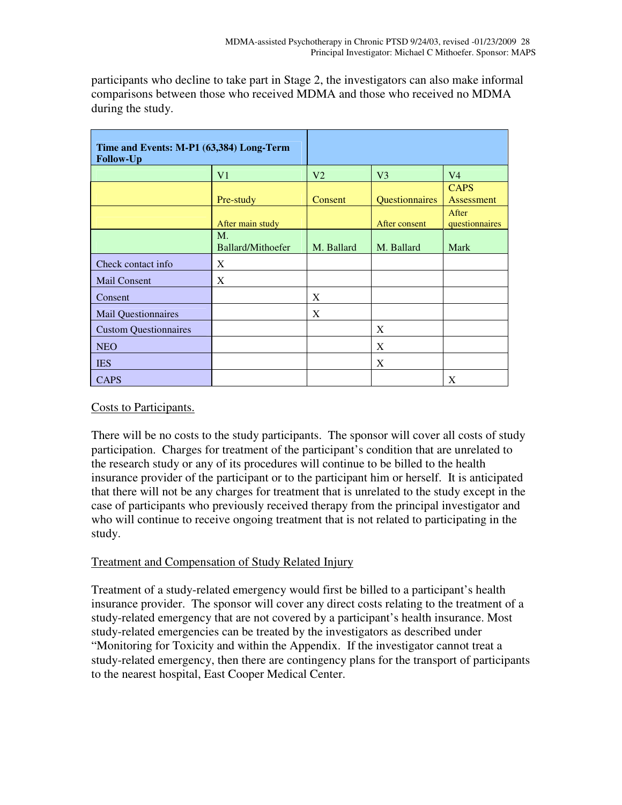| Time and Events: M-P1 (63,384) Long-Term<br><b>Follow-Up</b> |                                  |                |                |                                  |
|--------------------------------------------------------------|----------------------------------|----------------|----------------|----------------------------------|
|                                                              | V <sub>1</sub>                   | V <sub>2</sub> | V <sub>3</sub> | V <sub>4</sub>                   |
|                                                              | Pre-study                        | Consent        | Questionnaires | <b>CAPS</b><br><b>Assessment</b> |
|                                                              | After main study                 |                | After consent  | After<br>questionnaires          |
|                                                              | $M_{\cdot}$<br>Ballard/Mithoefer | M. Ballard     | M. Ballard     | Mark                             |
| Check contact info                                           | X                                |                |                |                                  |
| Mail Consent                                                 | X                                |                |                |                                  |
| Consent                                                      |                                  | X              |                |                                  |
| <b>Mail Questionnaires</b>                                   |                                  | X              |                |                                  |
| <b>Custom Questionnaires</b>                                 |                                  |                | X              |                                  |
| <b>NEO</b>                                                   |                                  |                | X              |                                  |
| <b>IES</b>                                                   |                                  |                | X              |                                  |
| <b>CAPS</b>                                                  |                                  |                |                | X                                |

participants who decline to take part in Stage 2, the investigators can also make informal comparisons between those who received MDMA and those who received no MDMA during the study.

### Costs to Participants.

There will be no costs to the study participants. The sponsor will cover all costs of study participation. Charges for treatment of the participant's condition that are unrelated to the research study or any of its procedures will continue to be billed to the health insurance provider of the participant or to the participant him or herself. It is anticipated that there will not be any charges for treatment that is unrelated to the study except in the case of participants who previously received therapy from the principal investigator and who will continue to receive ongoing treatment that is not related to participating in the study.

### Treatment and Compensation of Study Related Injury

Treatment of a study-related emergency would first be billed to a participant's health insurance provider. The sponsor will cover any direct costs relating to the treatment of a study-related emergency that are not covered by a participant's health insurance. Most study-related emergencies can be treated by the investigators as described under "Monitoring for Toxicity and within the Appendix. If the investigator cannot treat a study-related emergency, then there are contingency plans for the transport of participants to the nearest hospital, East Cooper Medical Center.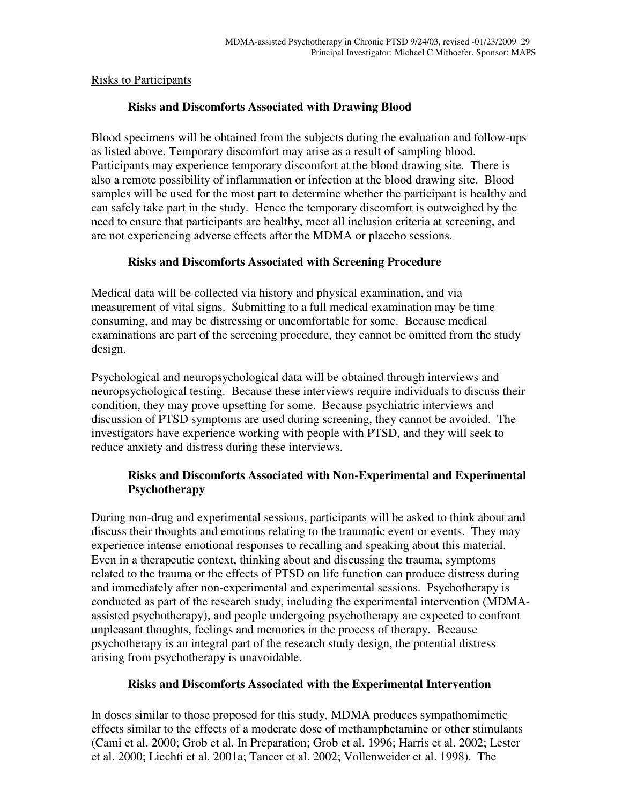### Risks to Participants

## **Risks and Discomforts Associated with Drawing Blood**

Blood specimens will be obtained from the subjects during the evaluation and follow-ups as listed above. Temporary discomfort may arise as a result of sampling blood. Participants may experience temporary discomfort at the blood drawing site. There is also a remote possibility of inflammation or infection at the blood drawing site. Blood samples will be used for the most part to determine whether the participant is healthy and can safely take part in the study. Hence the temporary discomfort is outweighed by the need to ensure that participants are healthy, meet all inclusion criteria at screening, and are not experiencing adverse effects after the MDMA or placebo sessions.

## **Risks and Discomforts Associated with Screening Procedure**

Medical data will be collected via history and physical examination, and via measurement of vital signs. Submitting to a full medical examination may be time consuming, and may be distressing or uncomfortable for some. Because medical examinations are part of the screening procedure, they cannot be omitted from the study design.

Psychological and neuropsychological data will be obtained through interviews and neuropsychological testing. Because these interviews require individuals to discuss their condition, they may prove upsetting for some. Because psychiatric interviews and discussion of PTSD symptoms are used during screening, they cannot be avoided. The investigators have experience working with people with PTSD, and they will seek to reduce anxiety and distress during these interviews.

## **Risks and Discomforts Associated with Non-Experimental and Experimental Psychotherapy**

During non-drug and experimental sessions, participants will be asked to think about and discuss their thoughts and emotions relating to the traumatic event or events. They may experience intense emotional responses to recalling and speaking about this material. Even in a therapeutic context, thinking about and discussing the trauma, symptoms related to the trauma or the effects of PTSD on life function can produce distress during and immediately after non-experimental and experimental sessions. Psychotherapy is conducted as part of the research study, including the experimental intervention (MDMAassisted psychotherapy), and people undergoing psychotherapy are expected to confront unpleasant thoughts, feelings and memories in the process of therapy. Because psychotherapy is an integral part of the research study design, the potential distress arising from psychotherapy is unavoidable.

### **Risks and Discomforts Associated with the Experimental Intervention**

In doses similar to those proposed for this study, MDMA produces sympathomimetic effects similar to the effects of a moderate dose of methamphetamine or other stimulants (Cami et al. 2000; Grob et al. In Preparation; Grob et al. 1996; Harris et al. 2002; Lester et al. 2000; Liechti et al. 2001a; Tancer et al. 2002; Vollenweider et al. 1998). The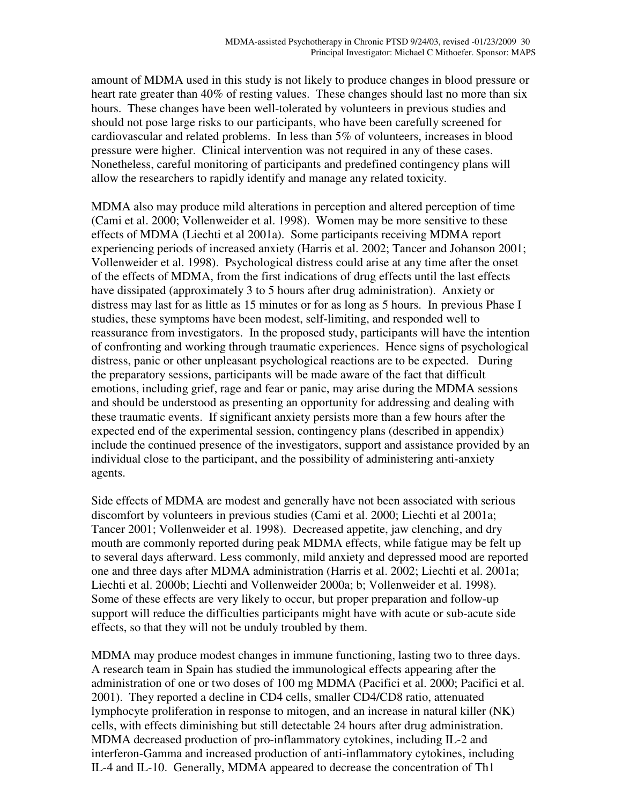amount of MDMA used in this study is not likely to produce changes in blood pressure or heart rate greater than 40% of resting values. These changes should last no more than six hours. These changes have been well-tolerated by volunteers in previous studies and should not pose large risks to our participants, who have been carefully screened for cardiovascular and related problems. In less than 5% of volunteers, increases in blood pressure were higher. Clinical intervention was not required in any of these cases. Nonetheless, careful monitoring of participants and predefined contingency plans will allow the researchers to rapidly identify and manage any related toxicity.

MDMA also may produce mild alterations in perception and altered perception of time (Cami et al. 2000; Vollenweider et al. 1998). Women may be more sensitive to these effects of MDMA (Liechti et al 2001a). Some participants receiving MDMA report experiencing periods of increased anxiety (Harris et al. 2002; Tancer and Johanson 2001; Vollenweider et al. 1998). Psychological distress could arise at any time after the onset of the effects of MDMA, from the first indications of drug effects until the last effects have dissipated (approximately 3 to 5 hours after drug administration). Anxiety or distress may last for as little as 15 minutes or for as long as 5 hours. In previous Phase I studies, these symptoms have been modest, self-limiting, and responded well to reassurance from investigators. In the proposed study, participants will have the intention of confronting and working through traumatic experiences. Hence signs of psychological distress, panic or other unpleasant psychological reactions are to be expected. During the preparatory sessions, participants will be made aware of the fact that difficult emotions, including grief, rage and fear or panic, may arise during the MDMA sessions and should be understood as presenting an opportunity for addressing and dealing with these traumatic events. If significant anxiety persists more than a few hours after the expected end of the experimental session, contingency plans (described in appendix) include the continued presence of the investigators, support and assistance provided by an individual close to the participant, and the possibility of administering anti-anxiety agents.

Side effects of MDMA are modest and generally have not been associated with serious discomfort by volunteers in previous studies (Cami et al. 2000; Liechti et al 2001a; Tancer 2001; Vollenweider et al. 1998). Decreased appetite, jaw clenching, and dry mouth are commonly reported during peak MDMA effects, while fatigue may be felt up to several days afterward. Less commonly, mild anxiety and depressed mood are reported one and three days after MDMA administration (Harris et al. 2002; Liechti et al. 2001a; Liechti et al. 2000b; Liechti and Vollenweider 2000a; b; Vollenweider et al. 1998). Some of these effects are very likely to occur, but proper preparation and follow-up support will reduce the difficulties participants might have with acute or sub-acute side effects, so that they will not be unduly troubled by them.

MDMA may produce modest changes in immune functioning, lasting two to three days. A research team in Spain has studied the immunological effects appearing after the administration of one or two doses of 100 mg MDMA (Pacifici et al. 2000; Pacifici et al. 2001). They reported a decline in CD4 cells, smaller CD4/CD8 ratio, attenuated lymphocyte proliferation in response to mitogen, and an increase in natural killer (NK) cells, with effects diminishing but still detectable 24 hours after drug administration. MDMA decreased production of pro-inflammatory cytokines, including IL-2 and interferon-Gamma and increased production of anti-inflammatory cytokines, including IL-4 and IL-10. Generally, MDMA appeared to decrease the concentration of Th1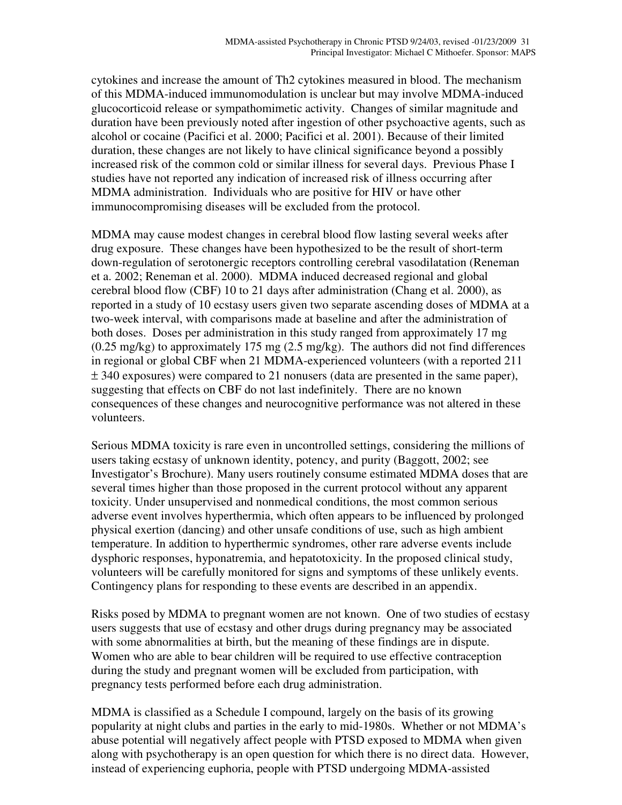cytokines and increase the amount of Th2 cytokines measured in blood. The mechanism of this MDMA-induced immunomodulation is unclear but may involve MDMA-induced glucocorticoid release or sympathomimetic activity. Changes of similar magnitude and duration have been previously noted after ingestion of other psychoactive agents, such as alcohol or cocaine (Pacifici et al. 2000; Pacifici et al. 2001). Because of their limited duration, these changes are not likely to have clinical significance beyond a possibly increased risk of the common cold or similar illness for several days. Previous Phase I studies have not reported any indication of increased risk of illness occurring after MDMA administration. Individuals who are positive for HIV or have other immunocompromising diseases will be excluded from the protocol.

MDMA may cause modest changes in cerebral blood flow lasting several weeks after drug exposure. These changes have been hypothesized to be the result of short-term down-regulation of serotonergic receptors controlling cerebral vasodilatation (Reneman et a. 2002; Reneman et al. 2000). MDMA induced decreased regional and global cerebral blood flow (CBF) 10 to 21 days after administration (Chang et al. 2000), as reported in a study of 10 ecstasy users given two separate ascending doses of MDMA at a two-week interval, with comparisons made at baseline and after the administration of both doses. Doses per administration in this study ranged from approximately 17 mg (0.25 mg/kg) to approximately 175 mg (2.5 mg/kg). The authors did not find differences in regional or global CBF when 21 MDMA-experienced volunteers (with a reported 211  $\pm$  340 exposures) were compared to 21 nonusers (data are presented in the same paper), suggesting that effects on CBF do not last indefinitely. There are no known consequences of these changes and neurocognitive performance was not altered in these volunteers.

Serious MDMA toxicity is rare even in uncontrolled settings, considering the millions of users taking ecstasy of unknown identity, potency, and purity (Baggott, 2002; see Investigator's Brochure). Many users routinely consume estimated MDMA doses that are several times higher than those proposed in the current protocol without any apparent toxicity. Under unsupervised and nonmedical conditions, the most common serious adverse event involves hyperthermia, which often appears to be influenced by prolonged physical exertion (dancing) and other unsafe conditions of use, such as high ambient temperature. In addition to hyperthermic syndromes, other rare adverse events include dysphoric responses, hyponatremia, and hepatotoxicity. In the proposed clinical study, volunteers will be carefully monitored for signs and symptoms of these unlikely events. Contingency plans for responding to these events are described in an appendix.

Risks posed by MDMA to pregnant women are not known. One of two studies of ecstasy users suggests that use of ecstasy and other drugs during pregnancy may be associated with some abnormalities at birth, but the meaning of these findings are in dispute. Women who are able to bear children will be required to use effective contraception during the study and pregnant women will be excluded from participation, with pregnancy tests performed before each drug administration.

MDMA is classified as a Schedule I compound, largely on the basis of its growing popularity at night clubs and parties in the early to mid-1980s. Whether or not MDMA's abuse potential will negatively affect people with PTSD exposed to MDMA when given along with psychotherapy is an open question for which there is no direct data. However, instead of experiencing euphoria, people with PTSD undergoing MDMA-assisted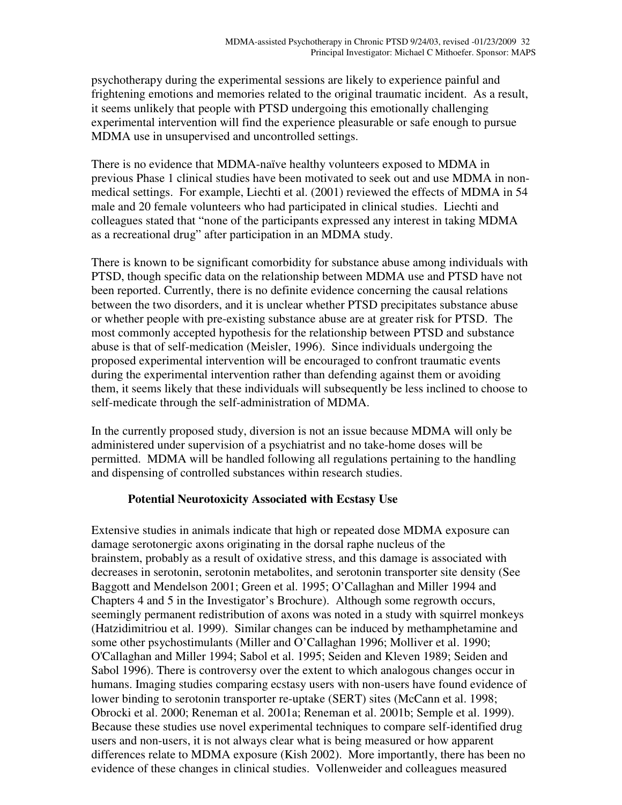psychotherapy during the experimental sessions are likely to experience painful and frightening emotions and memories related to the original traumatic incident. As a result, it seems unlikely that people with PTSD undergoing this emotionally challenging experimental intervention will find the experience pleasurable or safe enough to pursue MDMA use in unsupervised and uncontrolled settings.

There is no evidence that MDMA-naïve healthy volunteers exposed to MDMA in previous Phase 1 clinical studies have been motivated to seek out and use MDMA in nonmedical settings. For example, Liechti et al. (2001) reviewed the effects of MDMA in 54 male and 20 female volunteers who had participated in clinical studies. Liechti and colleagues stated that "none of the participants expressed any interest in taking MDMA as a recreational drug" after participation in an MDMA study.

There is known to be significant comorbidity for substance abuse among individuals with PTSD, though specific data on the relationship between MDMA use and PTSD have not been reported. Currently, there is no definite evidence concerning the causal relations between the two disorders, and it is unclear whether PTSD precipitates substance abuse or whether people with pre-existing substance abuse are at greater risk for PTSD. The most commonly accepted hypothesis for the relationship between PTSD and substance abuse is that of self-medication (Meisler, 1996). Since individuals undergoing the proposed experimental intervention will be encouraged to confront traumatic events during the experimental intervention rather than defending against them or avoiding them, it seems likely that these individuals will subsequently be less inclined to choose to self-medicate through the self-administration of MDMA.

In the currently proposed study, diversion is not an issue because MDMA will only be administered under supervision of a psychiatrist and no take-home doses will be permitted. MDMA will be handled following all regulations pertaining to the handling and dispensing of controlled substances within research studies.

## **Potential Neurotoxicity Associated with Ecstasy Use**

Extensive studies in animals indicate that high or repeated dose MDMA exposure can damage serotonergic axons originating in the dorsal raphe nucleus of the brainstem, probably as a result of oxidative stress, and this damage is associated with decreases in serotonin, serotonin metabolites, and serotonin transporter site density (See Baggott and Mendelson 2001; Green et al. 1995; O'Callaghan and Miller 1994 and Chapters 4 and 5 in the Investigator's Brochure). Although some regrowth occurs, seemingly permanent redistribution of axons was noted in a study with squirrel monkeys (Hatzidimitriou et al. 1999). Similar changes can be induced by methamphetamine and some other psychostimulants (Miller and O'Callaghan 1996; Molliver et al. 1990; O'Callaghan and Miller 1994; Sabol et al. 1995; Seiden and Kleven 1989; Seiden and Sabol 1996). There is controversy over the extent to which analogous changes occur in humans. Imaging studies comparing ecstasy users with non-users have found evidence of lower binding to serotonin transporter re-uptake (SERT) sites (McCann et al. 1998; Obrocki et al. 2000; Reneman et al. 2001a; Reneman et al. 2001b; Semple et al. 1999). Because these studies use novel experimental techniques to compare self-identified drug users and non-users, it is not always clear what is being measured or how apparent differences relate to MDMA exposure (Kish 2002). More importantly, there has been no evidence of these changes in clinical studies. Vollenweider and colleagues measured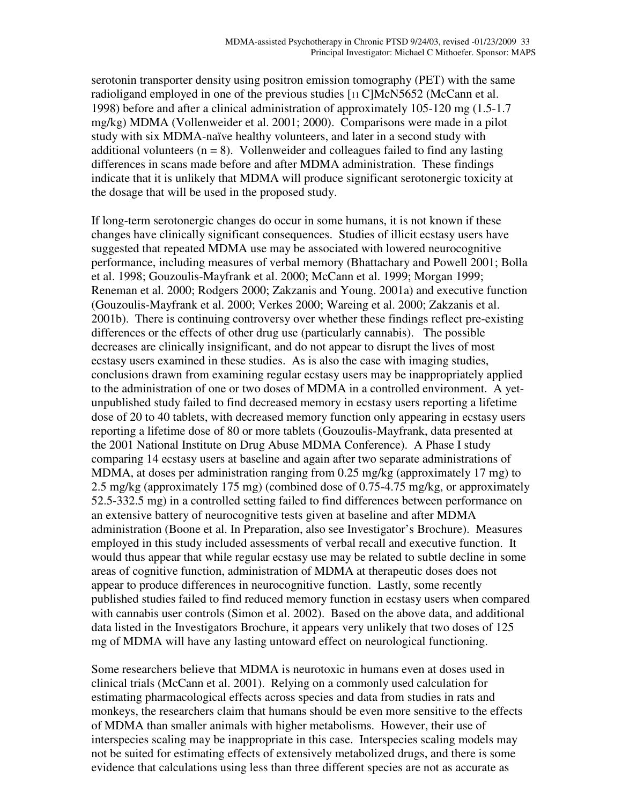serotonin transporter density using positron emission tomography (PET) with the same radioligand employed in one of the previous studies [11 C]McN5652 (McCann et al. 1998) before and after a clinical administration of approximately 105-120 mg (1.5-1.7 mg/kg) MDMA (Vollenweider et al. 2001; 2000). Comparisons were made in a pilot study with six MDMA-naïve healthy volunteers, and later in a second study with additional volunteers  $(n = 8)$ . Vollenweider and colleagues failed to find any lasting differences in scans made before and after MDMA administration. These findings indicate that it is unlikely that MDMA will produce significant serotonergic toxicity at the dosage that will be used in the proposed study.

If long-term serotonergic changes do occur in some humans, it is not known if these changes have clinically significant consequences. Studies of illicit ecstasy users have suggested that repeated MDMA use may be associated with lowered neurocognitive performance, including measures of verbal memory (Bhattachary and Powell 2001; Bolla et al. 1998; Gouzoulis-Mayfrank et al. 2000; McCann et al. 1999; Morgan 1999; Reneman et al. 2000; Rodgers 2000; Zakzanis and Young. 2001a) and executive function (Gouzoulis-Mayfrank et al. 2000; Verkes 2000; Wareing et al. 2000; Zakzanis et al. 2001b). There is continuing controversy over whether these findings reflect pre-existing differences or the effects of other drug use (particularly cannabis). The possible decreases are clinically insignificant, and do not appear to disrupt the lives of most ecstasy users examined in these studies. As is also the case with imaging studies, conclusions drawn from examining regular ecstasy users may be inappropriately applied to the administration of one or two doses of MDMA in a controlled environment. A yetunpublished study failed to find decreased memory in ecstasy users reporting a lifetime dose of 20 to 40 tablets, with decreased memory function only appearing in ecstasy users reporting a lifetime dose of 80 or more tablets (Gouzoulis-Mayfrank, data presented at the 2001 National Institute on Drug Abuse MDMA Conference). A Phase I study comparing 14 ecstasy users at baseline and again after two separate administrations of MDMA, at doses per administration ranging from 0.25 mg/kg (approximately 17 mg) to 2.5 mg/kg (approximately 175 mg) (combined dose of 0.75-4.75 mg/kg, or approximately 52.5-332.5 mg) in a controlled setting failed to find differences between performance on an extensive battery of neurocognitive tests given at baseline and after MDMA administration (Boone et al. In Preparation, also see Investigator's Brochure). Measures employed in this study included assessments of verbal recall and executive function. It would thus appear that while regular ecstasy use may be related to subtle decline in some areas of cognitive function, administration of MDMA at therapeutic doses does not appear to produce differences in neurocognitive function. Lastly, some recently published studies failed to find reduced memory function in ecstasy users when compared with cannabis user controls (Simon et al. 2002). Based on the above data, and additional data listed in the Investigators Brochure, it appears very unlikely that two doses of 125 mg of MDMA will have any lasting untoward effect on neurological functioning.

Some researchers believe that MDMA is neurotoxic in humans even at doses used in clinical trials (McCann et al. 2001). Relying on a commonly used calculation for estimating pharmacological effects across species and data from studies in rats and monkeys, the researchers claim that humans should be even more sensitive to the effects of MDMA than smaller animals with higher metabolisms. However, their use of interspecies scaling may be inappropriate in this case. Interspecies scaling models may not be suited for estimating effects of extensively metabolized drugs, and there is some evidence that calculations using less than three different species are not as accurate as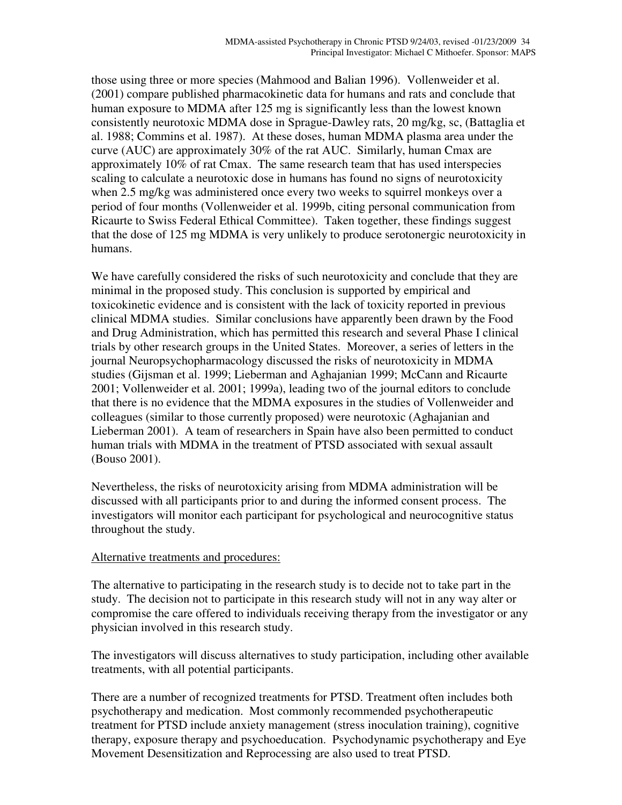those using three or more species (Mahmood and Balian 1996). Vollenweider et al. (2001) compare published pharmacokinetic data for humans and rats and conclude that human exposure to MDMA after 125 mg is significantly less than the lowest known consistently neurotoxic MDMA dose in Sprague-Dawley rats, 20 mg/kg, sc, (Battaglia et al. 1988; Commins et al. 1987). At these doses, human MDMA plasma area under the curve (AUC) are approximately 30% of the rat AUC. Similarly, human Cmax are approximately 10% of rat Cmax. The same research team that has used interspecies scaling to calculate a neurotoxic dose in humans has found no signs of neurotoxicity when 2.5 mg/kg was administered once every two weeks to squirrel monkeys over a period of four months (Vollenweider et al. 1999b, citing personal communication from Ricaurte to Swiss Federal Ethical Committee). Taken together, these findings suggest that the dose of 125 mg MDMA is very unlikely to produce serotonergic neurotoxicity in humans.

We have carefully considered the risks of such neurotoxicity and conclude that they are minimal in the proposed study. This conclusion is supported by empirical and toxicokinetic evidence and is consistent with the lack of toxicity reported in previous clinical MDMA studies. Similar conclusions have apparently been drawn by the Food and Drug Administration, which has permitted this research and several Phase I clinical trials by other research groups in the United States. Moreover, a series of letters in the journal Neuropsychopharmacology discussed the risks of neurotoxicity in MDMA studies (Gijsman et al. 1999; Lieberman and Aghajanian 1999; McCann and Ricaurte 2001; Vollenweider et al. 2001; 1999a), leading two of the journal editors to conclude that there is no evidence that the MDMA exposures in the studies of Vollenweider and colleagues (similar to those currently proposed) were neurotoxic (Aghajanian and Lieberman 2001). A team of researchers in Spain have also been permitted to conduct human trials with MDMA in the treatment of PTSD associated with sexual assault (Bouso 2001).

Nevertheless, the risks of neurotoxicity arising from MDMA administration will be discussed with all participants prior to and during the informed consent process. The investigators will monitor each participant for psychological and neurocognitive status throughout the study.

### Alternative treatments and procedures:

The alternative to participating in the research study is to decide not to take part in the study. The decision not to participate in this research study will not in any way alter or compromise the care offered to individuals receiving therapy from the investigator or any physician involved in this research study.

The investigators will discuss alternatives to study participation, including other available treatments, with all potential participants.

There are a number of recognized treatments for PTSD. Treatment often includes both psychotherapy and medication. Most commonly recommended psychotherapeutic treatment for PTSD include anxiety management (stress inoculation training), cognitive therapy, exposure therapy and psychoeducation. Psychodynamic psychotherapy and Eye Movement Desensitization and Reprocessing are also used to treat PTSD.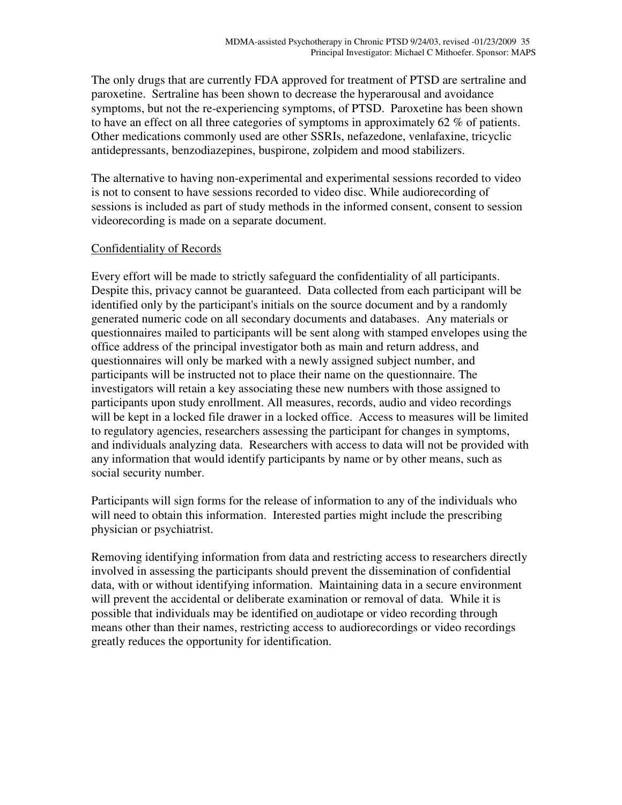The only drugs that are currently FDA approved for treatment of PTSD are sertraline and paroxetine. Sertraline has been shown to decrease the hyperarousal and avoidance symptoms, but not the re-experiencing symptoms, of PTSD. Paroxetine has been shown to have an effect on all three categories of symptoms in approximately 62 % of patients. Other medications commonly used are other SSRIs, nefazedone, venlafaxine, tricyclic antidepressants, benzodiazepines, buspirone, zolpidem and mood stabilizers.

The alternative to having non-experimental and experimental sessions recorded to video is not to consent to have sessions recorded to video disc. While audiorecording of sessions is included as part of study methods in the informed consent, consent to session videorecording is made on a separate document.

## Confidentiality of Records

Every effort will be made to strictly safeguard the confidentiality of all participants. Despite this, privacy cannot be guaranteed. Data collected from each participant will be identified only by the participant's initials on the source document and by a randomly generated numeric code on all secondary documents and databases. Any materials or questionnaires mailed to participants will be sent along with stamped envelopes using the office address of the principal investigator both as main and return address, and questionnaires will only be marked with a newly assigned subject number, and participants will be instructed not to place their name on the questionnaire. The investigators will retain a key associating these new numbers with those assigned to participants upon study enrollment. All measures, records, audio and video recordings will be kept in a locked file drawer in a locked office. Access to measures will be limited to regulatory agencies, researchers assessing the participant for changes in symptoms, and individuals analyzing data. Researchers with access to data will not be provided with any information that would identify participants by name or by other means, such as social security number.

Participants will sign forms for the release of information to any of the individuals who will need to obtain this information. Interested parties might include the prescribing physician or psychiatrist.

Removing identifying information from data and restricting access to researchers directly involved in assessing the participants should prevent the dissemination of confidential data, with or without identifying information. Maintaining data in a secure environment will prevent the accidental or deliberate examination or removal of data. While it is possible that individuals may be identified on audiotape or video recording through means other than their names, restricting access to audiorecordings or video recordings greatly reduces the opportunity for identification.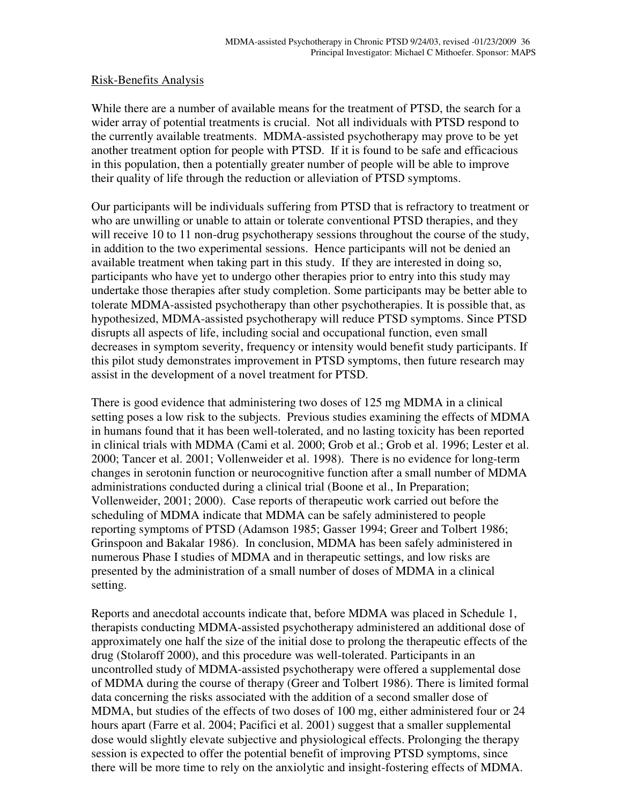#### Risk-Benefits Analysis

While there are a number of available means for the treatment of PTSD, the search for a wider array of potential treatments is crucial. Not all individuals with PTSD respond to the currently available treatments. MDMA-assisted psychotherapy may prove to be yet another treatment option for people with PTSD. If it is found to be safe and efficacious in this population, then a potentially greater number of people will be able to improve their quality of life through the reduction or alleviation of PTSD symptoms.

Our participants will be individuals suffering from PTSD that is refractory to treatment or who are unwilling or unable to attain or tolerate conventional PTSD therapies, and they will receive 10 to 11 non-drug psychotherapy sessions throughout the course of the study, in addition to the two experimental sessions. Hence participants will not be denied an available treatment when taking part in this study. If they are interested in doing so, participants who have yet to undergo other therapies prior to entry into this study may undertake those therapies after study completion. Some participants may be better able to tolerate MDMA-assisted psychotherapy than other psychotherapies. It is possible that, as hypothesized, MDMA-assisted psychotherapy will reduce PTSD symptoms. Since PTSD disrupts all aspects of life, including social and occupational function, even small decreases in symptom severity, frequency or intensity would benefit study participants. If this pilot study demonstrates improvement in PTSD symptoms, then future research may assist in the development of a novel treatment for PTSD.

There is good evidence that administering two doses of 125 mg MDMA in a clinical setting poses a low risk to the subjects. Previous studies examining the effects of MDMA in humans found that it has been well-tolerated, and no lasting toxicity has been reported in clinical trials with MDMA (Cami et al. 2000; Grob et al.; Grob et al. 1996; Lester et al. 2000; Tancer et al. 2001; Vollenweider et al. 1998). There is no evidence for long-term changes in serotonin function or neurocognitive function after a small number of MDMA administrations conducted during a clinical trial (Boone et al., In Preparation; Vollenweider, 2001; 2000). Case reports of therapeutic work carried out before the scheduling of MDMA indicate that MDMA can be safely administered to people reporting symptoms of PTSD (Adamson 1985; Gasser 1994; Greer and Tolbert 1986; Grinspoon and Bakalar 1986). In conclusion, MDMA has been safely administered in numerous Phase I studies of MDMA and in therapeutic settings, and low risks are presented by the administration of a small number of doses of MDMA in a clinical setting.

Reports and anecdotal accounts indicate that, before MDMA was placed in Schedule 1, therapists conducting MDMA-assisted psychotherapy administered an additional dose of approximately one half the size of the initial dose to prolong the therapeutic effects of the drug (Stolaroff 2000), and this procedure was well-tolerated. Participants in an uncontrolled study of MDMA-assisted psychotherapy were offered a supplemental dose of MDMA during the course of therapy (Greer and Tolbert 1986). There is limited formal data concerning the risks associated with the addition of a second smaller dose of MDMA, but studies of the effects of two doses of 100 mg, either administered four or 24 hours apart (Farre et al. 2004; Pacifici et al. 2001) suggest that a smaller supplemental dose would slightly elevate subjective and physiological effects. Prolonging the therapy session is expected to offer the potential benefit of improving PTSD symptoms, since there will be more time to rely on the anxiolytic and insight-fostering effects of MDMA.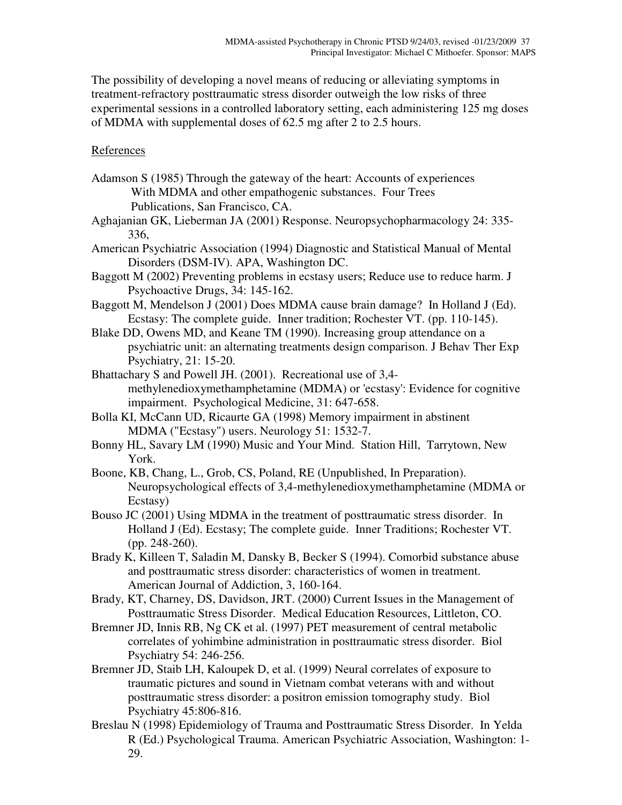The possibility of developing a novel means of reducing or alleviating symptoms in treatment-refractory posttraumatic stress disorder outweigh the low risks of three experimental sessions in a controlled laboratory setting, each administering 125 mg doses of MDMA with supplemental doses of 62.5 mg after 2 to 2.5 hours.

## References

- Adamson S (1985) Through the gateway of the heart: Accounts of experiences With MDMA and other empathogenic substances. Four Trees Publications, San Francisco, CA.
- Aghajanian GK, Lieberman JA (2001) Response. Neuropsychopharmacology 24: 335- 336,
- American Psychiatric Association (1994) Diagnostic and Statistical Manual of Mental Disorders (DSM-IV). APA, Washington DC.
- Baggott M (2002) Preventing problems in ecstasy users; Reduce use to reduce harm. J Psychoactive Drugs, 34: 145-162.
- Baggott M, Mendelson J (2001) Does MDMA cause brain damage? In Holland J (Ed). Ecstasy: The complete guide. Inner tradition; Rochester VT. (pp. 110-145).
- Blake DD, Owens MD, and Keane TM (1990). Increasing group attendance on a psychiatric unit: an alternating treatments design comparison. J Behav Ther Exp Psychiatry, 21: 15-20.
- Bhattachary S and Powell JH. (2001). Recreational use of 3,4 methylenedioxymethamphetamine (MDMA) or 'ecstasy': Evidence for cognitive impairment. Psychological Medicine, 31: 647-658.
- Bolla KI, McCann UD, Ricaurte GA (1998) Memory impairment in abstinent MDMA ("Ecstasy") users. Neurology 51: 1532-7.
- Bonny HL, Savary LM (1990) Music and Your Mind. Station Hill, Tarrytown, New York.
- Boone, KB, Chang, L., Grob, CS, Poland, RE (Unpublished, In Preparation). Neuropsychological effects of 3,4-methylenedioxymethamphetamine (MDMA or Ecstasy)
- Bouso JC (2001) Using MDMA in the treatment of posttraumatic stress disorder. In Holland J (Ed). Ecstasy; The complete guide. Inner Traditions; Rochester VT. (pp. 248-260).
- Brady K, Killeen T, Saladin M, Dansky B, Becker S (1994). Comorbid substance abuse and posttraumatic stress disorder: characteristics of women in treatment. American Journal of Addiction, 3, 160-164.
- Brady, KT, Charney, DS, Davidson, JRT. (2000) Current Issues in the Management of Posttraumatic Stress Disorder. Medical Education Resources, Littleton, CO.
- Bremner JD, Innis RB, Ng CK et al. (1997) PET measurement of central metabolic correlates of yohimbine administration in posttraumatic stress disorder. Biol Psychiatry 54: 246-256.
- Bremner JD, Staib LH, Kaloupek D, et al. (1999) Neural correlates of exposure to traumatic pictures and sound in Vietnam combat veterans with and without posttraumatic stress disorder: a positron emission tomography study. Biol Psychiatry 45:806-816.
- Breslau N (1998) Epidemiology of Trauma and Posttraumatic Stress Disorder. In Yelda R (Ed.) Psychological Trauma. American Psychiatric Association, Washington: 1- 29.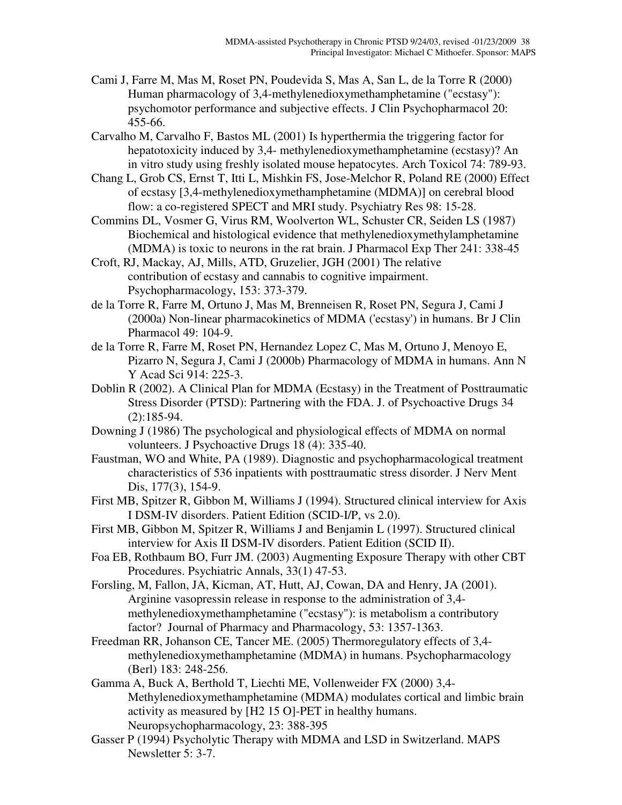- Cami J, Farre M, Mas M, Roset PN, Poudevida S, Mas A, San L, de la Torre R (2000) Human pharmacology of 3,4-methylenedioxymethamphetamine ("ecstasy"): psychomotor performance and subjective effects. J Clin Psychopharmacol 20: 455-66.
- Carvalho M, Carvalho F, Bastos ML (2001) Is hyperthermia the triggering factor for hepatotoxicity induced by 3,4- methylenedioxymethamphetamine (ecstasy)? An in vitro study using freshly isolated mouse hepatocytes. Arch Toxicol 74: 789-93.
- Chang L, Grob CS, Ernst T, Itti L, Mishkin FS, Jose-Melchor R, Poland RE (2000) Effect of ecstasy [3,4-methylenedioxymethamphetamine (MDMA)] on cerebral blood flow: a co-registered SPECT and MRI study. Psychiatry Res 98: 15-28.
- Commins DL, Vosmer G, Virus RM, Woolverton WL, Schuster CR, Seiden LS (1987) Biochemical and histological evidence that methylenedioxymethylamphetamine (MDMA) is toxic to neurons in the rat brain. J Pharmacol Exp Ther 241: 338-45
- Croft, RJ, Mackay, AJ, Mills, ATD, Gruzelier, JGH (2001) The relative contribution of ecstasy and cannabis to cognitive impairment. Psychopharmacology, 153: 373-379.
- de la Torre R, Farre M, Ortuno J, Mas M, Brenneisen R, Roset PN, Segura J, Cami J (2000a) Non-linear pharmacokinetics of MDMA ('ecstasy') in humans. Br J Clin Pharmacol 49: 104-9.
- de la Torre R, Farre M, Roset PN, Hernandez Lopez C, Mas M, Ortuno J, Menoyo E, Pizarro N, Segura J, Cami J (2000b) Pharmacology of MDMA in humans. Ann N Y Acad Sci 914: 225-3.
- Doblin R (2002). A Clinical Plan for MDMA (Ecstasy) in the Treatment of Posttraumatic Stress Disorder (PTSD): Partnering with the FDA. J. of Psychoactive Drugs 34 (2):185-94.
- Downing J (1986) The psychological and physiological effects of MDMA on normal volunteers. J Psychoactive Drugs 18 (4): 335-40.
- Faustman, WO and White, PA (1989). Diagnostic and psychopharmacological treatment characteristics of 536 inpatients with posttraumatic stress disorder. J Nerv Ment Dis, 177(3), 154-9.
- First MB, Spitzer R, Gibbon M, Williams J (1994). Structured clinical interview for Axis I DSM-IV disorders. Patient Edition (SCID-I/P, vs 2.0).
- First MB, Gibbon M, Spitzer R, Williams J and Benjamin L (1997). Structured clinical interview for Axis II DSM-IV disorders. Patient Edition (SCID II).
- Foa EB, Rothbaum BO, Furr JM. (2003) Augmenting Exposure Therapy with other CBT Procedures. Psychiatric Annals, 33(1) 47-53.
- Forsling, M, Fallon, JA, Kicman, AT, Hutt, AJ, Cowan, DA and Henry, JA (2001). Arginine vasopressin release in response to the administration of 3,4 methylenedioxymethamphetamine ("ecstasy"): is metabolism a contributory factor? Journal of Pharmacy and Pharmacology, 53: 1357-1363.
- Freedman RR, Johanson CE, Tancer ME. (2005) Thermoregulatory effects of 3,4 methylenedioxymethamphetamine (MDMA) in humans. Psychopharmacology (Berl) 183: 248-256.
- Gamma A, Buck A, Berthold T, Liechti ME, Vollenweider FX (2000) 3,4- Methylenedioxymethamphetamine (MDMA) modulates cortical and limbic brain activity as measured by [H2 15 O]-PET in healthy humans. Neuropsychopharmacology, 23: 388-395
- Gasser P (1994) Psycholytic Therapy with MDMA and LSD in Switzerland. MAPS Newsletter 5: 3-7.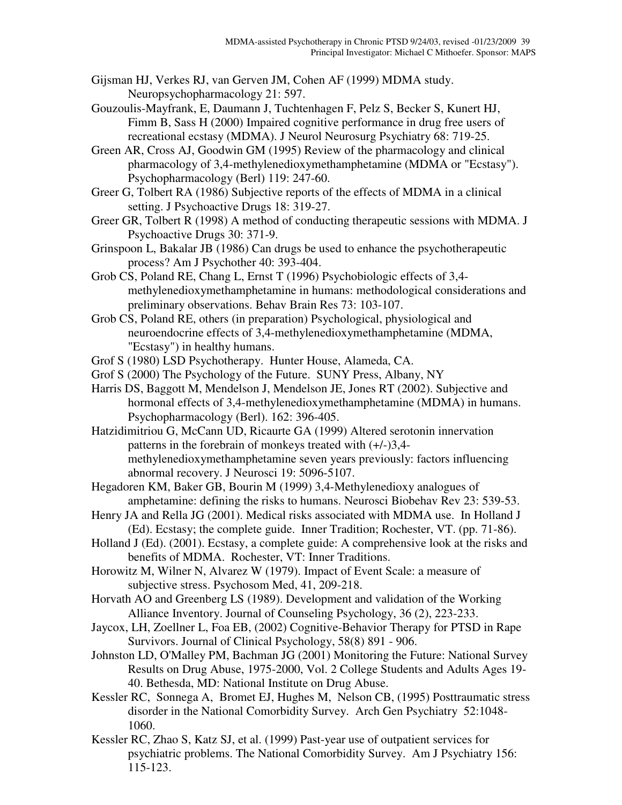- Gijsman HJ, Verkes RJ, van Gerven JM, Cohen AF (1999) MDMA study. Neuropsychopharmacology 21: 597.
- Gouzoulis-Mayfrank, E, Daumann J, Tuchtenhagen F, Pelz S, Becker S, Kunert HJ, Fimm B, Sass H (2000) Impaired cognitive performance in drug free users of recreational ecstasy (MDMA). J Neurol Neurosurg Psychiatry 68: 719-25.
- Green AR, Cross AJ, Goodwin GM (1995) Review of the pharmacology and clinical pharmacology of 3,4-methylenedioxymethamphetamine (MDMA or "Ecstasy"). Psychopharmacology (Berl) 119: 247-60.
- Greer G, Tolbert RA (1986) Subjective reports of the effects of MDMA in a clinical setting. J Psychoactive Drugs 18: 319-27.
- Greer GR, Tolbert R (1998) A method of conducting therapeutic sessions with MDMA. J Psychoactive Drugs 30: 371-9.
- Grinspoon L, Bakalar JB (1986) Can drugs be used to enhance the psychotherapeutic process? Am J Psychother 40: 393-404.
- Grob CS, Poland RE, Chang L, Ernst T (1996) Psychobiologic effects of 3,4 methylenedioxymethamphetamine in humans: methodological considerations and preliminary observations. Behav Brain Res 73: 103-107.
- Grob CS, Poland RE, others (in preparation) Psychological, physiological and neuroendocrine effects of 3,4-methylenedioxymethamphetamine (MDMA, "Ecstasy") in healthy humans.
- Grof S (1980) LSD Psychotherapy. Hunter House, Alameda, CA.
- Grof S (2000) The Psychology of the Future. SUNY Press, Albany, NY
- Harris DS, Baggott M, Mendelson J, Mendelson JE, Jones RT (2002). Subjective and hormonal effects of 3,4-methylenedioxymethamphetamine (MDMA) in humans. Psychopharmacology (Berl). 162: 396-405.
- Hatzidimitriou G, McCann UD, Ricaurte GA (1999) Altered serotonin innervation patterns in the forebrain of monkeys treated with (+/-)3,4 methylenedioxymethamphetamine seven years previously: factors influencing abnormal recovery. J Neurosci 19: 5096-5107.
- Hegadoren KM, Baker GB, Bourin M (1999) 3,4-Methylenedioxy analogues of amphetamine: defining the risks to humans. Neurosci Biobehav Rev 23: 539-53.
- Henry JA and Rella JG (2001). Medical risks associated with MDMA use. In Holland J (Ed). Ecstasy; the complete guide. Inner Tradition; Rochester, VT. (pp. 71-86).
- Holland J (Ed). (2001). Ecstasy, a complete guide: A comprehensive look at the risks and benefits of MDMA. Rochester, VT: Inner Traditions.
- Horowitz M, Wilner N, Alvarez W (1979). Impact of Event Scale: a measure of subjective stress. Psychosom Med, 41, 209-218.
- Horvath AO and Greenberg LS (1989). Development and validation of the Working Alliance Inventory. Journal of Counseling Psychology, 36 (2), 223-233.
- Jaycox, LH, Zoellner L, Foa EB, (2002) Cognitive-Behavior Therapy for PTSD in Rape Survivors. Journal of Clinical Psychology, 58(8) 891 - 906.
- Johnston LD, O'Malley PM, Bachman JG (2001) Monitoring the Future: National Survey Results on Drug Abuse, 1975-2000, Vol. 2 College Students and Adults Ages 19- 40. Bethesda, MD: National Institute on Drug Abuse.
- Kessler RC, Sonnega A, Bromet EJ, Hughes M, Nelson CB, (1995) Posttraumatic stress disorder in the National Comorbidity Survey. Arch Gen Psychiatry 52:1048- 1060.
- Kessler RC, Zhao S, Katz SJ, et al. (1999) Past-year use of outpatient services for psychiatric problems. The National Comorbidity Survey. Am J Psychiatry 156: 115-123.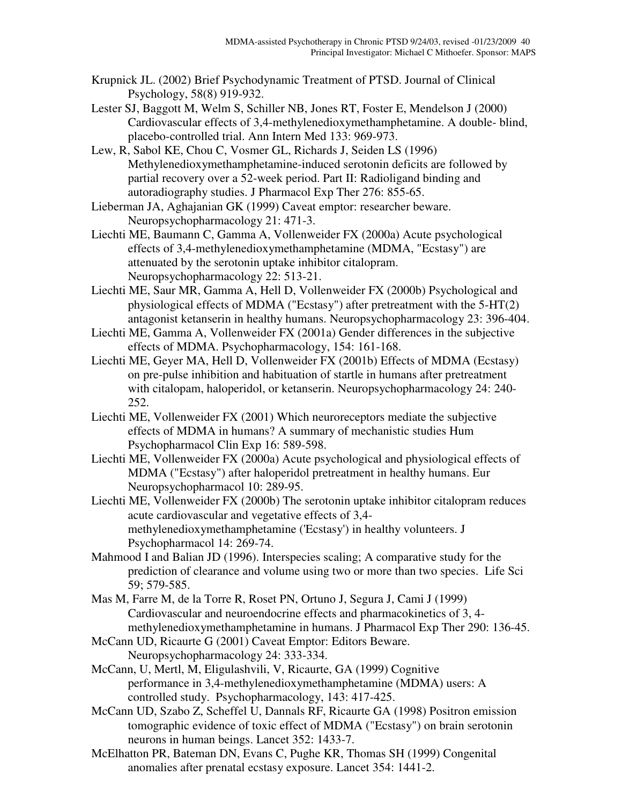- Krupnick JL. (2002) Brief Psychodynamic Treatment of PTSD. Journal of Clinical Psychology, 58(8) 919-932.
- Lester SJ, Baggott M, Welm S, Schiller NB, Jones RT, Foster E, Mendelson J (2000) Cardiovascular effects of 3,4-methylenedioxymethamphetamine. A double- blind, placebo-controlled trial. Ann Intern Med 133: 969-973.
- Lew, R, Sabol KE, Chou C, Vosmer GL, Richards J, Seiden LS (1996) Methylenedioxymethamphetamine-induced serotonin deficits are followed by partial recovery over a 52-week period. Part II: Radioligand binding and autoradiography studies. J Pharmacol Exp Ther 276: 855-65.
- Lieberman JA, Aghajanian GK (1999) Caveat emptor: researcher beware. Neuropsychopharmacology 21: 471-3.
- Liechti ME, Baumann C, Gamma A, Vollenweider FX (2000a) Acute psychological effects of 3,4-methylenedioxymethamphetamine (MDMA, "Ecstasy") are attenuated by the serotonin uptake inhibitor citalopram. Neuropsychopharmacology 22: 513-21.
- Liechti ME, Saur MR, Gamma A, Hell D, Vollenweider FX (2000b) Psychological and physiological effects of MDMA ("Ecstasy") after pretreatment with the 5-HT(2) antagonist ketanserin in healthy humans. Neuropsychopharmacology 23: 396-404.
- Liechti ME, Gamma A, Vollenweider FX (2001a) Gender differences in the subjective effects of MDMA. Psychopharmacology, 154: 161-168.
- Liechti ME, Geyer MA, Hell D, Vollenweider FX (2001b) Effects of MDMA (Ecstasy) on pre-pulse inhibition and habituation of startle in humans after pretreatment with citalopam, haloperidol, or ketanserin. Neuropsychopharmacology 24: 240- 252.
- Liechti ME, Vollenweider FX (2001) Which neuroreceptors mediate the subjective effects of MDMA in humans? A summary of mechanistic studies Hum Psychopharmacol Clin Exp 16: 589-598.
- Liechti ME, Vollenweider FX (2000a) Acute psychological and physiological effects of MDMA ("Ecstasy") after haloperidol pretreatment in healthy humans. Eur Neuropsychopharmacol 10: 289-95.
- Liechti ME, Vollenweider FX (2000b) The serotonin uptake inhibitor citalopram reduces acute cardiovascular and vegetative effects of 3,4 methylenedioxymethamphetamine ('Ecstasy') in healthy volunteers. J Psychopharmacol 14: 269-74.
- Mahmood I and Balian JD (1996). Interspecies scaling; A comparative study for the prediction of clearance and volume using two or more than two species. Life Sci 59; 579-585.
- Mas M, Farre M, de la Torre R, Roset PN, Ortuno J, Segura J, Cami J (1999) Cardiovascular and neuroendocrine effects and pharmacokinetics of 3, 4 methylenedioxymethamphetamine in humans. J Pharmacol Exp Ther 290: 136-45.
- McCann UD, Ricaurte G (2001) Caveat Emptor: Editors Beware. Neuropsychopharmacology 24: 333-334.
- McCann, U, Mertl, M, Eligulashvili, V, Ricaurte, GA (1999) Cognitive performance in 3,4-methylenedioxymethamphetamine (MDMA) users: A controlled study. Psychopharmacology, 143: 417-425.
- McCann UD, Szabo Z, Scheffel U, Dannals RF, Ricaurte GA (1998) Positron emission tomographic evidence of toxic effect of MDMA ("Ecstasy") on brain serotonin neurons in human beings. Lancet 352: 1433-7.
- McElhatton PR, Bateman DN, Evans C, Pughe KR, Thomas SH (1999) Congenital anomalies after prenatal ecstasy exposure. Lancet 354: 1441-2.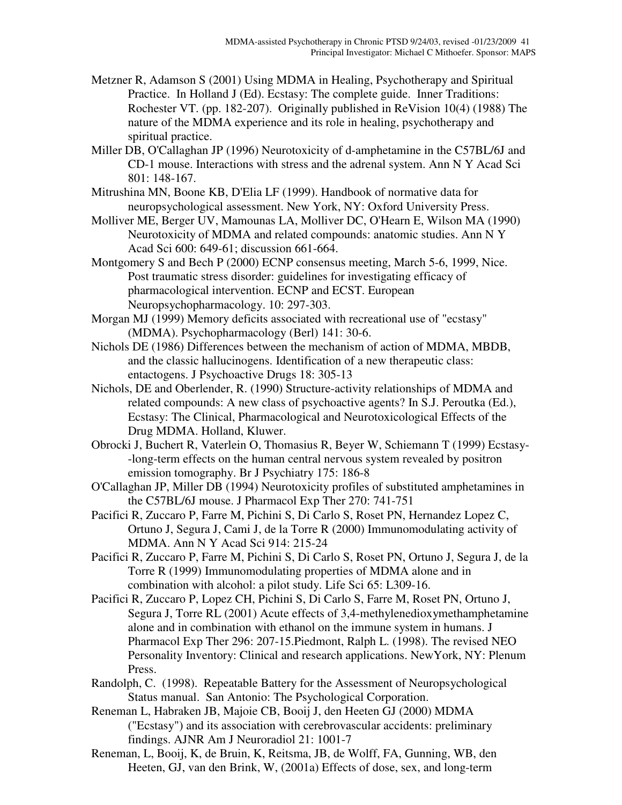- Metzner R, Adamson S (2001) Using MDMA in Healing, Psychotherapy and Spiritual Practice. In Holland J (Ed). Ecstasy: The complete guide. Inner Traditions: Rochester VT. (pp. 182-207). Originally published in ReVision 10(4) (1988) The nature of the MDMA experience and its role in healing, psychotherapy and spiritual practice.
- Miller DB, O'Callaghan JP (1996) Neurotoxicity of d-amphetamine in the C57BL/6J and CD-1 mouse. Interactions with stress and the adrenal system. Ann N Y Acad Sci 801: 148-167.

Mitrushina MN, Boone KB, D'Elia LF (1999). Handbook of normative data for neuropsychological assessment. New York, NY: Oxford University Press.

Molliver ME, Berger UV, Mamounas LA, Molliver DC, O'Hearn E, Wilson MA (1990) Neurotoxicity of MDMA and related compounds: anatomic studies. Ann N Y Acad Sci 600: 649-61; discussion 661-664.

Montgomery S and Bech P (2000) ECNP consensus meeting, March 5-6, 1999, Nice. Post traumatic stress disorder: guidelines for investigating efficacy of pharmacological intervention. ECNP and ECST. European Neuropsychopharmacology. 10: 297-303.

Morgan MJ (1999) Memory deficits associated with recreational use of "ecstasy" (MDMA). Psychopharmacology (Berl) 141: 30-6.

Nichols DE (1986) Differences between the mechanism of action of MDMA, MBDB, and the classic hallucinogens. Identification of a new therapeutic class: entactogens. J Psychoactive Drugs 18: 305-13

Nichols, DE and Oberlender, R. (1990) Structure-activity relationships of MDMA and related compounds: A new class of psychoactive agents? In S.J. Peroutka (Ed.), Ecstasy: The Clinical, Pharmacological and Neurotoxicological Effects of the Drug MDMA. Holland, Kluwer.

Obrocki J, Buchert R, Vaterlein O, Thomasius R, Beyer W, Schiemann T (1999) Ecstasy- -long-term effects on the human central nervous system revealed by positron emission tomography. Br J Psychiatry 175: 186-8

O'Callaghan JP, Miller DB (1994) Neurotoxicity profiles of substituted amphetamines in the C57BL/6J mouse. J Pharmacol Exp Ther 270: 741-751

Pacifici R, Zuccaro P, Farre M, Pichini S, Di Carlo S, Roset PN, Hernandez Lopez C, Ortuno J, Segura J, Cami J, de la Torre R (2000) Immunomodulating activity of MDMA. Ann N Y Acad Sci 914: 215-24

Pacifici R, Zuccaro P, Farre M, Pichini S, Di Carlo S, Roset PN, Ortuno J, Segura J, de la Torre R (1999) Immunomodulating properties of MDMA alone and in combination with alcohol: a pilot study. Life Sci 65: L309-16.

- Pacifici R, Zuccaro P, Lopez CH, Pichini S, Di Carlo S, Farre M, Roset PN, Ortuno J, Segura J, Torre RL (2001) Acute effects of 3,4-methylenedioxymethamphetamine alone and in combination with ethanol on the immune system in humans. J Pharmacol Exp Ther 296: 207-15.Piedmont, Ralph L. (1998). The revised NEO Personality Inventory: Clinical and research applications. NewYork, NY: Plenum Press.
- Randolph, C. (1998). Repeatable Battery for the Assessment of Neuropsychological Status manual. San Antonio: The Psychological Corporation.
- Reneman L, Habraken JB, Majoie CB, Booij J, den Heeten GJ (2000) MDMA ("Ecstasy") and its association with cerebrovascular accidents: preliminary findings. AJNR Am J Neuroradiol 21: 1001-7
- Reneman, L, Booij, K, de Bruin, K, Reitsma, JB, de Wolff, FA, Gunning, WB, den Heeten, GJ, van den Brink, W, (2001a) Effects of dose, sex, and long-term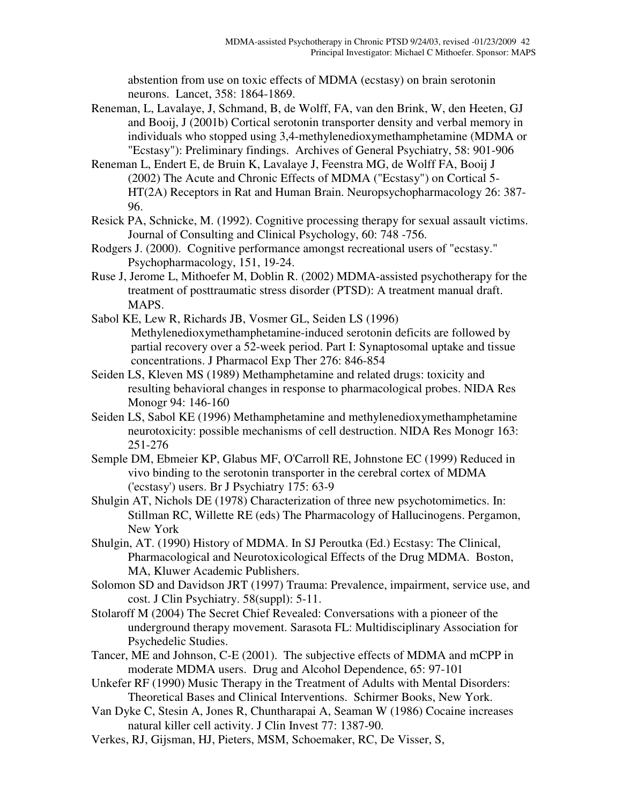abstention from use on toxic effects of MDMA (ecstasy) on brain serotonin neurons. Lancet, 358: 1864-1869.

- Reneman, L, Lavalaye, J, Schmand, B, de Wolff, FA, van den Brink, W, den Heeten, GJ and Booij, J (2001b) Cortical serotonin transporter density and verbal memory in individuals who stopped using 3,4-methylenedioxymethamphetamine (MDMA or "Ecstasy"): Preliminary findings. Archives of General Psychiatry, 58: 901-906
- Reneman L, Endert E, de Bruin K, Lavalaye J, Feenstra MG, de Wolff FA, Booij J (2002) The Acute and Chronic Effects of MDMA ("Ecstasy") on Cortical 5- HT(2A) Receptors in Rat and Human Brain. Neuropsychopharmacology 26: 387- 96.
- Resick PA, Schnicke, M. (1992). Cognitive processing therapy for sexual assault victims. Journal of Consulting and Clinical Psychology, 60: 748 -756.
- Rodgers J. (2000). Cognitive performance amongst recreational users of "ecstasy." Psychopharmacology, 151, 19-24.
- Ruse J, Jerome L, Mithoefer M, Doblin R. (2002) MDMA-assisted psychotherapy for the treatment of posttraumatic stress disorder (PTSD): A treatment manual draft. MAPS.
- Sabol KE, Lew R, Richards JB, Vosmer GL, Seiden LS (1996) Methylenedioxymethamphetamine-induced serotonin deficits are followed by partial recovery over a 52-week period. Part I: Synaptosomal uptake and tissue concentrations. J Pharmacol Exp Ther 276: 846-854
- Seiden LS, Kleven MS (1989) Methamphetamine and related drugs: toxicity and resulting behavioral changes in response to pharmacological probes. NIDA Res Monogr 94: 146-160
- Seiden LS, Sabol KE (1996) Methamphetamine and methylenedioxymethamphetamine neurotoxicity: possible mechanisms of cell destruction. NIDA Res Monogr 163: 251-276
- Semple DM, Ebmeier KP, Glabus MF, O'Carroll RE, Johnstone EC (1999) Reduced in vivo binding to the serotonin transporter in the cerebral cortex of MDMA ('ecstasy') users. Br J Psychiatry 175: 63-9
- Shulgin AT, Nichols DE (1978) Characterization of three new psychotomimetics. In: Stillman RC, Willette RE (eds) The Pharmacology of Hallucinogens. Pergamon, New York
- Shulgin, AT. (1990) History of MDMA. In SJ Peroutka (Ed.) Ecstasy: The Clinical, Pharmacological and Neurotoxicological Effects of the Drug MDMA. Boston, MA, Kluwer Academic Publishers.
- Solomon SD and Davidson JRT (1997) Trauma: Prevalence, impairment, service use, and cost. J Clin Psychiatry. 58(suppl): 5-11.
- Stolaroff M (2004) The Secret Chief Revealed: Conversations with a pioneer of the underground therapy movement. Sarasota FL: Multidisciplinary Association for Psychedelic Studies.
- Tancer, ME and Johnson, C-E (2001). The subjective effects of MDMA and mCPP in moderate MDMA users. Drug and Alcohol Dependence, 65: 97-101
- Unkefer RF (1990) Music Therapy in the Treatment of Adults with Mental Disorders: Theoretical Bases and Clinical Interventions. Schirmer Books, New York.
- Van Dyke C, Stesin A, Jones R, Chuntharapai A, Seaman W (1986) Cocaine increases natural killer cell activity. J Clin Invest 77: 1387-90.
- Verkes, RJ, Gijsman, HJ, Pieters, MSM, Schoemaker, RC, De Visser, S,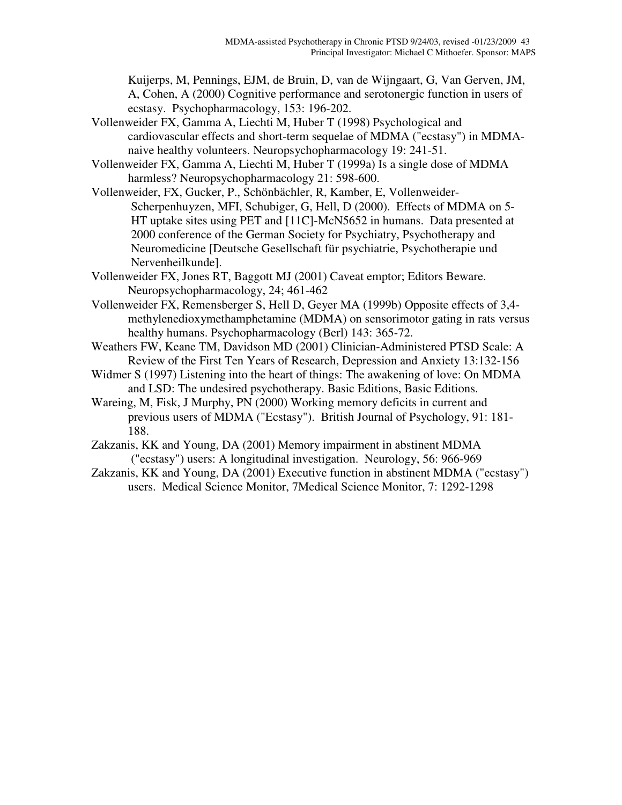Kuijerps, M, Pennings, EJM, de Bruin, D, van de Wijngaart, G, Van Gerven, JM, A, Cohen, A (2000) Cognitive performance and serotonergic function in users of ecstasy. Psychopharmacology, 153: 196-202.

- Vollenweider FX, Gamma A, Liechti M, Huber T (1998) Psychological and cardiovascular effects and short-term sequelae of MDMA ("ecstasy") in MDMAnaive healthy volunteers. Neuropsychopharmacology 19: 241-51.
- Vollenweider FX, Gamma A, Liechti M, Huber T (1999a) Is a single dose of MDMA harmless? Neuropsychopharmacology 21: 598-600.
- Vollenweider, FX, Gucker, P., Schönbächler, R, Kamber, E, Vollenweider-Scherpenhuyzen, MFI, Schubiger, G, Hell, D (2000). Effects of MDMA on 5- HT uptake sites using PET and [11C]-McN5652 in humans. Data presented at 2000 conference of the German Society for Psychiatry, Psychotherapy and Neuromedicine [Deutsche Gesellschaft für psychiatrie, Psychotherapie und Nervenheilkunde].
- Vollenweider FX, Jones RT, Baggott MJ (2001) Caveat emptor; Editors Beware. Neuropsychopharmacology, 24; 461-462
- Vollenweider FX, Remensberger S, Hell D, Geyer MA (1999b) Opposite effects of 3,4 methylenedioxymethamphetamine (MDMA) on sensorimotor gating in rats versus healthy humans. Psychopharmacology (Berl) 143: 365-72.
- Weathers FW, Keane TM, Davidson MD (2001) Clinician-Administered PTSD Scale: A Review of the First Ten Years of Research, Depression and Anxiety 13:132-156
- Widmer S (1997) Listening into the heart of things: The awakening of love: On MDMA and LSD: The undesired psychotherapy. Basic Editions, Basic Editions.
- Wareing, M, Fisk, J Murphy, PN (2000) Working memory deficits in current and previous users of MDMA ("Ecstasy"). British Journal of Psychology, 91: 181- 188.
- Zakzanis, KK and Young, DA (2001) Memory impairment in abstinent MDMA ("ecstasy") users: A longitudinal investigation. Neurology, 56: 966-969
- Zakzanis, KK and Young, DA (2001) Executive function in abstinent MDMA ("ecstasy") users. Medical Science Monitor, 7Medical Science Monitor, 7: 1292-1298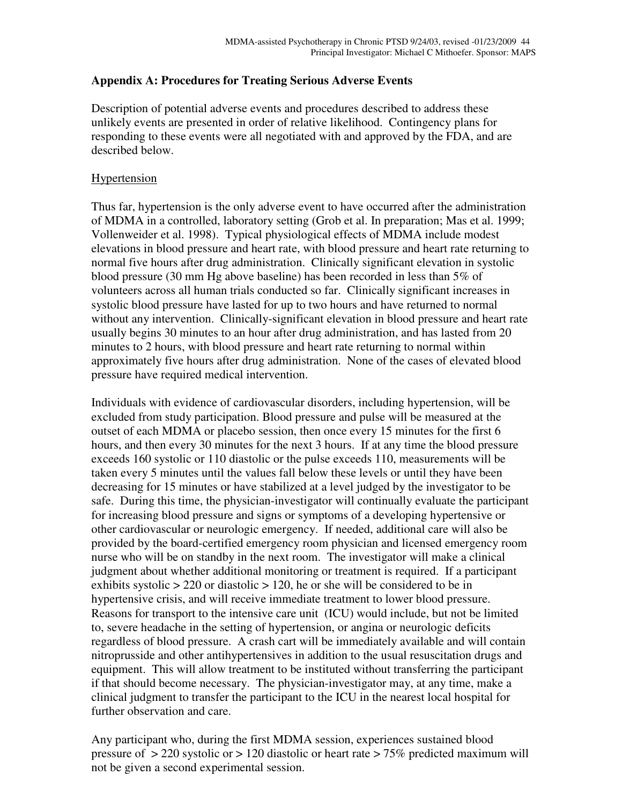## **Appendix A: Procedures for Treating Serious Adverse Events**

Description of potential adverse events and procedures described to address these unlikely events are presented in order of relative likelihood. Contingency plans for responding to these events were all negotiated with and approved by the FDA, and are described below.

### Hypertension

Thus far, hypertension is the only adverse event to have occurred after the administration of MDMA in a controlled, laboratory setting (Grob et al. In preparation; Mas et al. 1999; Vollenweider et al. 1998). Typical physiological effects of MDMA include modest elevations in blood pressure and heart rate, with blood pressure and heart rate returning to normal five hours after drug administration. Clinically significant elevation in systolic blood pressure (30 mm Hg above baseline) has been recorded in less than 5% of volunteers across all human trials conducted so far. Clinically significant increases in systolic blood pressure have lasted for up to two hours and have returned to normal without any intervention. Clinically-significant elevation in blood pressure and heart rate usually begins 30 minutes to an hour after drug administration, and has lasted from 20 minutes to 2 hours, with blood pressure and heart rate returning to normal within approximately five hours after drug administration. None of the cases of elevated blood pressure have required medical intervention.

Individuals with evidence of cardiovascular disorders, including hypertension, will be excluded from study participation. Blood pressure and pulse will be measured at the outset of each MDMA or placebo session, then once every 15 minutes for the first 6 hours, and then every 30 minutes for the next 3 hours. If at any time the blood pressure exceeds 160 systolic or 110 diastolic or the pulse exceeds 110, measurements will be taken every 5 minutes until the values fall below these levels or until they have been decreasing for 15 minutes or have stabilized at a level judged by the investigator to be safe. During this time, the physician-investigator will continually evaluate the participant for increasing blood pressure and signs or symptoms of a developing hypertensive or other cardiovascular or neurologic emergency. If needed, additional care will also be provided by the board-certified emergency room physician and licensed emergency room nurse who will be on standby in the next room. The investigator will make a clinical judgment about whether additional monitoring or treatment is required. If a participant exhibits systolic  $> 220$  or diastolic  $> 120$ , he or she will be considered to be in hypertensive crisis, and will receive immediate treatment to lower blood pressure. Reasons for transport to the intensive care unit (ICU) would include, but not be limited to, severe headache in the setting of hypertension, or angina or neurologic deficits regardless of blood pressure. A crash cart will be immediately available and will contain nitroprusside and other antihypertensives in addition to the usual resuscitation drugs and equipment. This will allow treatment to be instituted without transferring the participant if that should become necessary. The physician-investigator may, at any time, make a clinical judgment to transfer the participant to the ICU in the nearest local hospital for further observation and care.

Any participant who, during the first MDMA session, experiences sustained blood pressure of > 220 systolic or > 120 diastolic or heart rate > 75% predicted maximum will not be given a second experimental session.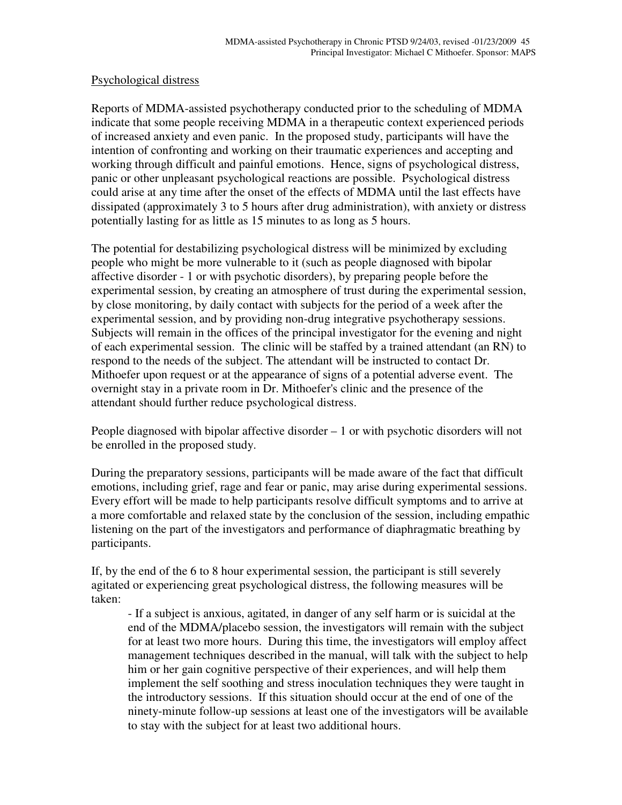### Psychological distress

Reports of MDMA-assisted psychotherapy conducted prior to the scheduling of MDMA indicate that some people receiving MDMA in a therapeutic context experienced periods of increased anxiety and even panic. In the proposed study, participants will have the intention of confronting and working on their traumatic experiences and accepting and working through difficult and painful emotions. Hence, signs of psychological distress, panic or other unpleasant psychological reactions are possible. Psychological distress could arise at any time after the onset of the effects of MDMA until the last effects have dissipated (approximately 3 to 5 hours after drug administration), with anxiety or distress potentially lasting for as little as 15 minutes to as long as 5 hours.

The potential for destabilizing psychological distress will be minimized by excluding people who might be more vulnerable to it (such as people diagnosed with bipolar affective disorder - 1 or with psychotic disorders), by preparing people before the experimental session, by creating an atmosphere of trust during the experimental session, by close monitoring, by daily contact with subjects for the period of a week after the experimental session, and by providing non-drug integrative psychotherapy sessions. Subjects will remain in the offices of the principal investigator for the evening and night of each experimental session. The clinic will be staffed by a trained attendant (an RN) to respond to the needs of the subject. The attendant will be instructed to contact Dr. Mithoefer upon request or at the appearance of signs of a potential adverse event. The overnight stay in a private room in Dr. Mithoefer's clinic and the presence of the attendant should further reduce psychological distress.

People diagnosed with bipolar affective disorder – 1 or with psychotic disorders will not be enrolled in the proposed study.

During the preparatory sessions, participants will be made aware of the fact that difficult emotions, including grief, rage and fear or panic, may arise during experimental sessions. Every effort will be made to help participants resolve difficult symptoms and to arrive at a more comfortable and relaxed state by the conclusion of the session, including empathic listening on the part of the investigators and performance of diaphragmatic breathing by participants.

If, by the end of the 6 to 8 hour experimental session, the participant is still severely agitated or experiencing great psychological distress, the following measures will be taken:

- If a subject is anxious, agitated, in danger of any self harm or is suicidal at the end of the MDMA/placebo session, the investigators will remain with the subject for at least two more hours. During this time, the investigators will employ affect management techniques described in the manual, will talk with the subject to help him or her gain cognitive perspective of their experiences, and will help them implement the self soothing and stress inoculation techniques they were taught in the introductory sessions. If this situation should occur at the end of one of the ninety-minute follow-up sessions at least one of the investigators will be available to stay with the subject for at least two additional hours.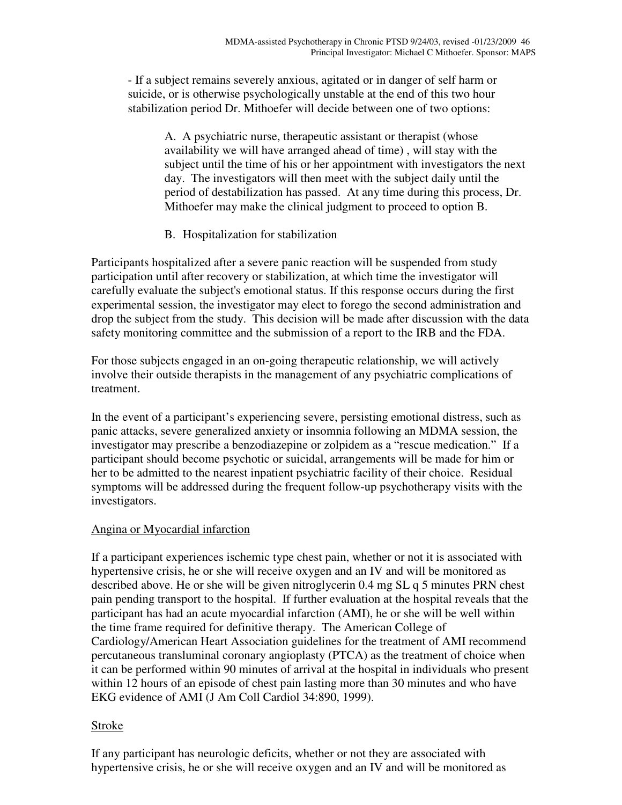- If a subject remains severely anxious, agitated or in danger of self harm or suicide, or is otherwise psychologically unstable at the end of this two hour stabilization period Dr. Mithoefer will decide between one of two options:

> A. A psychiatric nurse, therapeutic assistant or therapist (whose availability we will have arranged ahead of time) , will stay with the subject until the time of his or her appointment with investigators the next day. The investigators will then meet with the subject daily until the period of destabilization has passed. At any time during this process, Dr. Mithoefer may make the clinical judgment to proceed to option B.

B. Hospitalization for stabilization

Participants hospitalized after a severe panic reaction will be suspended from study participation until after recovery or stabilization, at which time the investigator will carefully evaluate the subject's emotional status. If this response occurs during the first experimental session, the investigator may elect to forego the second administration and drop the subject from the study. This decision will be made after discussion with the data safety monitoring committee and the submission of a report to the IRB and the FDA.

For those subjects engaged in an on-going therapeutic relationship, we will actively involve their outside therapists in the management of any psychiatric complications of treatment.

In the event of a participant's experiencing severe, persisting emotional distress, such as panic attacks, severe generalized anxiety or insomnia following an MDMA session, the investigator may prescribe a benzodiazepine or zolpidem as a "rescue medication." If a participant should become psychotic or suicidal, arrangements will be made for him or her to be admitted to the nearest inpatient psychiatric facility of their choice. Residual symptoms will be addressed during the frequent follow-up psychotherapy visits with the investigators.

## Angina or Myocardial infarction

If a participant experiences ischemic type chest pain, whether or not it is associated with hypertensive crisis, he or she will receive oxygen and an IV and will be monitored as described above. He or she will be given nitroglycerin 0.4 mg SL q 5 minutes PRN chest pain pending transport to the hospital. If further evaluation at the hospital reveals that the participant has had an acute myocardial infarction (AMI), he or she will be well within the time frame required for definitive therapy. The American College of Cardiology/American Heart Association guidelines for the treatment of AMI recommend percutaneous transluminal coronary angioplasty (PTCA) as the treatment of choice when it can be performed within 90 minutes of arrival at the hospital in individuals who present within 12 hours of an episode of chest pain lasting more than 30 minutes and who have EKG evidence of AMI (J Am Coll Cardiol 34:890, 1999).

## Stroke

If any participant has neurologic deficits, whether or not they are associated with hypertensive crisis, he or she will receive oxygen and an IV and will be monitored as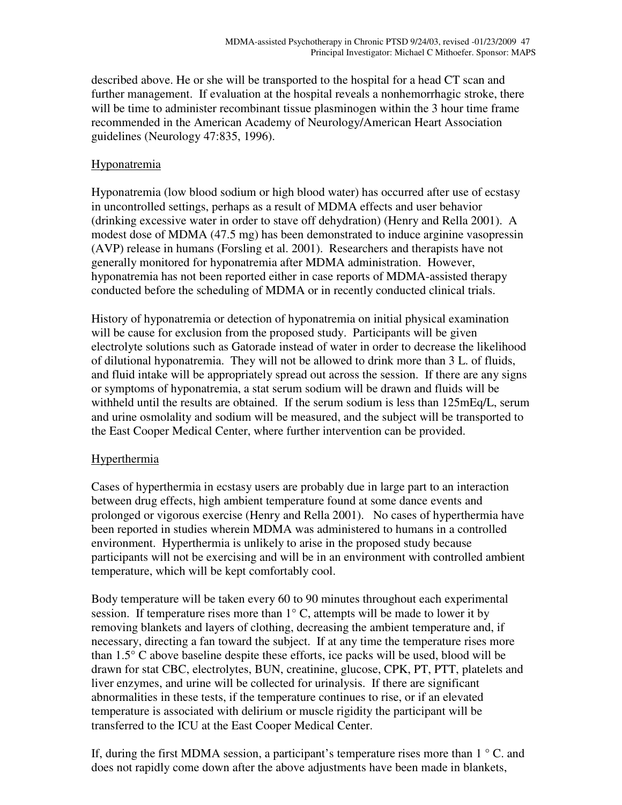described above. He or she will be transported to the hospital for a head CT scan and further management. If evaluation at the hospital reveals a nonhemorrhagic stroke, there will be time to administer recombinant tissue plasminogen within the 3 hour time frame recommended in the American Academy of Neurology/American Heart Association guidelines (Neurology 47:835, 1996).

## Hyponatremia

Hyponatremia (low blood sodium or high blood water) has occurred after use of ecstasy in uncontrolled settings, perhaps as a result of MDMA effects and user behavior (drinking excessive water in order to stave off dehydration) (Henry and Rella 2001). A modest dose of MDMA (47.5 mg) has been demonstrated to induce arginine vasopressin (AVP) release in humans (Forsling et al. 2001). Researchers and therapists have not generally monitored for hyponatremia after MDMA administration. However, hyponatremia has not been reported either in case reports of MDMA-assisted therapy conducted before the scheduling of MDMA or in recently conducted clinical trials.

History of hyponatremia or detection of hyponatremia on initial physical examination will be cause for exclusion from the proposed study. Participants will be given electrolyte solutions such as Gatorade instead of water in order to decrease the likelihood of dilutional hyponatremia. They will not be allowed to drink more than 3 L. of fluids, and fluid intake will be appropriately spread out across the session. If there are any signs or symptoms of hyponatremia, a stat serum sodium will be drawn and fluids will be withheld until the results are obtained. If the serum sodium is less than 125mEq/L, serum and urine osmolality and sodium will be measured, and the subject will be transported to the East Cooper Medical Center, where further intervention can be provided.

## Hyperthermia

Cases of hyperthermia in ecstasy users are probably due in large part to an interaction between drug effects, high ambient temperature found at some dance events and prolonged or vigorous exercise (Henry and Rella 2001). No cases of hyperthermia have been reported in studies wherein MDMA was administered to humans in a controlled environment. Hyperthermia is unlikely to arise in the proposed study because participants will not be exercising and will be in an environment with controlled ambient temperature, which will be kept comfortably cool.

Body temperature will be taken every 60 to 90 minutes throughout each experimental session. If temperature rises more than  $1^{\circ}$  C, attempts will be made to lower it by removing blankets and layers of clothing, decreasing the ambient temperature and, if necessary, directing a fan toward the subject. If at any time the temperature rises more than 1.5° C above baseline despite these efforts, ice packs will be used, blood will be drawn for stat CBC, electrolytes, BUN, creatinine, glucose, CPK, PT, PTT, platelets and liver enzymes, and urine will be collected for urinalysis. If there are significant abnormalities in these tests, if the temperature continues to rise, or if an elevated temperature is associated with delirium or muscle rigidity the participant will be transferred to the ICU at the East Cooper Medical Center.

If, during the first MDMA session, a participant's temperature rises more than  $1 \degree C$ . and does not rapidly come down after the above adjustments have been made in blankets,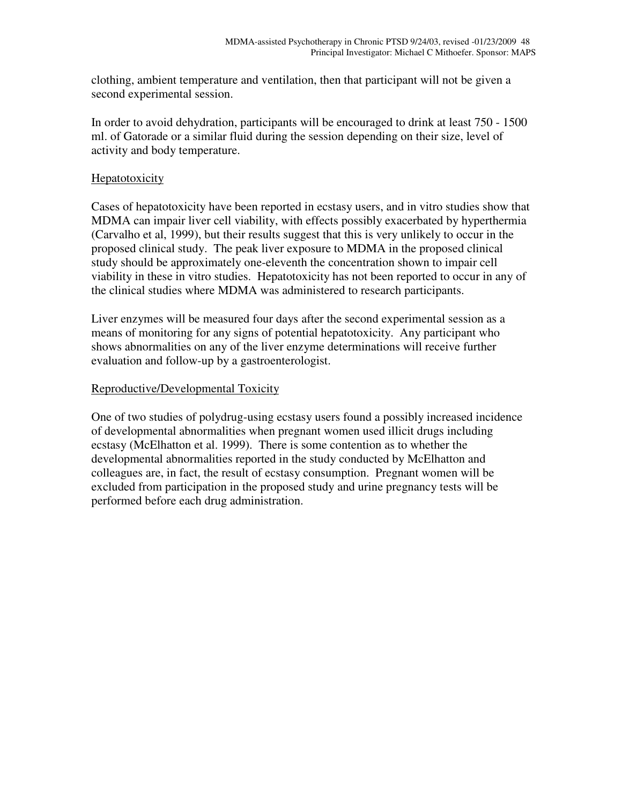clothing, ambient temperature and ventilation, then that participant will not be given a second experimental session.

In order to avoid dehydration, participants will be encouraged to drink at least 750 - 1500 ml. of Gatorade or a similar fluid during the session depending on their size, level of activity and body temperature.

## Hepatotoxicity

Cases of hepatotoxicity have been reported in ecstasy users, and in vitro studies show that MDMA can impair liver cell viability, with effects possibly exacerbated by hyperthermia (Carvalho et al, 1999), but their results suggest that this is very unlikely to occur in the proposed clinical study. The peak liver exposure to MDMA in the proposed clinical study should be approximately one-eleventh the concentration shown to impair cell viability in these in vitro studies. Hepatotoxicity has not been reported to occur in any of the clinical studies where MDMA was administered to research participants.

Liver enzymes will be measured four days after the second experimental session as a means of monitoring for any signs of potential hepatotoxicity. Any participant who shows abnormalities on any of the liver enzyme determinations will receive further evaluation and follow-up by a gastroenterologist.

## Reproductive/Developmental Toxicity

One of two studies of polydrug-using ecstasy users found a possibly increased incidence of developmental abnormalities when pregnant women used illicit drugs including ecstasy (McElhatton et al. 1999). There is some contention as to whether the developmental abnormalities reported in the study conducted by McElhatton and colleagues are, in fact, the result of ecstasy consumption. Pregnant women will be excluded from participation in the proposed study and urine pregnancy tests will be performed before each drug administration.